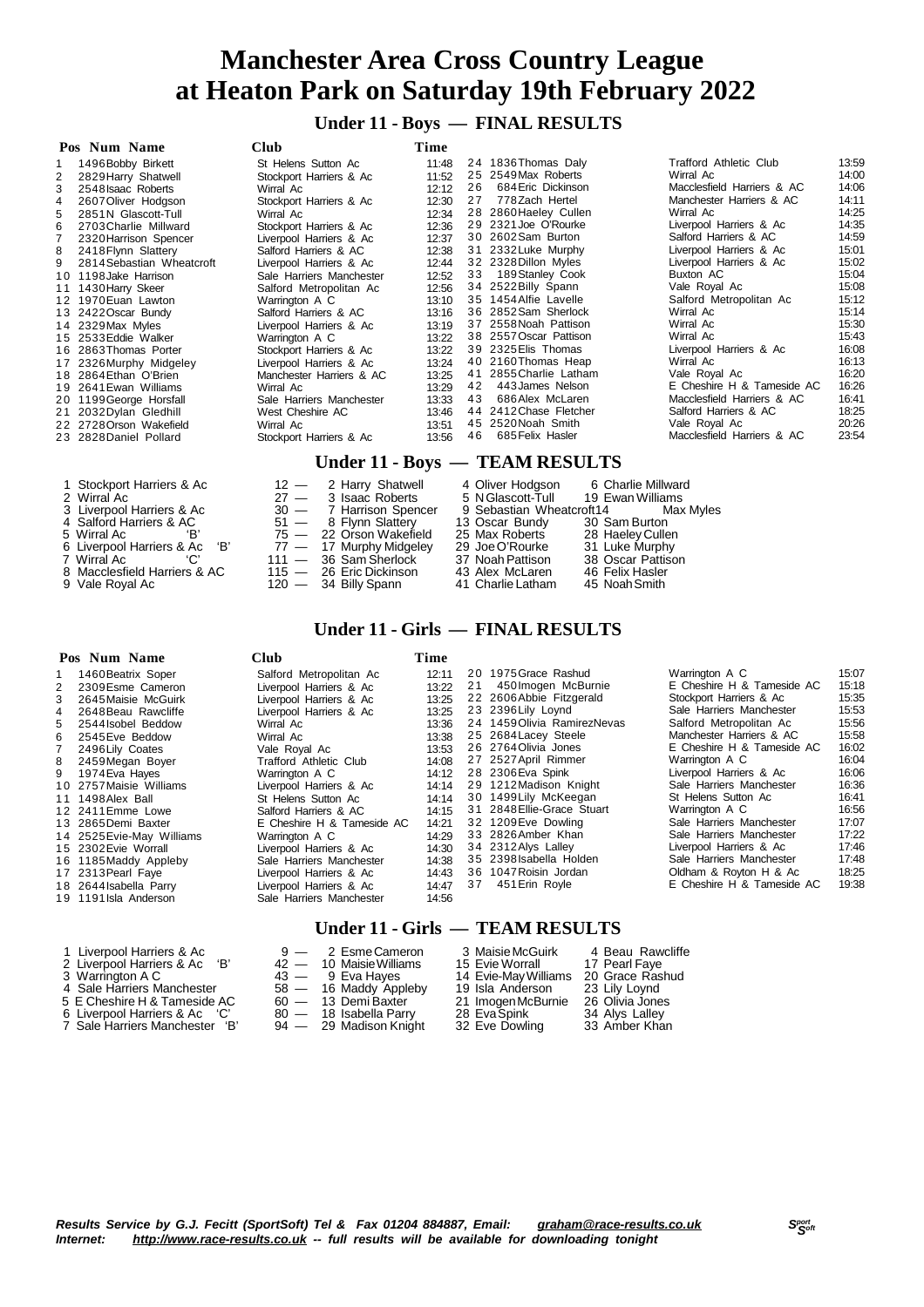**Under 11 - Boys — FINAL RESULTS**

|    | Pos Num Name              | <b>Club</b>              | Time  |     |                                |                               |       |
|----|---------------------------|--------------------------|-------|-----|--------------------------------|-------------------------------|-------|
|    | 1496 Bobby Birkett        | St Helens Sutton Ac      | 11:48 |     | 24 1836 Thomas Daly            | <b>Trafford Athletic Club</b> | 13:59 |
| 2  | 2829 Harry Shatwell       | Stockport Harriers & Ac  | 11:52 |     | 25 2549 Max Roberts            | Wirral Ac                     | 14:00 |
| 3  | 2548 Isaac Roberts        | Wirral Ac                | 12:12 | 26  | 684 Eric Dickinson             | Macclesfield Harriers & AC    | 14:06 |
| 4  | 2607 Oliver Hodgson       | Stockport Harriers & Ac  | 12:30 | 27  | 778Zach Hertel                 | Manchester Harriers & AC      | 14:11 |
| 5  | 2851N Glascott-Tull       | Wirral Ac                | 12:34 |     | 28 2860 Haeley Cullen          | Wirral Ac                     | 14:25 |
|    | 2703 Charlie Millward     | Stockport Harriers & Ac  | 12:36 |     | 29 2321 Joe O'Rourke           | Liverpool Harriers & Ac       | 14:35 |
|    | 2320 Harrison Spencer     | Liverpool Harriers & Ac  | 12:37 |     | 30 2602 Sam Burton             | Salford Harriers & AC         | 14:59 |
| 8  | 2418 Flynn Slattery       | Salford Harriers & AC    | 12:38 |     | 31 2332 Luke Murphy            | Liverpool Harriers & Ac       | 15:01 |
|    | 2814 Sebastian Wheatcroft | Liverpool Harriers & Ac  | 12:44 |     | 32 2328 Dillon Myles           | Liverpool Harriers & Ac       | 15:02 |
| 10 | 1198 Jake Harrison        | Sale Harriers Manchester | 12:52 | 33  | 189 Stanley Cook               | Buxton AC                     | 15:04 |
| 11 | 1430 Harry Skeer          | Salford Metropolitan Ac  | 12:56 |     | 34 2522 Billy Spann            | Vale Royal Ac                 | 15:08 |
|    | 12 1970 Euan Lawton       | Warrington A C           | 13:10 |     | 35 1454 Alfie Lavelle          | Salford Metropolitan Ac       | 15:12 |
|    | 13 2422 Oscar Bundy       | Salford Harriers & AC    | 13:16 |     | 36 2852 Sam Sherlock           | Wirral Ac                     | 15:14 |
|    | 14 2329 Max Myles         | Liverpool Harriers & Ac  | 13:19 |     | 37 2558 Noah Pattison          | Wirral Ac                     | 15:30 |
|    | 15 2533 Eddie Walker      | Warrington A C           | 13:22 |     | 38 2557 Oscar Pattison         | Wirral Ac                     | 15:43 |
|    | 16 2863 Thomas Porter     | Stockport Harriers & Ac  | 13:22 |     | 39 2325 Elis Thomas            | Liverpool Harriers & Ac       | 16:08 |
| 17 | 2326 Murphy Midgeley      | Liverpool Harriers & Ac  | 13:24 |     | 40 2160 Thomas Heap            | Wirral Ac                     | 16:13 |
|    | 18 2864 Ethan O'Brien     | Manchester Harriers & AC | 13:25 |     | 41 2855 Charlie Latham         | Vale Royal Ac                 | 16:20 |
|    | 19 2641 Ewan Williams     | Wirral Ac                | 13:29 | 42  | 443 James Nelson               | E Cheshire H & Tameside AC    | 16:26 |
|    | 20 1199 George Horsfall   | Sale Harriers Manchester | 13:33 | 43  | 686 Alex McLaren               | Macclesfield Harriers & AC    | 16:41 |
|    | 21 2032 Dylan Gledhill    | West Cheshire AC         | 13:46 |     | 44 2412 Chase Fletcher         | Salford Harriers & AC         | 18:25 |
|    | 22 2728 Orson Wakefield   | Wirral Ac                | 13:51 |     | 45 2520 Noah Smith             | Vale Royal Ac                 | 20:26 |
|    | 23 2828 Daniel Pollard    | Stockport Harriers & Ac  | 13:56 | 46. | 685 Felix Hasler               | Macclesfield Harriers & AC    | 23:54 |
|    |                           |                          |       |     | Under 11 - Boys — TEAM RESULTS |                               |       |

- 1 Stockport Harriers & Ac 12 2 Harry Shatwell 4 Oliver Hodgson 6 Charlie Millward<br>2 Wirral Ac 27 3 Isaac Roberts 5 N Glascott-Tull 19 Ewan Williams 1 Stockport Harriers & Ac  $27 - 3$  Isaac Roberts  $5$  NGlascott-Tull  $19$  Ewan Williams 3 Liverpool Harriers & Ac  $30 - 7$  Harrison Spencer  $9$  Sebastian Wheatcroft14 Max Myles  $4$  Salford Harriers & AC  $51 - 8$  Flynn Slatter
- 
- 
- 4 Salford Harriers & AC  $51 8$  Flynn Slattery 13 Oscar Bundy 30 Sam Burton
- 5 Wirral Ac  $B'$  75  $-$  22 Orson Wakefield 25 Max Roberts 28 Haeley Cullen
- 7 Wirral Ac  $\hskip1cm$  'C' 111 36 Sam Sherlock 37 Noah Pattison 38 Oscar Pattison
- 6 Liverpool Harriers & Ac 'B' 77 17 Murphy Midgeley 29 Joe O'Rourke 31 Luke Murphy<br>
7 Wirral Ac 'C' 111 36 Sam Sherlock 37 Noah Pattison 38 Oscar Pattison<br>
8 Macclesfield Harriers & AC 115 26 Eric Dickinson 43 Alex M 8 Macclesfield Harriers & AC 115 — 26 Eric Dickinson 43 Alex McLaren 46 Felix Hasler
- Vale Royal Ac 120 34 Billy Spann 41 Charlie Latham 45 NoahSmith

#### **Pos Num Name Club Time**

| 1  | 1460 Beatrix Soper        | Salford Metropolitan Ac    | 12:11 |    | 20 1975 Grace Rashud         | Warrington A C             | 15:07 |
|----|---------------------------|----------------------------|-------|----|------------------------------|----------------------------|-------|
|    | 2309 Esme Cameron         | Liverpool Harriers & Ac    | 13:22 | 21 | 450 Imogen McBurnie          | E Cheshire H & Tameside AC | 15:18 |
| 3  | 2645 Maisie McGuirk       | Liverpool Harriers & Ac    | 13:25 |    | 22 2606 Abbie Fitzgerald     | Stockport Harriers & Ac    | 15:35 |
| 4  | 2648 Beau Rawcliffe       | Liverpool Harriers & Ac    | 13:25 |    | 23 2396 Lily Loynd           | Sale Harriers Manchester   | 15:53 |
| 5. | 2544 Isobel Beddow        | Wirral Ac                  | 13:36 |    | 24 1459 Olivia Ramirez Nevas | Salford Metropolitan Ac    | 15:56 |
|    | 6 2545 Eve Beddow         | Wirral Ac                  | 13:38 |    | 25 2684 Lacey Steele         | Manchester Harriers & AC   | 15:58 |
|    | 2496 Lily Coates          | Vale Roval Ac              | 13:53 |    | 26 2764 Olivia Jones         | E Cheshire H & Tameside AC | 16:02 |
|    | 8 2459 Megan Boyer        | Trafford Athletic Club     | 14:08 |    | 27 2527 April Rimmer         | Warrington A C             | 16:04 |
|    | 9 1974 Eva Hayes          | Warrington A C             | 14:12 |    | 28 2306 Eva Spink            | Liverpool Harriers & Ac    | 16:06 |
|    | 10 2757 Maisie Williams   | Liverpool Harriers & Ac    | 14:14 |    | 29 1212 Madison Knight       | Sale Harriers Manchester   | 16:36 |
|    | 11 1498 Alex Ball         | St Helens Sutton Ac        | 14:14 |    | 30 1499 Lily McKeegan        | St Helens Sutton Ac        | 16:41 |
|    | 12 2411 Emme Lowe         | Salford Harriers & AC      | 14:15 |    | 31 2848 Ellie-Grace Stuart   | Warrington A C             | 16:56 |
|    | 13 2865 Demi Baxter       | E Cheshire H & Tameside AC | 14:21 |    | 32 1209 Eve Dowling          | Sale Harriers Manchester   | 17:07 |
|    | 14 2525 Evie-May Williams | Warrington A C             | 14:29 |    | 33 2826 Amber Khan           | Sale Harriers Manchester   | 17:22 |
|    | 15 2302 Evie Worrall      | Liverpool Harriers & Ac    | 14:30 |    | 34 2312 Alys Lalley          | Liverpool Harriers & Ac    | 17:46 |
|    | 16 1185 Maddy Appleby     | Sale Harriers Manchester   | 14:38 |    | 35 2398 Isabella Holden      | Sale Harriers Manchester   | 17:48 |
|    | 17 2313 Pearl Fave        | Liverpool Harriers & Ac    | 14:43 |    | 36 1047 Roisin Jordan        | Oldham & Royton H & Ac     | 18:25 |
|    | 18 2644 Isabella Parry    | Liverpool Harriers & Ac    | 14:47 | 37 | 451 Erin Royle               | E Cheshire H & Tameside AC | 19:38 |
|    | 19 1191 Isla Anderson     | Sale Harriers Manchester   | 14:56 |    |                              |                            |       |

**Under 11 - Girls — FINAL RESULTS**

3 Harrison Spencer 9 Sebastian Wheatcroft14 Max Max Roberts 8 Flynn Slattery 13 Oscar Bundy 30 Sam Burton<br>22 Orson Wakefield 25 Max Roberts 28 Haeley Cullen<br>17 Murphy Midgeley 29 Joe O'Rourke 31 Luke Murphy

#### **Under 11 - Girls — TEAM RESULTS**

| $\mu$ Liverpoor Hamers $\alpha$ AC |   |
|------------------------------------|---|
| 2 Liverpool Harriers & Ac          | Έ |
|                                    |   |

- 
- 
- 5 E Cheshire H & Tameside AC  $60 13$  Demi Baxter  $21$  Imogen McBurnie 26 Olivia Jones<br>6 Liverpool Harriers & Ac 'C'  $80 18$  Isabella Parry 28 Eva Spink 34 Alys Lalley
- 6 Liverpool Harriers & Ac 'C' 80 18 Isabella Parry 28 EvaSpink 34 Alys Lalley 7 Sale Harriers Manchester 'B' 94 29 Madison Knight 32 Eve Dowling 33 Amber Khan

1 Liverpool Harriers & Ac  $9 - 2$  Esme Cameron 3 Maisie McGuirk 4 Beau Rawcliffe<br>2 Liverpool Harriers & Ac 'B'  $42 - 10$  Maisie Williams 15 Evie Worrall 17 Pearl Fave 42 — 10 Maisie Williams 15 Evie Worrall 17 Pearl Faye<br>43 — 9 Eva Hayes 14 Evie-May Williams 20 Grace Rashud<br>58 — 16 Maddy Appleby 19 Isla Anderson 23 Lily Loynd<br>60 — 13 Demi Baxter 21 Imogen McBurnie 26 Olivia Jones Warrington A C 43 — 9 Eva Hayes 14 Evie-MayWilliams 20 Grace Rashud 4 Sale Harriers Manchester 58 — 16 Maddy Appleby 19 Isla Anderson 23 Lily Loynd

- -

- 
- 

Results Service by G.J. Fecitt (SportSoft) Tel & Fax 01204 884887, Email: [graham@race-results.co.uk](mailto:graham@race-results.co.uk)<br>Internet: http://www.race-results.co.uk -- full results will be available for downloading topight *Internet: <http://www.race-results.co.uk> -- full results will be available for downloading tonight*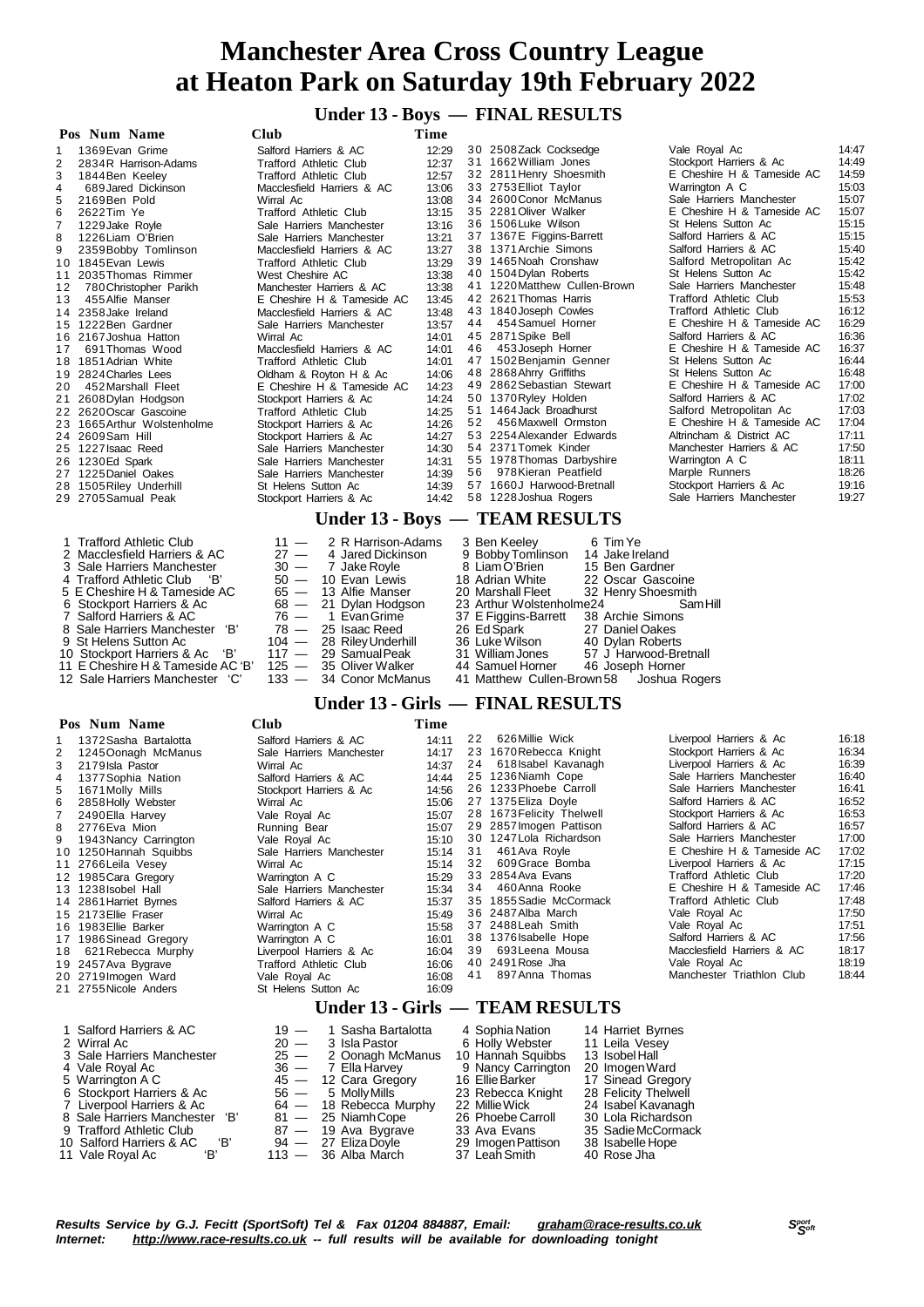#### **Under 13 - Boys — FINAL RESULTS**

| Pos Num Name                 | Club                          | Time  |    |                                      |                               |       |
|------------------------------|-------------------------------|-------|----|--------------------------------------|-------------------------------|-------|
| 1369 Evan Grime              | Salford Harriers & AC         | 12:29 |    | 30 2508 Zack Cocksedge               | Vale Royal Ac                 | 14:47 |
| 2834R Harrison-Adams<br>2    | <b>Trafford Athletic Club</b> | 12:37 |    | 31 1662 William Jones                | Stockport Harriers & Ac       | 14:49 |
| 3<br>1844Ben Keeley          | <b>Trafford Athletic Club</b> | 12:57 |    | 32 2811 Henry Shoesmith              | E Cheshire H & Tameside AC    | 14:59 |
| 689 Jared Dickinson<br>4     | Macclesfield Harriers & AC    | 13:06 |    | 33 2753 Elliot Taylor                | Warrington A C                | 15:03 |
| 2169Ben Pold                 | Wirral Ac                     | 13:08 |    | 34 2600 Conor McManus                | Sale Harriers Manchester      | 15:07 |
| 6<br>2622Tim Ye              | <b>Trafford Athletic Club</b> | 13:15 |    | 35 2281 Oliver Walker                | E Cheshire H & Tameside AC    | 15:07 |
| 1229 Jake Royle              | Sale Harriers Manchester      | 13:16 |    | 36 1506 Luke Wilson                  | St Helens Sutton Ac           | 15:15 |
| 1226 Liam O'Brien<br>8       | Sale Harriers Manchester      | 13:21 |    | 37 1367E Figgins-Barrett             | Salford Harriers & AC         | 15:15 |
| 9<br>2359 Bobby Tomlinson    | Macclesfield Harriers & AC    | 13:27 |    | 38 1371 Archie Simons                | Salford Harriers & AC         | 15:40 |
| 10 1845 Evan Lewis           | Trafford Athletic Club        | 13:29 |    | 39 1465 Noah Cronshaw                | Salford Metropolitan Ac       | 15:42 |
| 2035 Thomas Rimmer<br>11     | West Cheshire AC              | 13:38 |    | 40 1504 Dylan Roberts                | St Helens Sutton Ac           | 15:42 |
| 780 Christopher Parikh<br>12 | Manchester Harriers & AC      | 13:38 |    | 41 1220 Matthew Cullen-Brown         | Sale Harriers Manchester      | 15:48 |
| 13<br>455 Alfie Manser       | E Cheshire H & Tameside AC    | 13:45 |    | 42 2621 Thomas Harris                | Trafford Athletic Club        | 15:53 |
| 2358 Jake Ireland<br>14      | Macclesfield Harriers & AC    | 13:48 |    | 43 1840 Joseph Cowles                | <b>Trafford Athletic Club</b> | 16:12 |
| 15 1222 Ben Gardner          | Sale Harriers Manchester      | 13:57 |    | 44 454 Samuel Horner                 | E Cheshire H & Tameside AC    | 16:29 |
| 16 2167 Joshua Hatton        | Wirral Ac                     | 14:01 |    | 45 2871 Spike Bell                   | Salford Harriers & AC         | 16:36 |
| 691 Thomas Wood<br>17        | Macclesfield Harriers & AC    | 14:01 | 46 | 453 Joseph Horner                    | E Cheshire H & Tameside AC    | 16:37 |
| 1851 Adrian White<br>18.     | Trafford Athletic Club        | 14:01 |    | 47 1502 Benjamin Genner              | St Helens Sutton Ac           | 16:44 |
| 2824 Charles Lees            | Oldham & Royton H & Ac        | 14:06 |    | 48 2868 Ahrry Griffiths              | St Helens Sutton Ac           | 16:48 |
| 452 Marshall Fleet<br>20     | E Cheshire H & Tameside AC    | 14:23 |    | 49 2862 Sebastian Stewart            | E Cheshire H & Tameside AC    | 17:00 |
| 2608 Dylan Hodgson<br>21     | Stockport Harriers & Ac       | 14:24 |    | 50 1370 Ryley Holden                 | Salford Harriers & AC         | 17:02 |
| 22 2620 Oscar Gascoine       | Trafford Athletic Club        | 14:25 |    | 51 1464 Jack Broadhurst              | Salford Metropolitan Ac       | 17:03 |
| 23 1665 Arthur Wolstenholme  | Stockport Harriers & Ac       | 14:26 | 52 | 456 Maxwell Ormston                  | E Cheshire H & Tameside AC    | 17:04 |
| 24 2609 Sam Hill             | Stockport Harriers & Ac       | 14:27 |    | 53 2254 Alexander Edwards            | Altrincham & District AC      | 17:11 |
| 25 1227 Isaac Reed           | Sale Harriers Manchester      | 14:30 |    | 54 2371 Tomek Kinder                 | Manchester Harriers & AC      | 17:50 |
| 26 1230 Ed Spark             | Sale Harriers Manchester      | 14:31 |    | 55 1978 Thomas Darbyshire            | Warrington A C                | 18:11 |
| 27 1225 Daniel Oakes         | Sale Harriers Manchester      | 14:39 | 56 | 978Kieran Peatfield                  | Marple Runners                | 18:26 |
| 28 1505 Riley Underhill      | St Helens Sutton Ac           | 14:39 |    | 57 1660J Harwood-Bretnall            | Stockport Harriers & Ac       | 19:16 |
| 29 2705 Samual Peak          | Stockport Harriers & Ac       | 14:42 |    | 58 1228 Joshua Rogers                | Sale Harriers Manchester      | 19:27 |
|                              |                               |       |    | Under 13 - Boys - TEAM RESULTS       |                               |       |
| 1 Trafford Athletic Club     |                               |       |    | 3 Ben Keeley<br>6 Tim Ye             |                               |       |
| 2 Macclesfield Harriers & AC | 2 R Harrison-Adams<br>$11 -$  |       |    |                                      |                               |       |
|                              | $27 -$<br>4 Jared Dickinson   |       |    | 9 Bobby Tomlinson<br>14 Jake Ireland |                               |       |

| 2 Macclesfield Harriers & AC      | $27 - 4$ Jared Dickinson | 9 Bobby Tomlinson    | 14 Jake Ireland                          |
|-----------------------------------|--------------------------|----------------------|------------------------------------------|
| 3 Sale Harriers Manchester        | $30 - 7$ Jake Rovle      | 8 Liam O'Brien       | 15 Ben Gardner                           |
| 4 Trafford Athletic Club 'B'      | $50 - 10$ Evan Lewis     | 18 Adrian White      | 22 Oscar Gascoine                        |
| 5 E Cheshire H & Tameside AC      | $65 - 13$ Alfie Manser   | 20 Marshall Fleet    | 32 Henry Shoesmith                       |
| 6 Stockport Harriers & Ac         | 68 - 21 Dylan Hodgson    |                      | 23 Arthur Wolstenholme 24 Sam Hill       |
| 7 Salford Harriers & AC           | 76 — 1 Evan Grime        | 37 E Figgins-Barrett | 38 Archie Simons                         |
| 8 Sale Harriers Manchester 'B'    | $78 - 25$ Isaac Reed     | 26 Ed Spark          | 27 Daniel Oakes                          |
| 9 St Helens Sutton Ac             | 104 - 28 Riley Underhill | 36 Luke Wilson       | 40 Dylan Roberts                         |
| 10 Stockport Harriers & Ac 'B'    | $117 - 29$ Samual Peak   | 31 William Jones     | 57 J Harwood-Bretnall                    |
| 11 E Cheshire H & Tameside AC 'B' | $125 - 35$ Oliver Walker | 44 Samuel Horner     | 46 Joseph Horner                         |
| 12 Sale Harriers Manchester 'C'   | 133 - 34 Conor McManus   |                      | 41 Matthew Cullen-Brown 58 Joshua Rogers |

# 41 Matthew Cullen-Brown58 Joshua Rogers

#### **Under 13 - Girls — FINAL RESULTS**

#### **Pos Num Name Club Time**

| I VS-                                                   | - гупш туаше                                                                                                                                                                                                                                                                                                                                                                                                                                   | UMU                                                                                                                                                                                                                                                                                                                                                                                                            | 1 нис                                                                                                                                                                   |                                  |                                                                                                                                                                                                                                                                                                                                                                                                                                              |                                                                                                                                                                  |                                                                                                                                                                                                                                                                                                                                                                                                                                                                                                                   |                                                                                                                                                                         |
|---------------------------------------------------------|------------------------------------------------------------------------------------------------------------------------------------------------------------------------------------------------------------------------------------------------------------------------------------------------------------------------------------------------------------------------------------------------------------------------------------------------|----------------------------------------------------------------------------------------------------------------------------------------------------------------------------------------------------------------------------------------------------------------------------------------------------------------------------------------------------------------------------------------------------------------|-------------------------------------------------------------------------------------------------------------------------------------------------------------------------|----------------------------------|----------------------------------------------------------------------------------------------------------------------------------------------------------------------------------------------------------------------------------------------------------------------------------------------------------------------------------------------------------------------------------------------------------------------------------------------|------------------------------------------------------------------------------------------------------------------------------------------------------------------|-------------------------------------------------------------------------------------------------------------------------------------------------------------------------------------------------------------------------------------------------------------------------------------------------------------------------------------------------------------------------------------------------------------------------------------------------------------------------------------------------------------------|-------------------------------------------------------------------------------------------------------------------------------------------------------------------------|
| 2<br>3<br>4<br>5<br>6<br>$\overline{7}$<br>8<br>9<br>18 | 1372 Sasha Bartalotta<br>1245 Oonagh McManus<br>2179 Isla Pastor<br>1377 Sophia Nation<br>1671 Molly Mills<br>2858 Holly Webster<br>2490 Ella Harvey<br>2776 Eva Mion<br>1943 Nancy Carrington<br>10 1250 Hannah Squibbs<br>11 2766 Leila Vesey<br>12 1985 Cara Gregory<br>13 1238 sobel Hall<br>14 2861 Harriet Byrnes<br>15 2173 Ellie Fraser<br>16 1983 Ellie Barker<br>17 1986 Sinead Gregory<br>621 Rebecca Murphy<br>19 2457 Ava Bygrave | Salford Harriers & AC<br>Sale Harriers Manchester<br>Wirral Ac<br>Salford Harriers & AC<br>Stockport Harriers & Ac<br>Wirral Ac<br>Vale Royal Ac<br>Running Bear<br>Vale Royal Ac<br>Sale Harriers Manchester<br>Wirral Ac<br>Warrington A C<br>Sale Harriers Manchester<br>Salford Harriers & AC<br>Wirral Ac<br>Warrington A C<br>Warrington A C<br>Liverpool Harriers & Ac<br><b>Trafford Athletic Club</b> | 14:11<br>14:17<br>14:37<br>14:44<br>14:56<br>15:06<br>15:07<br>15:07<br>15:10<br>15:14<br>15:14<br>15:29<br>15:34<br>15:37<br>15:49<br>15:58<br>16:01<br>16:04<br>16:06 | 22<br>24<br>31<br>32<br>34<br>39 | 626 Millie Wick<br>23 1670 Rebecca Knight<br>618 Isabel Kavanagh<br>25 1236 Niamh Cope<br>26 1233 Phoebe Carroll<br>27 1375 Eliza Doyle<br>28 1673 Felicity Thelwell<br>29 2857 Imogen Pattison<br>30 1247 Lola Richardson<br>461 Ava Royle<br>609 Grace Bomba<br>33 2854 Ava Evans<br>460 Anna Rooke<br>35 1855 Sadie McCormack<br>36 2487 Alba March<br>37 2488 Leah Smith<br>38 1376 Isabelle Hope<br>693 Leena Mousa<br>40 2491 Rose Jha |                                                                                                                                                                  | Liverpool Harriers & Ac<br>Stockport Harriers & Ac<br>Liverpool Harriers & Ac<br>Sale Harriers Manchester<br>Sale Harriers Manchester<br>Salford Harriers & AC<br>Stockport Harriers & Ac<br>Salford Harriers & AC<br>Sale Harriers Manchester<br>E Cheshire H & Tameside AC<br>Liverpool Harriers & Ac<br><b>Trafford Athletic Club</b><br>E Cheshire H & Tameside AC<br><b>Trafford Athletic Club</b><br>Vale Royal Ac<br>Vale Royal Ac<br>Salford Harriers & AC<br>Macclesfield Harriers & AC<br>Vale Royal Ac | 16:18<br>16:34<br>16:39<br>16:40<br>16:41<br>16:52<br>16:53<br>16:57<br>17:00<br>17:02<br>17:15<br>17:20<br>17:46<br>17:48<br>17:50<br>17:51<br>17:56<br>18:17<br>18:19 |
|                                                         | 20 2719 Imogen Ward<br>21 2755 Nicole Anders                                                                                                                                                                                                                                                                                                                                                                                                   | Vale Royal Ac<br>St Helens Sutton Ac                                                                                                                                                                                                                                                                                                                                                                           | 16:08<br>16:09                                                                                                                                                          | 41                               | 897 Anna Thomas                                                                                                                                                                                                                                                                                                                                                                                                                              |                                                                                                                                                                  | Manchester Triathlon Club                                                                                                                                                                                                                                                                                                                                                                                                                                                                                         | 18:44                                                                                                                                                                   |
|                                                         |                                                                                                                                                                                                                                                                                                                                                                                                                                                |                                                                                                                                                                                                                                                                                                                                                                                                                |                                                                                                                                                                         |                                  | Under 13 - Girls — TEAM RESULTS                                                                                                                                                                                                                                                                                                                                                                                                              |                                                                                                                                                                  |                                                                                                                                                                                                                                                                                                                                                                                                                                                                                                                   |                                                                                                                                                                         |
|                                                         | 1 Salford Harriers & AC<br>2 Wirral Ac<br>3 Sale Harriers Manchester<br>4 Vale Royal Ac<br>5 Warrington A C<br>6 Stockport Harriers & Ac<br>7 Liverpool Harriers & Ac<br>8 Sale Harriers Manchester<br>'В'                                                                                                                                                                                                                                     | $19 -$<br>1 Sasha Bartalotta<br>$20 -$<br>3 Isla Pastor<br>$25 -$<br>2 Oonagh McManus<br>$36 -$<br>7 Ella Harvey<br>$45 -$<br>12 Cara Gregory<br>$56 -$<br>5 Molly Mills<br>18 Rebecca Murphy<br>$64 -$<br>25 Niamh Cope<br>81.<br>$\overline{\phantom{m}}$                                                                                                                                                    |                                                                                                                                                                         |                                  | 4 Sophia Nation<br>6 Holly Webster<br>10 Hannah Squibbs<br>9 Nancy Carrington<br>16 Ellie Barker<br>23 Rebecca Knight<br>22 Millie Wick<br>26 Phoebe Carroll                                                                                                                                                                                                                                                                                 | 14 Harriet Byrnes<br>11 Leila Vesey<br>13 Isobel Hall<br>20 Imogen Ward<br>17 Sinead Gregory<br>28 Felicity Thelwell<br>24 Isabel Kavanagh<br>30 Lola Richardson |                                                                                                                                                                                                                                                                                                                                                                                                                                                                                                                   |                                                                                                                                                                         |

- 9 Trafford Athletic Club 87 19 Ava Bygrave 33 Ava Evans 35 SadieMcCormack Salford Harriers & AC 'B' 94 27 Eliza Doyle 29 ImogenPattison 38 Isabelle Hope
- 
- 
- -
- 11 Vale Royal Ac 'B' 113 36 Alba March 37 Leah Smith 40 Rose Jha 11 Vale Royal Ac 'B' 113 36 Alba March 37 Leah Smith 40 Rose Jha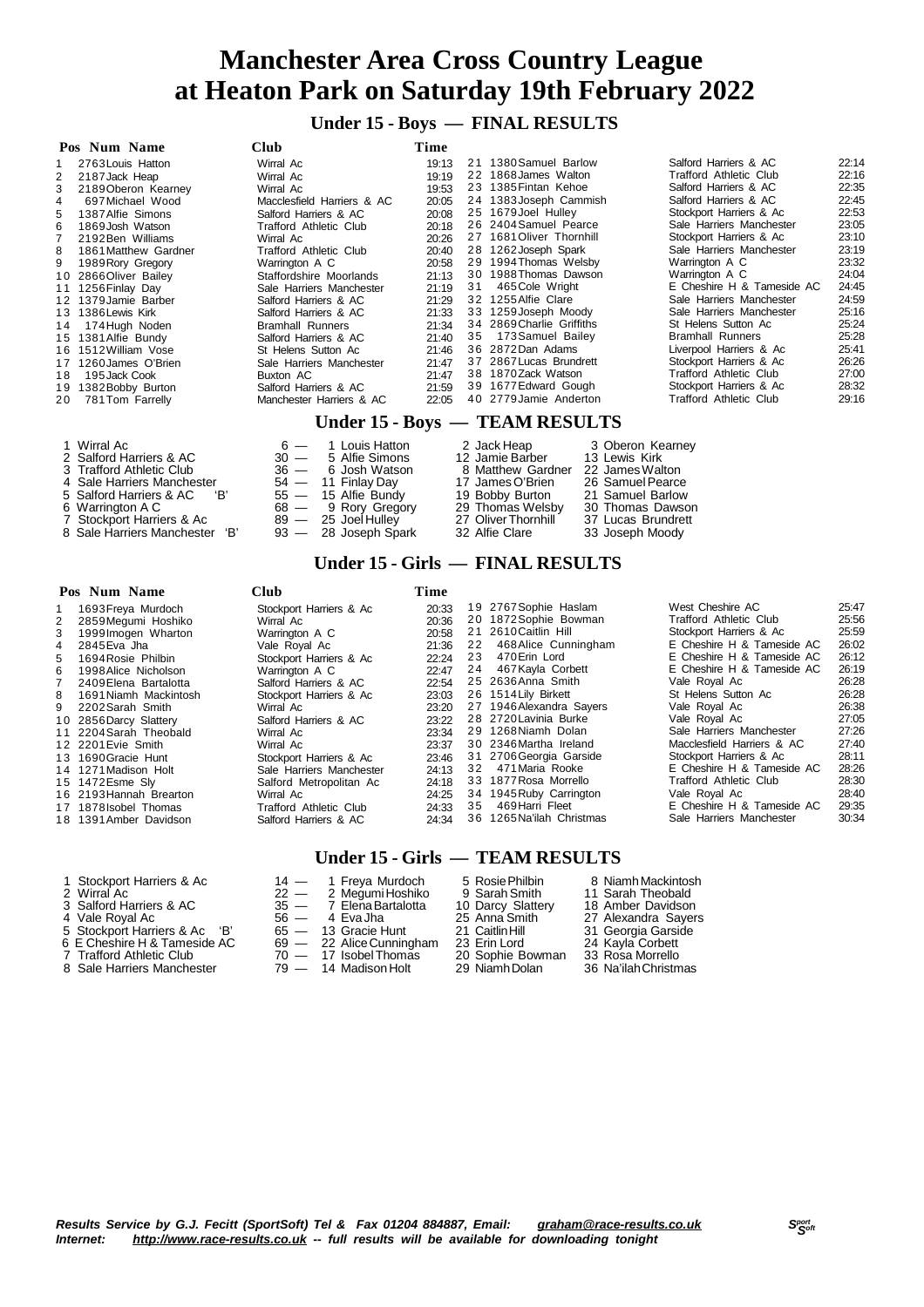**Under 15 - Boys — FINAL RESULTS**

|    | Pos Num Name          | <b>Club</b>                                                              | Time  |                           |                               |       |
|----|-----------------------|--------------------------------------------------------------------------|-------|---------------------------|-------------------------------|-------|
|    | 2763 Louis Hatton     | Wirral Ac                                                                | 19:13 | 21 1380 Samuel Barlow     | Salford Harriers & AC         | 22:14 |
| 2  | 2187 Jack Heap        | Wirral Ac                                                                | 19:19 | 22 1868 James Walton      | Trafford Athletic Club        | 22:16 |
| 3  | 2189 Oberon Kearney   | Wirral Ac                                                                | 19:53 | 23 1385 Fintan Kehoe      | Salford Harriers & AC         | 22:35 |
|    | 697 Michael Wood      | Macclesfield Harriers & AC                                               | 20:05 | 24 1383 Joseph Cammish    | Salford Harriers & AC         | 22:45 |
| 5  | 1387 Alfie Simons     | Salford Harriers & AC                                                    | 20:08 | 25 1679 Joel Hulley       | Stockport Harriers & Ac       | 22:53 |
| 6  | 1869 Josh Watson      | <b>Trafford Athletic Club</b>                                            | 20:18 | 26 2404 Samuel Pearce     | Sale Harriers Manchester      | 23:05 |
|    | 2192Ben Williams      | Wirral Ac                                                                | 20:26 | 27 1681 Oliver Thornhill  | Stockport Harriers & Ac       | 23:10 |
| 8  | 1861 Matthew Gardner  | <b>Trafford Athletic Club</b>                                            | 20:40 | 28 1262 Joseph Spark      | Sale Harriers Manchester      | 23:19 |
| 9  | 1989 Rory Gregory     | Warrington A C                                                           | 20:58 | 29 1994 Thomas Welsby     | Warrington A C                | 23:32 |
|    | 10 2866 Oliver Bailey | Staffordshire Moorlands                                                  | 21:13 | 30 1988 Thomas Dawson     | Warrington A C                | 24:04 |
| 11 | 1256 Finlay Day       | Sale Harriers Manchester                                                 | 21:19 | 31 465 Cole Wright        | E Cheshire H & Tameside AC    | 24:45 |
|    | 12 1379 Jamie Barber  | Salford Harriers & AC                                                    | 21:29 | 32 1255 Alfie Clare       | Sale Harriers Manchester      | 24:59 |
|    | 13 1386 Lewis Kirk    | Salford Harriers & AC                                                    | 21:33 | 33 1259 Joseph Moody      | Sale Harriers Manchester      | 25:16 |
| 14 | 174 Hugh Noden        | <b>Bramhall Runners</b>                                                  | 21:34 | 34 2869 Charlie Griffiths | St Helens Sutton Ac           | 25:24 |
|    | 15 1381 Alfie Bundy   | Salford Harriers & AC                                                    | 21:40 | 35 173 Samuel Bailey      | <b>Bramhall Runners</b>       | 25:28 |
|    | 16 1512 William Vose  | St Helens Sutton Ac                                                      | 21:46 | 36 2872 Dan Adams         | Liverpool Harriers & Ac       | 25:41 |
| 17 | 1260 James O'Brien    | Sale Harriers Manchester                                                 | 21:47 | 37 2867 Lucas Brundrett   | Stockport Harriers & Ac       | 26:26 |
| 18 | 195 Jack Cook         | Buxton AC                                                                | 21:47 | 38 1870 Zack Watson       | <b>Trafford Athletic Club</b> | 27:00 |
| 19 | 1382 Bobby Burton     | Salford Harriers & AC                                                    | 21:59 | 39 1677 Edward Gough      | Stockport Harriers & Ac       | 28:32 |
| 20 | 781 Tom Farrelly      | Manchester Harriers & AC                                                 | 22:05 | 40 2779 Jamie Anderton    | <b>Trafford Athletic Club</b> | 29:16 |
|    |                       | $\mathbf{H}$ . $\mathbf{H}$ . $\mathbf{H}$ . $\mathbf{H}$ . $\mathbf{H}$ |       | TE A M DECHI TO           |                               |       |

#### **Under 15 - Boys — TEAM RESULTS**

| 1 Wirral Ac                    |        | $6 - 1$ Louis Hatton  | 2 Jack Heap         | 3 Oberon Kearney   |
|--------------------------------|--------|-----------------------|---------------------|--------------------|
| 2 Salford Harriers & AC        |        | $30 - 5$ Alfie Simons | 12 Jamie Barber     | 13 Lewis Kirk      |
| 3 Trafford Athletic Club       | $36 -$ | 6 Josh Watson         | 8 Matthew Gardner   | 22 James Walton    |
| 4 Sale Harriers Manchester     |        | $54 - 11$ Finlay Day  | 17 James O'Brien    | 26 Samuel Pearce   |
| 5 Salford Harriers & AC 'B'    |        | $55 - 15$ Alfie Bundy | 19 Bobby Burton     | 21 Samuel Barlow   |
| 6 Warrington A C               |        | 68 - 9 Rory Gregory   | 29 Thomas Welsby    | 30 Thomas Dawson   |
| 7 Stockport Harriers & Ac      |        | 89 — 25 Joel Hulley   | 27 Oliver Thornhill | 37 Lucas Brundrett |
| 8 Sale Harriers Manchester 'B' |        | 93 — 28 Joseph Spark  | 32 Alfie Clare      | 33 Joseph Moody    |

#### **Under 15 - Girls — FINAL RESULTS**

|   | Pos Num Name            | <b>Club</b>              | Time  |    |                           |                               |       |
|---|-------------------------|--------------------------|-------|----|---------------------------|-------------------------------|-------|
|   | 1693 Freya Murdoch      | Stockport Harriers & Ac  | 20:33 |    | 19 2767 Sophie Haslam     | West Cheshire AC              | 25:47 |
| 2 | 2859 Megumi Hoshiko     | Wirral Ac                | 20:36 |    | 20 1872 Sophie Bowman     | <b>Trafford Athletic Club</b> | 25:56 |
| 3 | 1999 Imogen Wharton     | Warrington A C           | 20:58 |    | 21 2610 Caitlin Hill      | Stockport Harriers & Ac       | 25:59 |
| 4 | 2845 Eva Jha            | Vale Roval Ac            | 21:36 |    | 22 468 Alice Cunningham   | E Cheshire H & Tameside AC    | 26:02 |
| 5 | 1694 Rosie Philbin      | Stockport Harriers & Ac  | 22:24 | 23 | 470 Erin Lord             | E Cheshire H & Tameside AC    | 26:12 |
| 6 | 1998 Alice Nicholson    | Warrington A C           | 22:47 | 24 | 467 Kayla Corbett         | E Cheshire H & Tameside AC    | 26:19 |
|   | 7 2409 Elena Bartalotta | Salford Harriers & AC    | 22:54 |    | 25 2636 Anna Smith        | Vale Royal Ac                 | 26:28 |
| 8 | 1691Niamh Mackintosh    | Stockport Harriers & Ac  | 23:03 |    | 26 1514 Lily Birkett      | St Helens Sutton Ac           | 26:28 |
|   | 9 2202 Sarah Smith      | Wirral Ac                | 23:20 |    | 27 1946 Alexandra Sayers  | Vale Roval Ac                 | 26:38 |
|   | 10 2856 Darcy Slattery  | Salford Harriers & AC    | 23:22 |    | 28 2720 Lavinia Burke     | Vale Royal Ac                 | 27:05 |
|   | 11 2204 Sarah Theobald  | Wirral Ac                | 23:34 |    | 29 1268 Niamh Dolan       | Sale Harriers Manchester      | 27:26 |
|   | 12 2201 Evie Smith      | Wirral Ac                | 23:37 |    | 30 2346 Martha Ireland    | Macclesfield Harriers & AC    | 27:40 |
|   | 13 1690 Gracie Hunt     | Stockport Harriers & Ac  | 23:46 |    | 31 2706 Georgia Garside   | Stockport Harriers & Ac       | 28:11 |
|   | 14 1271 Madison Holt    | Sale Harriers Manchester | 24:13 |    | 32 471 Maria Rooke        | E Cheshire H & Tameside AC    | 28:26 |
|   | 15 1472 Esme Sly        | Salford Metropolitan Ac  | 24:18 |    | 33 1877 Rosa Morrello     | <b>Trafford Athletic Club</b> | 28:30 |
|   | 16 2193 Hannah Brearton | Wirral Ac                | 24:25 |    | 34 1945 Ruby Carrington   | Vale Royal Ac                 | 28:40 |
|   | 17 1878 Isobel Thomas   | Trafford Athletic Club   | 24:33 | 35 | 469 Harri Fleet           | E Cheshire H & Tameside AC    | 29:35 |
|   | 18 1391 Amber Davidson  | Salford Harriers & AC    | 24:34 |    | 36 1265 Na'ilah Christmas | Sale Harriers Manchester      | 30:34 |

#### **Under 15 - Girls — TEAM RESULTS**

1 Stockport Harriers & Ac  $\begin{array}{ccc} 14 - 1$  Freya Murdoch 5 Rosie Philbin 8 Niamh Mackintosh<br>
2 Wirral Ac  $\begin{array}{ccc} 22 - 2$  Megumi Hoshiko 9 Sarah Smith 11 Sarah Theobald<br>
3 Salford Harriers & Ac  $\begin{array}{ccc} 35 - 7 \end{array}$  Elena Ba Wirral Ac 22 — 2 MegumiHoshiko 9 SarahSmith 11 Sarah Theobald Salford Harriers & AC 35 — 7 ElenaBartalotta 10 Darcy Slattery 18 Amber Davidson 4 Vale Royal Ac 56 — 4 Eva Jha 25 Anna Smith 27 Alexandra Sayers 4 Vale Royal Ac  $56 - 4$  Eva Jha 25 Anna Smith 27 Alexandra Sayers<br>
5 Stockport Harriers & Ac 'B'  $65 - 13$  Gracie Hunt 21 Caitlin Hill 31 Georgia Garside<br>
6 E Cheshire H & Tameside AC  $69 - 22$  Alice Cunningham 23 Erin Lord E Cheshire H & Tameside AC 69 — 22 AliceCunningham 23 Erin Lord 24 Kayla Corbett 7 Trafford Athletic Club 70 — 17 IsobelThomas 20 Sophie Bowman 33 Rosa Morrello Sale Harriers Manchester 79 — 14 Madison Holt 29 NiamhDolan 36 Na'ilahChristmas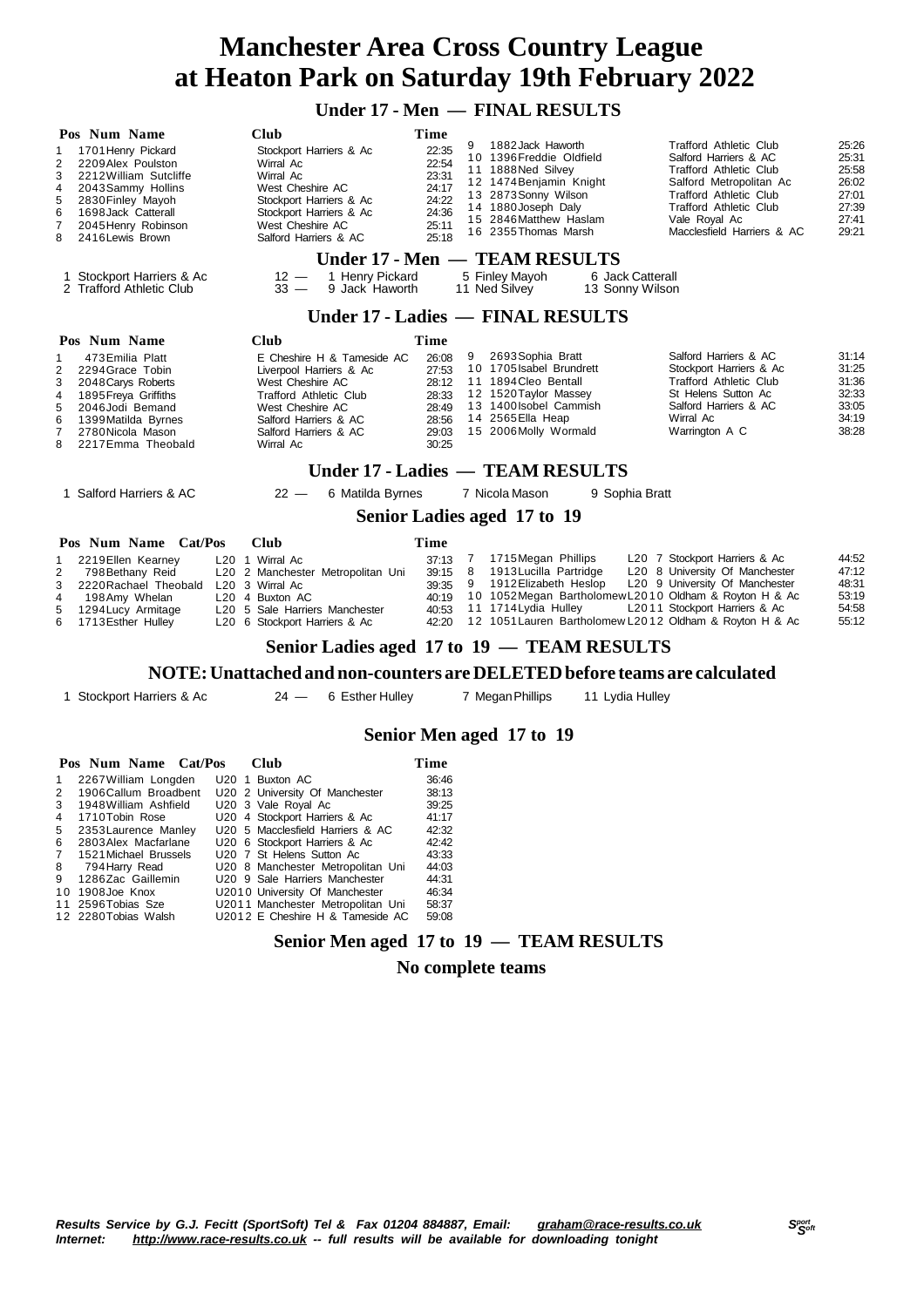### **Under 17 - Men — FINAL RESULTS**

| Pos Num Name                                                                                                                                                                                                                              | <b>Club</b>                                                                                                                                                                                   | Time                                                                                                                                                                                                                                                                              |                                                                                                                                                                                                                                                                                                      |  |  |  |  |  |
|-------------------------------------------------------------------------------------------------------------------------------------------------------------------------------------------------------------------------------------------|-----------------------------------------------------------------------------------------------------------------------------------------------------------------------------------------------|-----------------------------------------------------------------------------------------------------------------------------------------------------------------------------------------------------------------------------------------------------------------------------------|------------------------------------------------------------------------------------------------------------------------------------------------------------------------------------------------------------------------------------------------------------------------------------------------------|--|--|--|--|--|
| 1701 Henry Pickard<br>1<br>2<br>2209Alex Poulston<br>3<br>2212 William Sutcliffe<br>4<br>2043Sammy Hollins<br>5<br>2830 Finley Mayoh<br>1698 Jack Catterall<br>6<br>$\overline{7}$<br>2045 Henry Robinson<br>8<br>2416 Lewis Brown        | Stockport Harriers & Ac<br>Wirral Ac<br>Wirral Ac<br>West Cheshire AC<br>Stockport Harriers & Ac<br>Stockport Harriers & Ac<br>West Cheshire AC<br>Salford Harriers & AC                      | 1882 Jack Haworth<br>9<br>22:35<br>10 1396 Freddie Oldfield<br>22:54<br>11 1888 Ned Silvey<br>23:31<br>12 1474 Benjamin Knight<br>24:17<br>13 2873 Sonny Wilson<br>24:22<br>14 1880 Joseph Daly<br>24:36<br>15 2846 Matthew Haslam<br>25:11<br>16 2355 Thomas Marsh<br>25:18      | <b>Trafford Athletic Club</b><br>25:26<br>25:31<br>Salford Harriers & AC<br>25:58<br>Trafford Athletic Club<br>26:02<br>Salford Metropolitan Ac<br><b>Trafford Athletic Club</b><br>27:01<br>27:39<br><b>Trafford Athletic Club</b><br>27:41<br>Vale Royal Ac<br>Macclesfield Harriers & AC<br>29:21 |  |  |  |  |  |
|                                                                                                                                                                                                                                           |                                                                                                                                                                                               | Under 17 - Men - TEAM RESULTS                                                                                                                                                                                                                                                     |                                                                                                                                                                                                                                                                                                      |  |  |  |  |  |
| Stockport Harriers & Ac<br>2 Trafford Athletic Club                                                                                                                                                                                       | $12 -$<br>1 Henry Pickard<br>9 Jack Haworth<br>$33 -$                                                                                                                                         | 5 Finley Mayoh<br>6 Jack Catterall<br>11 Ned Silvey<br>13 Sonny Wilson                                                                                                                                                                                                            |                                                                                                                                                                                                                                                                                                      |  |  |  |  |  |
| Under 17 - Ladies — FINAL RESULTS                                                                                                                                                                                                         |                                                                                                                                                                                               |                                                                                                                                                                                                                                                                                   |                                                                                                                                                                                                                                                                                                      |  |  |  |  |  |
| Pos Num Name                                                                                                                                                                                                                              | <b>Club</b>                                                                                                                                                                                   | <b>Time</b>                                                                                                                                                                                                                                                                       |                                                                                                                                                                                                                                                                                                      |  |  |  |  |  |
| 473 Emilia Platt<br>1<br>2<br>2294 Grace Tobin<br>3<br>2048 Carys Roberts<br>$\overline{4}$<br>1895 Freya Griffiths<br>5<br>2046Jodi Bemand<br>6<br>1399 Matilda Byrnes<br>$\overline{7}$<br>2780 Nicola Mason<br>8<br>2217 Emma Theobald | E Cheshire H & Tameside AC<br>Liverpool Harriers & Ac<br>West Cheshire AC<br><b>Trafford Athletic Club</b><br>West Cheshire AC<br>Salford Harriers & AC<br>Salford Harriers & AC<br>Wirral Ac | 2693 Sophia Bratt<br>9<br>26:08<br>10 1705 Isabel Brundrett<br>27:53<br>11 1894 Cleo Bentall<br>28:12<br>12 1520 Taylor Massey<br>28:33<br>13 1400 Isobel Cammish<br>28:49<br>14 2565 Ella Heap<br>28:56<br>15 2006 Molly Wormald<br>29:03<br>30:25                               | Salford Harriers & AC<br>31:14<br>31:25<br>Stockport Harriers & Ac<br><b>Trafford Athletic Club</b><br>31:36<br>32:33<br>St Helens Sutton Ac<br>33:05<br>Salford Harriers & AC<br>34:19<br>Wirral Ac<br>38:28<br>Warrington A C                                                                      |  |  |  |  |  |
|                                                                                                                                                                                                                                           |                                                                                                                                                                                               | Under 17 - Ladies — TEAM RESULTS                                                                                                                                                                                                                                                  |                                                                                                                                                                                                                                                                                                      |  |  |  |  |  |
| 1 Salford Harriers & AC                                                                                                                                                                                                                   | 6 Matilda Byrnes<br>$22 -$                                                                                                                                                                    | 7 Nicola Mason<br>9 Sophia Bratt                                                                                                                                                                                                                                                  |                                                                                                                                                                                                                                                                                                      |  |  |  |  |  |
|                                                                                                                                                                                                                                           |                                                                                                                                                                                               | Senior Ladies aged 17 to 19                                                                                                                                                                                                                                                       |                                                                                                                                                                                                                                                                                                      |  |  |  |  |  |
| Pos Num Name Cat/Pos                                                                                                                                                                                                                      | <b>Club</b>                                                                                                                                                                                   | Time                                                                                                                                                                                                                                                                              |                                                                                                                                                                                                                                                                                                      |  |  |  |  |  |
| 2219 Ellen Kearney<br>1<br>$\overline{2}$<br>798 Bethany Reid<br>3<br>2220 Rachael Theobald<br>4<br>198 Amy Whelan<br>5<br>1294 Lucy Armitage<br>6<br>1713 Esther Hulley                                                                  | L <sub>20</sub> 1 Wirral Ac<br>L20 2 Manchester Metropolitan Uni<br>L20 3 Wirral Ac<br>L20 4 Buxton AC<br>L20 5 Sale Harriers Manchester<br>L20 6 Stockport Harriers & Ac                     | 7 1715 Megan Phillips<br>37:13<br>8<br>1913 Lucilla Partridge<br>39:15<br>9 1912 Elizabeth Heslop<br>39:35<br>10 1052Megan Bartholomew L2010 Oldham & Royton H & Ac<br>40:19<br>11 1714 Lydia Hulley<br>40:53<br>12 1051 Lauren Bartholomew L2012 Oldham & Royton H & Ac<br>42:20 | L20 7 Stockport Harriers & Ac<br>44:52<br>47:12<br>L20 8 University Of Manchester<br>L20 9 University Of Manchester<br>48:31<br>53:19<br>L2011 Stockport Harriers & Ac<br>54:58<br>55:12                                                                                                             |  |  |  |  |  |
|                                                                                                                                                                                                                                           |                                                                                                                                                                                               | Senior Ladies aged 17 to 19 - TEAM RESULTS                                                                                                                                                                                                                                        |                                                                                                                                                                                                                                                                                                      |  |  |  |  |  |
|                                                                                                                                                                                                                                           |                                                                                                                                                                                               | NOTE: Unattached and non-counters are DELETED before teams are calculated                                                                                                                                                                                                         |                                                                                                                                                                                                                                                                                                      |  |  |  |  |  |
| 1 Stockport Harriers & Ac                                                                                                                                                                                                                 | $24 -$<br>6 Esther Hulley                                                                                                                                                                     | 7 Megan Phillips<br>11 Lydia Hulley                                                                                                                                                                                                                                               |                                                                                                                                                                                                                                                                                                      |  |  |  |  |  |
|                                                                                                                                                                                                                                           |                                                                                                                                                                                               | Senior Men aged 17 to 19                                                                                                                                                                                                                                                          |                                                                                                                                                                                                                                                                                                      |  |  |  |  |  |

#### **Senior Men aged 17 to 19**

|                | Pos Num Name Cat/Pos  |  | Club                                  | Time  |
|----------------|-----------------------|--|---------------------------------------|-------|
| 1              | 2267 William Longden  |  | U <sub>20</sub> 1 Buxton AC           | 36.46 |
| 2              | 1906 Callum Broadbent |  | U20 2 University Of Manchester        | 38:13 |
| 3              | 1948 William Ashfield |  | U20 3 Vale Royal Ac                   | 39:25 |
| 4              | 1710Tobin Rose        |  | U20 4 Stockport Harriers & Ac         | 41:17 |
| 5              | 2353 Laurence Manley  |  | U20 5 Macclesfield Harriers & AC      | 42:32 |
| 6              | 2803 Alex Macfarlane  |  | U20 6 Stockport Harriers & Ac         | 42:42 |
| $\overline{7}$ | 1521 Michael Brussels |  | U <sub>20</sub> 7 St Helens Sutton Ac | 43:33 |
| 8              | 794 Harry Read        |  | U20 8 Manchester Metropolitan Uni     | 44:03 |
| 9              | 1286Zac Gaillemin     |  | U20 9 Sale Harriers Manchester        | 44:31 |
|                | 10 1908 Joe Knox      |  | U2010 University Of Manchester        | 46:34 |
|                | 11 2596 Tobias Sze    |  | U2011 Manchester Metropolitan Uni     | 58:37 |
|                | 12 2280 Tobias Walsh  |  | U2012 E Cheshire H & Tameside AC      | 59:08 |

#### **Senior Men aged 17 to 19 — TEAM RESULTS**

#### **No complete teams**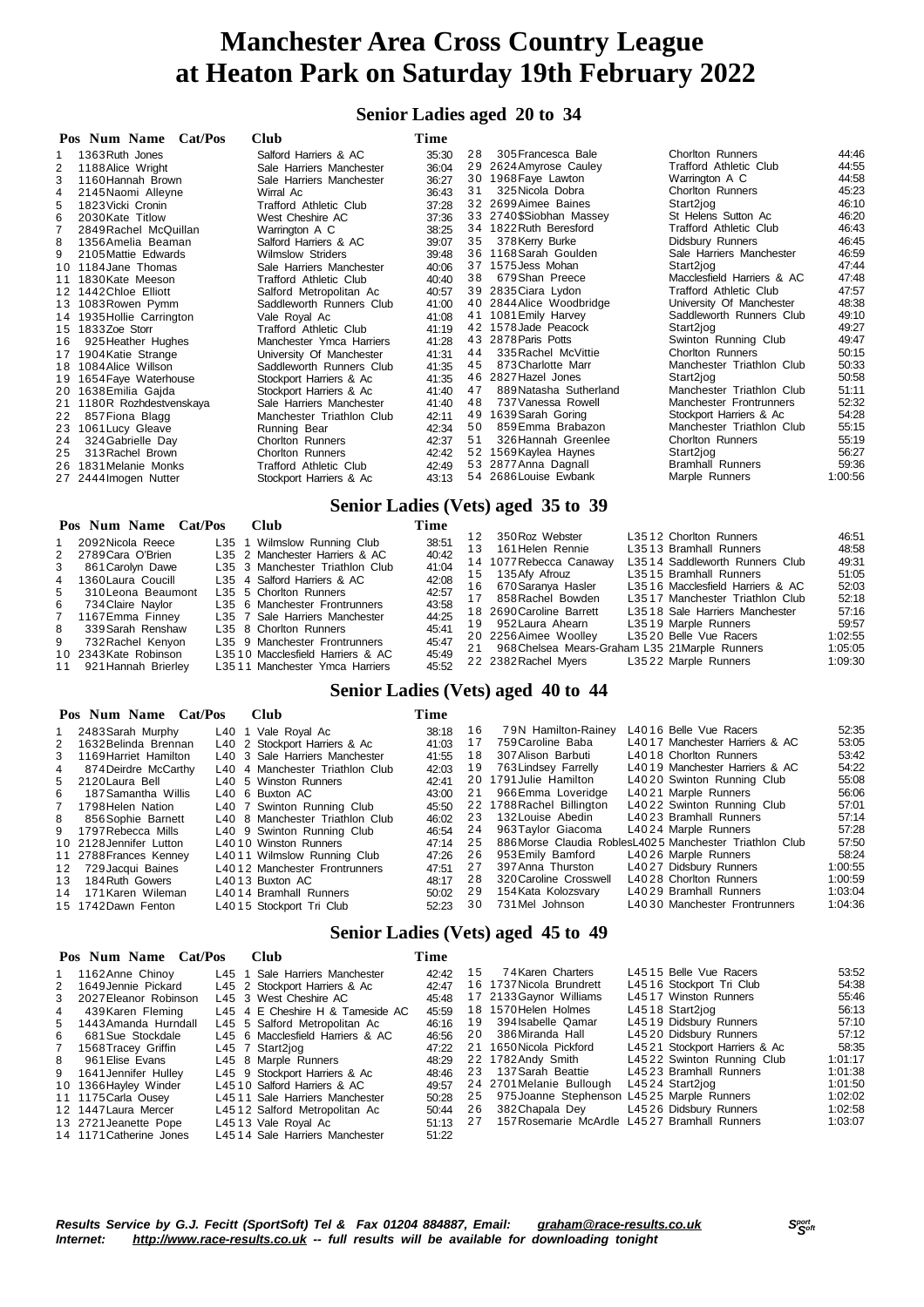#### **Senior Ladies aged 20 to 34**

|    | Pos Num Name Cat/Pos      | <b>Club</b>               | Time  |    |                          |                               |         |
|----|---------------------------|---------------------------|-------|----|--------------------------|-------------------------------|---------|
|    | 1363 Ruth Jones           | Salford Harriers & AC     | 35:30 | 28 | 305 Francesca Bale       | <b>Chorlton Runners</b>       | 44:46   |
| 2  | 1188 Alice Wright         | Sale Harriers Manchester  | 36:04 |    | 29 2624 Amyrose Cauley   | <b>Trafford Athletic Club</b> | 44:55   |
| 3  | 1160 Hannah Brown         | Sale Harriers Manchester  | 36:27 | 30 | 1968 Faye Lawton         | Warrington A C                | 44:58   |
| 4  | 2145 Naomi Alleyne        | Wirral Ac                 | 36:43 | 31 | 325 Nicola Dobra         | Chorlton Runners              | 45:23   |
| 5  | 1823 Vicki Cronin         | Trafford Athletic Club    | 37:28 |    | 32 2699 Aimee Baines     | Start2jog                     | 46:10   |
| 6  | 2030 Kate Titlow          | West Cheshire AC          | 37:36 |    | 33 2740\$Siobhan Massey  | St Helens Sutton Ac           | 46:20   |
|    | 2849 Rachel McQuillan     | Warrington A C            | 38:25 |    | 34 1822 Ruth Beresford   | <b>Trafford Athletic Club</b> | 46:43   |
| 8  | 1356 Amelia Beaman        | Salford Harriers & AC     | 39:07 | 35 | 378 Kerry Burke          | Didsbury Runners              | 46:45   |
| 9  | 2105 Mattie Edwards       | <b>Wilmslow Striders</b>  | 39:48 |    | 36 1168 Sarah Goulden    | Sale Harriers Manchester      | 46:59   |
|    | 10 1184 Jane Thomas       | Sale Harriers Manchester  | 40:06 |    | 37 1575 Jess Mohan       | Start2jog                     | 47:44   |
|    | 11 1830 Kate Meeson       | Trafford Athletic Club    | 40:40 | 38 | 679Shan Preece           | Macclesfield Harriers & AC    | 47:48   |
|    | 12 1442 Chloe Elliott     | Salford Metropolitan Ac   | 40:57 |    | 39 2835 Ciara Lydon      | <b>Trafford Athletic Club</b> | 47:57   |
|    | 13 1083 Rowen Pymm        | Saddleworth Runners Club  | 41:00 |    | 40 2844 Alice Woodbridge | University Of Manchester      | 48:38   |
|    | 14 1935 Hollie Carrington | Vale Royal Ac             | 41:08 | 41 | 1081 Emily Harvey        | Saddleworth Runners Club      | 49:10   |
|    | 15 1833Zoe Storr          | Trafford Athletic Club    | 41:19 |    | 42 1578 Jade Peacock     | Start2jog                     | 49:27   |
| 16 | 925 Heather Hughes        | Manchester Ymca Harriers  | 41:28 |    | 43 2878 Paris Potts      | Swinton Running Club          | 49:47   |
| 17 | 1904 Katie Strange        | University Of Manchester  | 41:31 | 44 | 335 Rachel McVittie      | <b>Chorlton Runners</b>       | 50:15   |
|    | 18 1084 Alice Willson     | Saddleworth Runners Club  | 41:35 | 45 | 873 Charlotte Marr       | Manchester Triathlon Club     | 50:33   |
| 19 | 1654 Faye Waterhouse      | Stockport Harriers & Ac   | 41:35 |    | 46 2827 Hazel Jones      | Start2jog                     | 50:58   |
|    | 20 1638 Emilia Gaida      | Stockport Harriers & Ac   | 41:40 | 47 | 889 Natasha Sutherland   | Manchester Triathlon Club     | 51:11   |
|    | 21 1180R Rozhdestvenskaya | Sale Harriers Manchester  | 41:40 | 48 | 737 Vanessa Rowell       | Manchester Frontrunners       | 52:32   |
| 22 | 857 Fiona Blagg           | Manchester Triathlon Club | 42:11 | 49 | 1639 Sarah Goring        | Stockport Harriers & Ac       | 54:28   |
|    | 23 1061 Lucy Gleave       | Running Bear              | 42:34 | 50 | 859 Emma Brabazon        | Manchester Triathlon Club     | 55:15   |
| 24 | 324 Gabrielle Day         | Chorlton Runners          | 42:37 | 51 | 326 Hannah Greenlee      | <b>Chorlton Runners</b>       | 55:19   |
| 25 | 313 Rachel Brown          | <b>Chorlton Runners</b>   | 42:42 | 52 | 1569 Kaylea Haynes       | Start2jog                     | 56:27   |
|    | 26 1831 Melanie Monks     | Trafford Athletic Club    | 42:49 |    | 53 2877 Anna Dagnall     | <b>Bramhall Runners</b>       | 59:36   |
|    | 27 2444 Imogen Nutter     | Stockport Harriers & Ac   | 43:13 |    | 54 2686 Louise Ewbank    | Marple Runners                | 1:00:56 |

#### **Senior Ladies (Vets) aged 35 to 39**

| Pos Num Name Cat/Pos  | Club |                                  | Time  |     |                                                |                                  |         |
|-----------------------|------|----------------------------------|-------|-----|------------------------------------------------|----------------------------------|---------|
| 2092 Nicola Reece     |      | L35 1 Wilmslow Running Club      | 38.51 | 12  | 350 Roz Webster                                | L3512 Chorlton Runners           | 46:51   |
|                       |      |                                  |       | 13. | 161 Helen Rennie                               | L3513 Bramhall Runners           | 48:58   |
| 2789 Cara O'Brien     |      | L35 2 Manchester Harriers & AC   | 40:42 |     | 14 1077 Rebecca Canaway                        | L3514 Saddleworth Runners Club   | 49:31   |
| 861 Carolyn Dawe      |      | L35 3 Manchester Triathlon Club  | 41:04 |     |                                                |                                  |         |
| 1360 Laura Coucill    |      | L35 4 Salford Harriers & AC      | 42:08 | 15  | 135 Afy Afrouz                                 | L3515 Bramhall Runners           | 51:05   |
|                       |      |                                  |       | 16  | 670 Saranva Hasler                             | L3516 Macclesfield Harriers & AC | 52:03   |
| 310 Leona Beaumont    |      | L35 5 Chorlton Runners           | 42:57 |     |                                                |                                  | 52:18   |
| 734 Claire Navlor     |      | L35 6 Manchester Frontrunners    | 43:58 | 17  | 858 Rachel Bowden                              | L3517 Manchester Triathlon Club  |         |
|                       |      |                                  | 44:25 |     | 18 2690 Caroline Barrett                       | L3518 Sale Harriers Manchester   | 57:16   |
| 1167Emma Finney       |      | L35 7 Sale Harriers Manchester   |       |     | 19 952 Laura Ahearn                            | L3519 Marple Runners             | 59.57   |
| 339 Sarah Renshaw     |      | L35 8 Chorlton Runners           | 45:41 |     |                                                |                                  |         |
| 732 Rachel Kenyon     |      | L35 9 Manchester Frontrunners    | 45:47 |     | 20 2256 Aimee Woolley                          | L3520 Belle Vue Racers           | 1:02:55 |
|                       |      |                                  |       | 21  | 968 Chelsea Mears-Graham L35 21 Marple Runners |                                  | 1:05:05 |
| 10 2343 Kate Robinson |      | L3510 Macclesfield Harriers & AC | 45:49 |     | 22 2382 Rachel Myers                           | L3522 Marple Runners             | 1:09:30 |
| 921 Hannah Brierlev   |      | L3511 Manchester Ymca Harriers   | 45:52 |     |                                                |                                  |         |

#### **Senior Ladies (Vets) aged 40 to 44**

#### **Pos Num Name Cat/Pos Club Time**

|    | $108$ NHIII NAME VALUM  | vuv                             | 1 HHC |    |                           |                                                          |         |
|----|-------------------------|---------------------------------|-------|----|---------------------------|----------------------------------------------------------|---------|
|    | 1 2483 Sarah Murphy     | L40 1 Vale Royal Ac             | 38:18 | 16 | 79N Hamilton-Rainey       | L4016 Belle Vue Racers                                   | 52:35   |
|    | 2 1632 Belinda Brennan  | L40 2 Stockport Harriers & Ac   | 41:03 | 17 | 759 Caroline Baba         | L4017 Manchester Harriers & AC                           | 53:05   |
|    | 3 1169 Harriet Hamilton | L40 3 Sale Harriers Manchester  | 41:55 | 18 | 307 Alison Barbuti        | L4018 Chorlton Runners                                   | 53:42   |
| 4  | 874 Deirdre McCarthy    | L40 4 Manchester Triathlon Club | 42:03 | 19 | 763 Lindsey Farrelly      | L4019 Manchester Harriers & AC                           | 54:22   |
|    | 5 2120 Laura Bell       | L40 5 Winston Runners           | 42:41 |    | 20 1791 Julie Hamilton    | L4020 Swinton Running Club                               | 55:08   |
| 6  | 187 Samantha Willis     | L <sub>40</sub> 6 Buxton AC     | 43:00 | 21 | 966Emma Loveridge         | L4021 Marple Runners                                     | 56:06   |
|    | 7 1798 Helen Nation     | L40 7 Swinton Running Club      | 45:50 |    | 22 1788 Rachel Billington | L4022 Swinton Running Club                               | 57:01   |
| 8  | 856 Sophie Barnett      | L40 8 Manchester Triathlon Club | 46:02 | 23 | 132 Louise Abedin         | L4023 Bramhall Runners                                   | 57:14   |
|    | 9 1797 Rebecca Mills    | L40 9 Swinton Running Club      | 46:54 | 24 | 963 Taylor Giacoma        | L4024 Marple Runners                                     | 57:28   |
|    | 10 2128 Jennifer Lutton | L4010 Winston Runners           | 47:14 | 25 |                           | 886 Morse Claudia Robles L4025 Manchester Triathlon Club | 57:50   |
|    | 11 2788 Frances Kenney  | L4011 Wilmslow Running Club     | 47:26 | 26 | 953 Emily Bamford         | L4026 Marple Runners                                     | 58:24   |
|    | 12 729 Jacqui Baines    | L4012 Manchester Frontrunners   | 47:51 | 27 | 397 Anna Thurston         | L4027 Didsbury Runners                                   | 1:00:55 |
| 13 | 184 Ruth Gowers         | L4013 Buxton AC                 | 48:17 | 28 | 320 Caroline Crosswell    | L4028 Chorlton Runners                                   | 1:00:59 |
| 14 | 171 Karen Wileman       | L4014 Bramhall Runners          | 50:02 | 29 | 154 Kata Kolozsvary       | L4029 Bramhall Runners                                   | 1:03:04 |
|    | 15 1742 Dawn Fenton     | L4015 Stockport Tri Club        | 52:23 | 30 | 731 Mel Johnson           | L4030 Manchester Frontrunners                            | 1:04:36 |
|    |                         |                                 |       |    |                           |                                                          |         |

#### **Senior Ladies (Vets) aged 45 to 49**

|                | Pos Num Name Cat/Pos    | <b>Club</b>     |                                  | Time  |    |                                               |                               |         |
|----------------|-------------------------|-----------------|----------------------------------|-------|----|-----------------------------------------------|-------------------------------|---------|
|                | 1 1162 Anne Chinoy      |                 | L45 1 Sale Harriers Manchester   | 42:42 | 15 | 74 Karen Charters                             | L4515 Belle Vue Racers        | 53:52   |
|                | 2 1649 Jennie Pickard   |                 | L45 2 Stockport Harriers & Ac    | 42:47 |    | 16 1737 Nicola Brundrett                      | L4516 Stockport Tri Club      | 54:38   |
|                | 3 2027 Eleanor Robinson |                 | L45 3 West Cheshire AC           | 45:48 |    | 17 2133 Gaynor Williams                       | L4517 Winston Runners         | 55:46   |
| $\overline{4}$ | 439 Karen Fleming       |                 | L45 4 E Cheshire H & Tameside AC | 45:59 |    | 18 1570 Helen Holmes                          | L4518 Start2jog               | 56:13   |
|                | 5 1443 Amanda Hurndall  |                 | L45 5 Salford Metropolitan Ac    | 46:16 |    | 19 394 Isabelle Qamar                         | L4519 Didsbury Runners        | 57:10   |
| 6              | 681 Sue Stockdale       |                 | L45 6 Macclesfield Harriers & AC | 46.56 | 20 | 386Miranda Hall                               | L4520 Didsbury Runners        | 57:12   |
|                | 7 1568 Tracey Griffin   | L45 7 Start2iog |                                  | 47:22 |    | 21 1650 Nicola Pickford                       | L4521 Stockport Harriers & Ac | 58:35   |
| 8              | 961 Elise Evans         |                 | L45 8 Marple Runners             | 48:29 |    | 22 1782 Andy Smith                            | L4522 Swinton Running Club    | 1:01:17 |
|                | 9 1641 Jennifer Hulley  |                 | L45 9 Stockport Harriers & Ac    | 48:46 | 23 | 137 Sarah Beattie                             | L4523 Bramhall Runners        | 1:01:38 |
|                | 10 1366 Hayley Winder   |                 | L4510 Salford Harriers & AC      | 49.57 |    | 24 2701 Melanie Bullough                      | L4524 Start2iog               | 1:01:50 |
|                | 11 1175 Carla Ousey     |                 | L4511 Sale Harriers Manchester   | 50:28 |    | 25 975 Joanne Stephenson L4525 Marple Runners |                               | 1:02:02 |
|                | 12 1447 Laura Mercer    |                 | L4512 Salford Metropolitan Ac    | 50:44 | 26 | 382Chapala Dey                                | L4526 Didsbury Runners        | 1:02:58 |
|                | 13 2721 Jeanette Pope   |                 | L4513 Vale Royal Ac              | 51:13 | 27 | 157 Rosemarie McArdle L4527 Bramhall Runners  |                               | 1:03:07 |
|                | 14 1171 Catherine Jones |                 | L4514 Sale Harriers Manchester   | 51:22 |    |                                               |                               |         |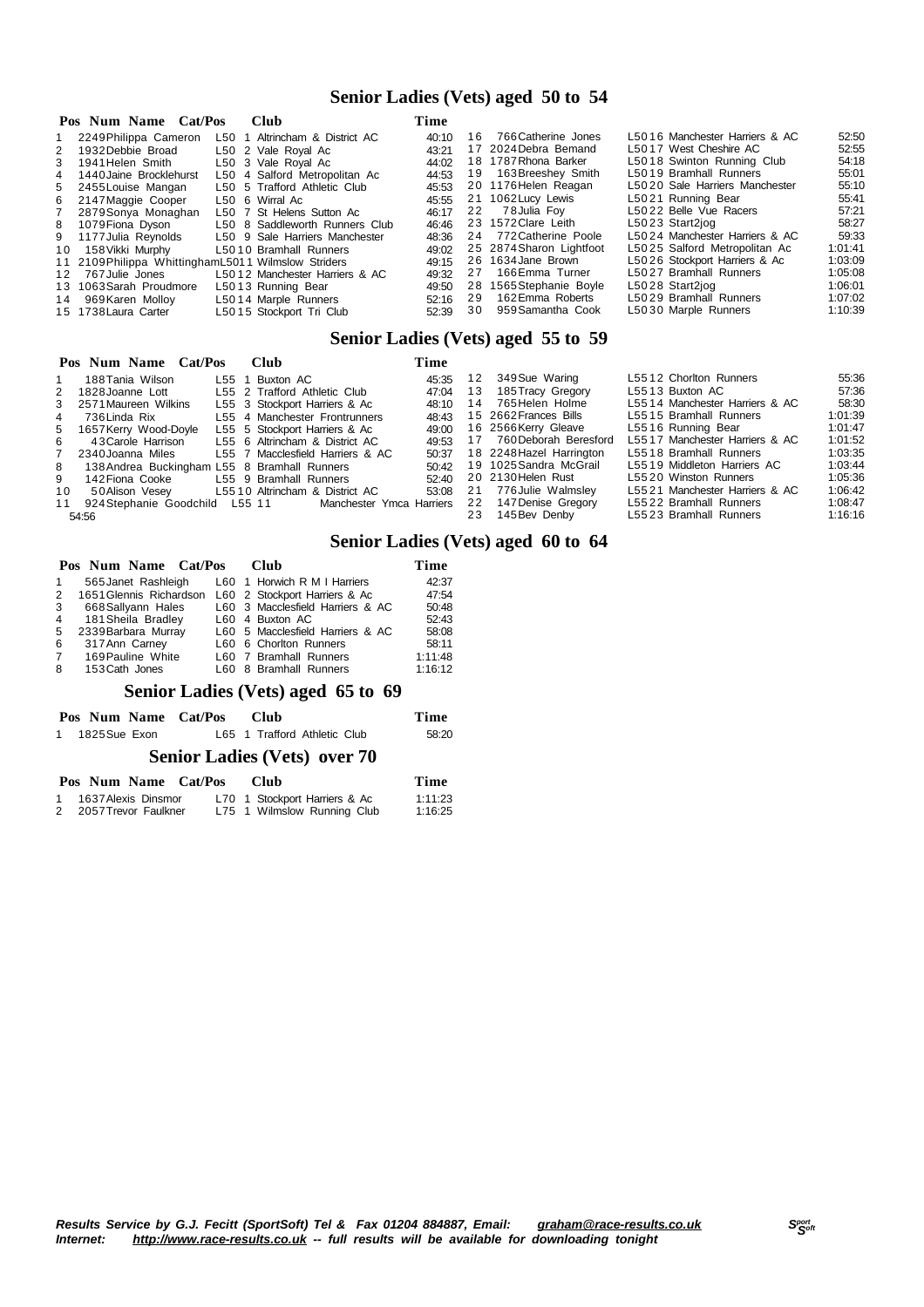#### **Senior Ladies (Vets) aged 50 to 54**

|    | Pos Num Name Cat/Pos                                 | <b>Club</b>                    | Time  |    |                          |                                |         |
|----|------------------------------------------------------|--------------------------------|-------|----|--------------------------|--------------------------------|---------|
|    | 1 2249 Philippa Cameron                              | L50 1 Altrincham & District AC | 40:10 |    | 16 766 Catherine Jones   | L5016 Manchester Harriers & AC | 52:50   |
|    | 2 1932 Debbie Broad                                  | L50 2 Vale Roval Ac            | 43:21 |    | 17 2024 Debra Bemand     | L5017 West Cheshire AC         | 52:55   |
|    | 3 1941 Helen Smith                                   | L50 3 Vale Royal Ac            | 44:02 |    | 18 1787 Rhona Barker     | L5018 Swinton Running Club     | 54:18   |
|    | 4 1440 Jaine Brocklehurst                            | L50 4 Salford Metropolitan Ac  | 44:53 |    | 19 163 Breeshey Smith    | L5019 Bramhall Runners         | 55:01   |
|    | 5 2455 Louise Mangan                                 | L50 5 Trafford Athletic Club   | 45:53 |    | 20 1176 Helen Reagan     | L5020 Sale Harriers Manchester | 55:10   |
|    | 6 2147 Maggie Cooper                                 | L50 6 Wirral Ac                | 45:55 |    | 21 1062 Lucy Lewis       | L5021 Running Bear             | 55:41   |
|    | 7 2879 Sonya Monaghan                                | L50 7 St Helens Sutton Ac      | 46:17 | 22 | 78Julia Fov              | L5022 Belle Vue Racers         | 57:21   |
|    | 8 1079 Fiona Dyson                                   | L50 8 Saddleworth Runners Club | 46:46 |    | 23 1572 Clare Leith      | L5023 Start2jog                | 58:27   |
|    | 9 1177 Julia Reynolds                                | L50 9 Sale Harriers Manchester | 48:36 |    | 24 772 Catherine Poole   | L5024 Manchester Harriers & AC | 59:33   |
| 10 | 158 Vikki Murphy                                     | L5010 Bramhall Runners         | 49:02 |    | 25 2874 Sharon Lightfoot | L5025 Salford Metropolitan Ac  | 1:01:41 |
|    | 11 2109 Philippa Whittingham L5011 Wilmslow Striders |                                | 49:15 |    | 26 1634 Jane Brown       | L5026 Stockport Harriers & Ac  | 1:03:09 |
|    | 12 767 Julie Jones                                   | L5012 Manchester Harriers & AC | 49:32 | 27 | 166Emma Turner           | L5027 Bramhall Runners         | 1:05:08 |
|    | 13 1063 Sarah Proudmore                              | L5013 Running Bear             | 49:50 |    | 28 1565 Stephanie Boyle  | L5028 Start2jog                | 1:06:01 |
|    | 14 969 Karen Molloy                                  | L5014 Marple Runners           | 52:16 | 29 | 162 Emma Roberts         | L5029 Bramhall Runners         | 1:07:02 |
|    | 15 1738 Laura Carter                                 | L5015 Stockport Tri Club       | 52:39 | 30 | 959 Samantha Cook        | L5030 Marple Runners           | 1:10:39 |

#### **Senior Ladies (Vets) aged 55 to 59**

|    | Pos Num Name Cat/Pos                         | Club                             | Time  |    |                                |                                |         |
|----|----------------------------------------------|----------------------------------|-------|----|--------------------------------|--------------------------------|---------|
|    | 188 Tania Wilson                             | L55 1 Buxton AC                  | 45:35 | 12 | 349 Sue Waring                 | L5512 Chorlton Runners         | 55:36   |
|    | 2 1828 Joanne Lott                           | L55 2 Trafford Athletic Club     | 47.04 | 13 | 185 Tracy Gregory              | L5513 Buxton AC                | 57:36   |
|    | 3 2571 Maureen Wilkins                       | L55 3 Stockport Harriers & Ac    | 48:10 | 14 | 765 Helen Holme                | L5514 Manchester Harriers & AC | 58:30   |
| 4  | 736 Linda Rix                                | L55 4 Manchester Frontrunners    | 48:43 |    | 15 2662 Frances Bills          | L5515 Bramhall Runners         | 1:01:39 |
|    | 5 1657 Kerry Wood-Doyle                      | L55 5 Stockport Harriers & Ac    | 49:00 |    | 16 2566 Kerry Gleave           | L5516 Running Bear             | 1:01:47 |
| 6  | 43 Carole Harrison                           | L55 6 Altrincham & District AC   |       |    | 49:53 17 760 Deborah Beresford | L5517 Manchester Harriers & AC | 1:01:52 |
|    | 7 2340 Joanna Miles                          | L55 7 Macclesfield Harriers & AC | 50:37 |    | 18 2248 Hazel Harrington       | L5518 Bramhall Runners         | 1:03:35 |
| 8  | 138 Andrea Buckingham L55 8 Bramhall Runners |                                  | 50:42 |    | 19 1025 Sandra McGrail         | L5519 Middleton Harriers AC    | 1:03:44 |
| 9  | 142 Fiona Cooke                              | L55 9 Bramhall Runners           | 52:40 |    | 20 2130 Helen Rust             | L5520 Winston Runners          | 1:05:36 |
| 10 | 50Alison Vesey                               | L5510 Altrincham & District AC   | 53:08 | 21 | 776 Julie Walmsley             | L5521 Manchester Harriers & AC | 1:06:42 |
| 11 | 924 Stephanie Goodchild L55 11               | Manchester Ymca Harriers         |       |    | 22 147 Denise Gregory          | L5522 Bramhall Runners         | 1:08:47 |
|    | 54:56                                        |                                  |       | 23 | 145 Bev Denbv                  | L5523 Bramhall Runners         | 1:16:16 |

#### **Senior Ladies (Vets) aged 60 to 64**

|                | Pos Num Name Cat/Pos | Club                                                  | Time    |
|----------------|----------------------|-------------------------------------------------------|---------|
| 1              | 565 Janet Rashleigh  | L60 1 Horwich R M I Harriers                          | 42:37   |
| 2              |                      | 1651 Glennis Richardson L60 2 Stockport Harriers & Ac | 47:54   |
|                | 3 668 Sallyann Hales | L60 3 Macclesfield Harriers & AC                      | 50:48   |
| $\overline{4}$ | 181 Sheila Bradley   | L60 4 Buxton AC                                       | 52:43   |
| 5              | 2339 Barbara Murray  | L60 5 Macclesfield Harriers & AC                      | 58:08   |
| 6              | 317 Ann Carney       | L60 6 Chorlton Runners                                | 58:11   |
| $7^{\circ}$    | 169 Pauline White    | L60 7 Bramhall Runners                                | 1:11:48 |
| 8              | 153 Cath Jones       | L60 8 Bramhall Runners                                | 1:16:12 |

#### **Senior Ladies (Vets) aged 65 to 69**

|              | Pos Num Name Cat/Pos                 |  | Club.                                              | Time    |  |  |  |  |  |  |  |  |  |
|--------------|--------------------------------------|--|----------------------------------------------------|---------|--|--|--|--|--|--|--|--|--|
| $\mathbf{1}$ | 1825Sue Exon                         |  | L65 1 Trafford Athletic Club                       | 58:20   |  |  |  |  |  |  |  |  |  |
|              | <b>Senior Ladies (Vets) over 70</b>  |  |                                                    |         |  |  |  |  |  |  |  |  |  |
|              | Time<br>Pos Num Name Cat/Pos<br>Club |  |                                                    |         |  |  |  |  |  |  |  |  |  |
| 1            | 1637 Alexis Dinsmor                  |  | L70 1 Stockport Harriers & Ac                      | 1:11:23 |  |  |  |  |  |  |  |  |  |
|              |                                      |  | 2 2057 Trevor Faulkner L75 1 Wilmslow Running Club | 1:16:25 |  |  |  |  |  |  |  |  |  |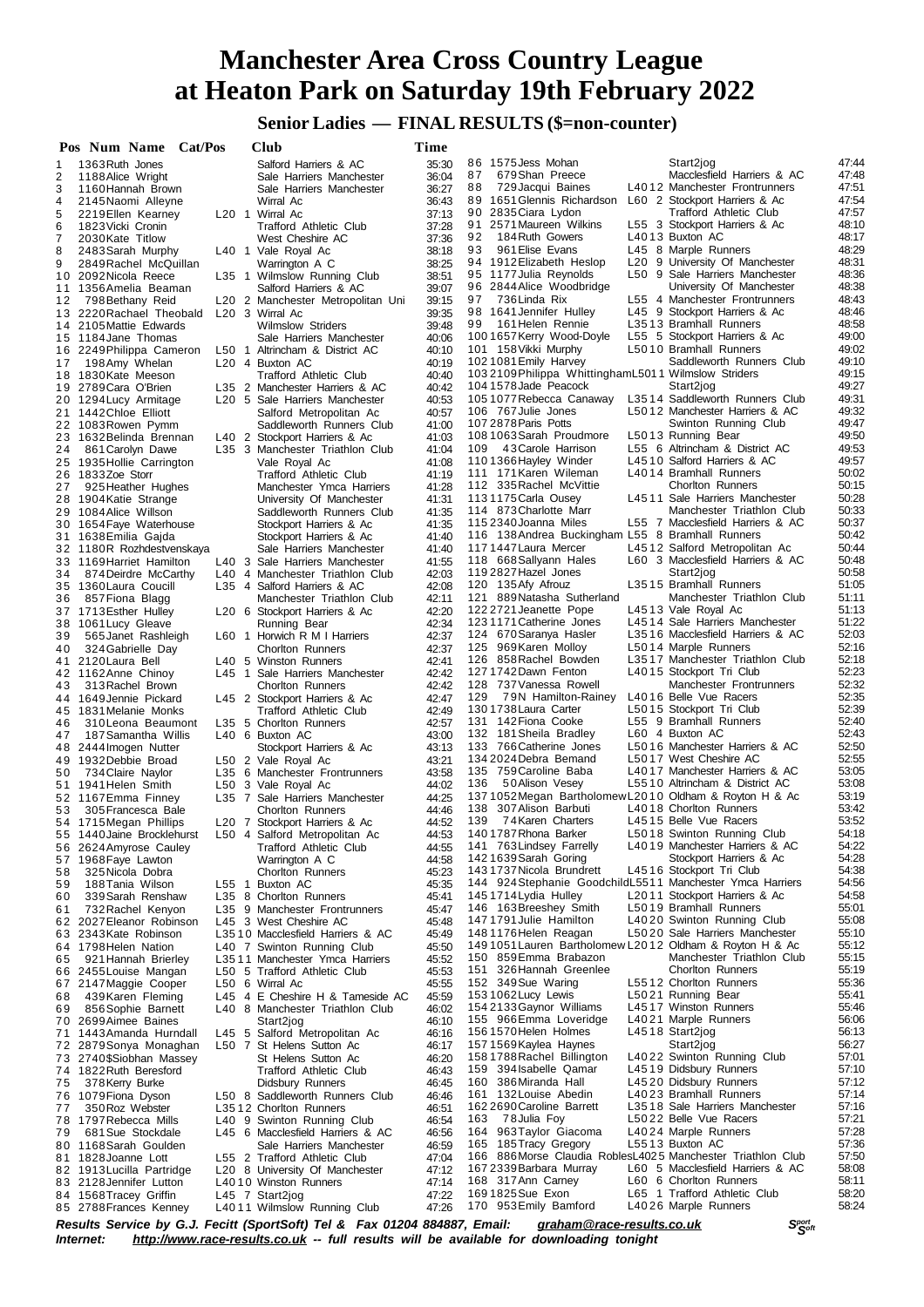**Senior Ladies — FINAL RESULTS (\$=non-counter)**

|          | Pos Num Name Cat/Pos                               |         | Club                                                      | Time           |                                                                                                              |                |
|----------|----------------------------------------------------|---------|-----------------------------------------------------------|----------------|--------------------------------------------------------------------------------------------------------------|----------------|
| 1        | 1363 Ruth Jones                                    |         | Salford Harriers & AC                                     | 35:30          | 86 1575 Jess Mohan<br>Start2jog                                                                              | 47:44          |
| 2        | 1188 Alice Wright                                  |         | Sale Harriers Manchester                                  | 36:04          | Macclesfield Harriers & AC<br>87<br>679 Shan Preece                                                          | 47:48          |
| 3        | 1160 Hannah Brown                                  |         | Sale Harriers Manchester                                  | 36:27          | 88<br>729 Jacqui Baines<br>L4012 Manchester Frontrunners                                                     | 47:51          |
| 4        | 2145 Naomi Alleyne                                 |         | Wirral Ac                                                 | 36:43          | 89 1651 Glennis Richardson<br>L60 2 Stockport Harriers & Ac                                                  | 47:54          |
| 5        | 2219 Ellen Kearney                                 |         | L <sub>20</sub> 1 Wirral Ac                               | 37:13          | 90 2835 Ciara Lydon<br>Trafford Athletic Club                                                                | 47:57          |
| 6        | 1823 Vicki Cronin                                  |         | <b>Trafford Athletic Club</b>                             | 37:28          | 2571 Maureen Wilkins<br>L55 3 Stockport Harriers & Ac<br>91                                                  | 48:10          |
| 7        | 2030 Kate Titlow                                   |         | West Cheshire AC                                          | 37:36          | 92<br>184 Ruth Gowers<br>L4013 Buxton AC                                                                     | 48:17          |
| 8        | 2483 Sarah Murphy                                  |         | L40 1 Vale Royal Ac                                       | 38:18          | 93<br>961 Elise Evans<br>L45 8 Marple Runners                                                                | 48:29          |
| 9        | 2849 Rachel McQuillan                              |         | Warrington A C                                            | 38:25          | 94 1912 Elizabeth Heslop<br>L <sub>20</sub> 9 University Of Manchester                                       | 48:31          |
|          | 10 2092 Nicola Reece                               |         | L35 1 Wilmslow Running Club                               | 38:51          | 95 1177 Julia Reynolds<br>L50 9 Sale Harriers Manchester                                                     | 48:36<br>48:38 |
|          | 11 1356 Amelia Beaman                              |         | Salford Harriers & AC                                     | 39:07          | 96 2844 Alice Woodbridge<br>University Of Manchester<br>97<br>736 Linda Rix<br>L55 4 Manchester Frontrunners | 48:43          |
| 12       | 798 Bethany Reid                                   |         | L20 2 Manchester Metropolitan Uni<br>L20 3 Wirral Ac      | 39:15          | 98 1641 Jennifer Hulley<br>L45 9 Stockport Harriers & Ac                                                     | 48:46          |
|          | 13 2220 Rachael Theobald<br>14 2105 Mattie Edwards |         | <b>Wilmslow Striders</b>                                  | 39:35<br>39:48 | 99<br>161 Helen Rennie<br>L3513 Bramhall Runners                                                             | 48:58          |
|          | 15 1184 Jane Thomas                                |         | Sale Harriers Manchester                                  | 40:06          | 1001657 Kerry Wood-Doyle<br>L55 5 Stockport Harriers & Ac                                                    | 49:00          |
|          | 16 2249 Philippa Cameron                           |         | L50 1 Altrincham & District AC                            | 40:10          | 101 158 Vikki Murphy<br>L5010 Bramhall Runners                                                               | 49:02          |
| 17       | 198 Amy Whelan                                     |         | L <sub>20</sub> 4 Buxton AC                               | 40:19          | 102 1081 Emily Harvey<br>Saddleworth Runners Club                                                            | 49:10          |
|          | 18 1830 Kate Meeson                                |         | Trafford Athletic Club                                    | 40:40          | 1032109Philippa WhittinghamL5011 Wilmslow Striders                                                           | 49:15          |
|          | 19 2789 Cara O'Brien                               |         | L35 2 Manchester Harriers & AC                            | 40:42          | 1041578 Jade Peacock<br>Start2jog                                                                            | 49:27          |
|          | 20 1294 Lucy Armitage                              |         | L <sub>20</sub> 5 Sale Harriers Manchester                | 40.53          | 105 1077 Rebecca Canaway<br>L3514 Saddleworth Runners Club                                                   | 49:31          |
|          | 21 1442 Chloe Elliott                              |         | Salford Metropolitan Ac                                   | 40:57          | L5012 Manchester Harriers & AC<br>106 767 Julie Jones                                                        | 49:32          |
|          | 22 1083 Rowen Pymm                                 |         | Saddleworth Runners Club                                  | 41:00          | 107 2878 Paris Potts<br>Swinton Running Club                                                                 | 49:47          |
|          | 23 1632 Belinda Brennan                            |         | L40 2 Stockport Harriers & Ac                             | 41:03          | 1081063 Sarah Proudmore<br>L5013 Running Bear                                                                | 49:50          |
| 24       | 861 Carolyn Dawe                                   |         | L35 3 Manchester Triathlon Club                           | 41:04          | 43 Carole Harrison<br>L55 6 Altrincham & District AC<br>109                                                  | 49:53          |
|          | 25 1935 Hollie Carrington                          |         | Vale Royal Ac                                             | 41:08          | 1101366 Hayley Winder<br>L4510 Salford Harriers & AC                                                         | 49:57          |
|          | 26 1833Zoe Storr                                   |         | Trafford Athletic Club                                    | 41:19          | 111 171 Karen Wileman<br>L4014 Bramhall Runners                                                              | 50:02          |
| 27       | 925 Heather Hughes                                 |         | Manchester Ymca Harriers                                  | 41:28          | 112 335 Rachel McVittie<br><b>Chorlton Runners</b>                                                           | 50:15          |
|          | 28 1904 Katie Strange                              |         | University Of Manchester                                  | 41:31          | L4511 Sale Harriers Manchester<br>1131175 Carla Ousey                                                        | 50:28          |
|          | 29 1084 Alice Willson                              |         | Saddleworth Runners Club                                  | 41:35          | 114 873 Charlotte Marr<br>Manchester Triathlon Club                                                          | 50:33          |
|          | 30 1654 Faye Waterhouse                            |         | Stockport Harriers & Ac                                   | 41:35          | 115 2340 Joanna Miles<br>L55 7 Macclesfield Harriers & AC                                                    | 50:37          |
|          | 31 1638 Emilia Gajda                               |         | Stockport Harriers & Ac                                   | 41:40          | 116 138 Andrea Buckingham L55 8 Bramhall Runners                                                             | 50:42          |
|          | 32 1180R Rozhdestvenskaya                          |         | Sale Harriers Manchester                                  | 41:40          | L4512 Salford Metropolitan Ac<br>1171447 Laura Mercer                                                        | 50:44          |
|          | 33 1169 Harriet Hamilton                           |         | L40 3 Sale Harriers Manchester                            | 41:55          | 118 668 Sallyann Hales<br>L60 3 Macclesfield Harriers & AC                                                   | 50:48<br>50:58 |
| 34       | 874 Deirdre McCarthy                               |         | L40 4 Manchester Triathlon Club                           | 42:03          | 119 2827 Hazel Jones<br>Start2jog<br>L3515 Bramhall Runners                                                  | 51:05          |
|          | 35 1360 Laura Coucill                              |         | L35 4 Salford Harriers & AC                               | 42:08          | 120 135 Afy Afrouz<br>121 889 Natasha Sutherland<br>Manchester Triathlon Club                                | 51:11          |
| 36       | 857 Fiona Blagg                                    |         | Manchester Triathlon Club                                 | 42:11<br>42:20 | 122 2721 Jeanette Pope<br>L4513 Vale Royal Ac                                                                | 51:13          |
|          | 37 1713 Esther Hulley<br>38 1061 Lucy Gleave       |         | L <sub>20</sub> 6 Stockport Harriers & Ac<br>Running Bear | 42:34          | 1231171 Catherine Jones<br>L4514 Sale Harriers Manchester                                                    | 51:22          |
| 39       | 565 Janet Rashleigh                                |         | L60 1 Horwich R M I Harriers                              | 42:37          | 124 670 Saranya Hasler<br>L3516 Macclesfield Harriers & AC                                                   | 52:03          |
| 40       | 324 Gabrielle Day                                  |         | <b>Chorlton Runners</b>                                   | 42:37          | 125 969 Karen Molloy<br>L5014 Marple Runners                                                                 | 52:16          |
|          | 41 2120 Laura Bell                                 |         | L40 5 Winston Runners                                     | 42:41          | 126 858 Rachel Bowden<br>L3517 Manchester Triathlon Club                                                     | 52:18          |
|          | 42 1162 Anne Chinoy                                |         | L45 1 Sale Harriers Manchester                            | 42:42          | 1271742Dawn Fenton<br>L4015 Stockport Tri Club                                                               | 52:23          |
| 43       | 313 Rachel Brown                                   |         | <b>Chorlton Runners</b>                                   | 42:42          | 128 737 Vanessa Rowell<br>Manchester Frontrunners                                                            | 52:32          |
|          | 44 1649 Jennie Pickard                             |         | L45 2 Stockport Harriers & Ac                             | 42:47          | 129<br>79N Hamilton-Rainey<br>L4016 Belle Vue Racers                                                         | 52:35          |
|          | 45 1831 Melanie Monks                              |         | Trafford Athletic Club                                    | 42:49          | 1301738 Laura Carter<br>L5015 Stockport Tri Club                                                             | 52:39          |
| 46       | 310 Leona Beaumont                                 |         | L35 5 Chorlton Runners                                    | 42:57          | 131 142 Fiona Cooke<br>L55 9 Bramhall Runners                                                                | 52:40          |
| 47       | 187 Samantha Willis                                |         | L40 6 Buxton AC                                           | 43:00          | L60 4 Buxton AC<br>132 181 Sheila Bradley                                                                    | 52:43          |
|          | 48 2444 Imogen Nutter                              |         | Stockport Harriers & Ac                                   | 43:13          | 133 766 Catherine Jones<br>L5016 Manchester Harriers & AC                                                    | 52:50          |
|          | 49 1932 Debbie Broad                               |         | L50 2 Vale Royal Ac                                       | 43:21          | 134 2024 Debra Bemand<br>L5017 West Cheshire AC                                                              | 52:55          |
| 50       | 734 Claire Naylor                                  |         | L35 6 Manchester Frontrunners                             | 43:58          | 135 759 Caroline Baba<br>L4017 Manchester Harriers & AC                                                      | 53:05          |
|          | 51 1941 Helen Smith                                |         | L50 3 Vale Royal Ac                                       | 44.02          | 136<br>50Alison Vesey<br>L5510 Altrincham & District AC                                                      | 53:08          |
|          | 52 1167 Emma Finney                                |         | L35 7 Sale Harriers Manchester                            | 44:25          | 1371052Megan Bartholomew L2010 Oldham & Royton H & Ac                                                        | 53:19          |
| 53       | 305 Francesca Bale                                 |         | <b>Chorlton Runners</b>                                   | 44:46          | 307 Alison Barbuti<br>138<br>L4018 Choriton Runners                                                          | 53:42          |
|          | 54 1715 Megan Phillips                             |         | L20 7 Stockport Harriers & Ac                             | 44:52          | 139<br>74 Karen Charters<br>L4515 Belle Vue Racers                                                           | 53:52          |
|          | 55 1440 Jaine Brocklehurst                         |         | L50 4 Salford Metropolitan Ac                             | 44.53          | 140 1787 Rhona Barker<br>L5018 Swinton Running Club<br>L4019 Manchester Harriers & AC                        | 54:18          |
| 56       | 2624 Amyrose Cauley                                |         | <b>Trafford Athletic Club</b>                             | 44:55          | 141 763 Lindsey Farrelly<br>1421639 Sarah Goring<br>Stockport Harriers & Ac                                  | 54:22<br>54:28 |
| 57       | 1968 Faye Lawton<br>325 Nicola Dobra               |         | Warrington A C                                            | 44:58          | 143 1737 Nicola Brundrett<br>L4516 Stockport Tri Club                                                        | 54:38          |
| 58<br>59 | 188 Tania Wilson                                   | $L55$ 1 | <b>Chorlton Runners</b><br>Buxton AC                      | 45:23<br>45:35 | 144 924 Stephanie Goodchild L5511 Manchester Ymca Harriers                                                   | 54:56          |
| 60       | 339 Sarah Renshaw                                  |         | L35 8 Chorlton Runners                                    | 45.41          | 1451714 Lydia Hulley<br>L2011 Stockport Harriers & Ac                                                        | 54:58          |
| 61       | 732 Rachel Kenyon                                  |         | L35 9 Manchester Frontrunners                             | 45:47          | 146 163 Breeshey Smith<br>L5019 Bramhall Runners                                                             | 55:01          |
|          | 62 2027 Eleanor Robinson                           |         | L45 3 West Cheshire AC                                    | 45:48          | L4020 Swinton Running Club<br>1471791 Julie Hamilton                                                         | 55:08          |
|          | 63 2343Kate Robinson                               |         | L3510 Macclesfield Harriers & AC                          | 45:49          | 1481176 Helen Reagan<br>L5020 Sale Harriers Manchester                                                       | 55:10          |
|          | 64 1798 Helen Nation                               |         | L40 7 Swinton Running Club                                | 45:50          | 149 1051 Lauren Bartholomew L2012 Oldham & Royton H & Ac                                                     | 55:12          |
| 65       | 921 Hannah Brierley                                |         | L3511 Manchester Ymca Harriers                            | 45:52          | 150 859 Emma Brabazon<br>Manchester Triathlon Club                                                           | 55:15          |
|          | 66 2455 Louise Mangan                              |         | L50 5 Trafford Athletic Club                              | 45:53          | 151 326 Hannah Greenlee<br><b>Chorlton Runners</b>                                                           | 55:19          |
|          | 67 2147 Maggie Cooper                              |         | L50 6 Wirral Ac                                           | 45:55          | L5512 Chorlton Runners<br>152 349 Sue Waring                                                                 | 55:36          |
| 68       | 439 Karen Fleming                                  |         | L45 4 E Cheshire H & Tameside AC                          | 45:59          | L5021 Running Bear<br>1531062 Lucy Lewis                                                                     | 55:41          |
| 69       | 856 Sophie Barnett                                 |         | L40 8 Manchester Triathlon Club                           | 46:02          | 154 2133 Gaynor Williams<br>L4517 Winston Runners                                                            | 55:46          |
|          | 70 2699 Aimee Baines                               |         | Start2jog                                                 | 46:10          | 155 966 Emma Loveridge<br>L4021 Marple Runners                                                               | 56:06          |
| 71       | 1443 Amanda Hurndall                               |         | L45 5 Salford Metropolitan Ac                             | 46:16          | L4518 Start2jog<br>1561570 Helen Holmes                                                                      | 56:13          |
|          | 72 2879Sonya Monaghan                              |         | L50 7 St Helens Sutton Ac                                 | 46:17          | 1571569 Kaylea Haynes<br>Start2jog                                                                           | 56:27          |
|          | 73 2740\$Siobhan Massey                            |         | St Helens Sutton Ac                                       | 46:20          | L4022 Swinton Running Club<br>1581788 Rachel Billington                                                      | 57:01          |
|          | 74 1822 Ruth Beresford                             |         | Trafford Athletic Club                                    | 46:43          | L4519 Didsbury Runners<br>159 394 Isabelle Qamar                                                             | 57:10          |
| 75       | 378 Kerry Burke                                    |         | Didsbury Runners                                          | 46:45          | 160 386 Miranda Hall<br>L4520 Didsbury Runners                                                               | 57:12          |
|          | 76 1079 Fiona Dyson                                |         | L50 8 Saddleworth Runners Club                            | 46:46          | L4023 Bramhall Runners<br>161 132 Louise Abedin                                                              | 57:14          |
| 77       | 350 Roz Webster                                    |         | L3512 Chorlton Runners                                    | 46:51          | L3518 Sale Harriers Manchester<br>162 2690 Caroline Barrett                                                  | 57:16          |
| 78       | 1797 Rebecca Mills                                 |         | L40 9 Swinton Running Club                                | 46.54          | 163<br>78 Julia Foy<br>L5022 Belle Vue Racers<br>164 963 Taylor Giacoma<br>L4024 Marple Runners              | 57:21<br>57:28 |
| 79       | 681 Sue Stockdale                                  |         | L45 6 Macclesfield Harriers & AC                          | 46:56          | L5513 Buxton AC<br>165 185 Tracy Gregory                                                                     | 57:36          |
| 80       | 1168 Sarah Goulden                                 |         | Sale Harriers Manchester<br>L55 2 Trafford Athletic Club  | 46:59          | 166 886 Morse Claudia RoblesL4025 Manchester Triathlon Club                                                  | 57:50          |
| 81       | 1828 Joanne Lott<br>82 1913 Lucilla Partridge      |         | L20 8 University Of Manchester                            | 47:04<br>47:12 | L60 5 Macclesfield Harriers & AC<br>167 2339 Barbara Murray                                                  | 58:08          |
| 83       | 2128 Jennifer Lutton                               |         | L4010 Winston Runners                                     | 47:14          | 168 317 Ann Carney<br>L60 6 Choriton Runners                                                                 | 58:11          |
|          | 84 1568 Tracey Griffin                             |         | L45 7 Start2jog                                           | 47:22          | 1691825Sue Exon<br>L65 1 Trafford Athletic Club                                                              | 58:20          |
|          | 85 2788 Frances Kenney                             |         | L4011 Wilmslow Running Club                               | 47:26          | 170 953 Emily Bamford<br>L4026 Marple Runners                                                                | 58:24          |
|          |                                                    |         |                                                           |                |                                                                                                              |                |

Results Service by G.J. Fecitt (SportSoft) Tel & Fax 01204 884887, Email: <u>[graham@race-results.co.uk](mailto:graham@race-results.co.uk)</u> S<sup>oon</sup><br>Internet: <u><http://www.race-results.co.uk></u> -- full results will be available for downloading tonight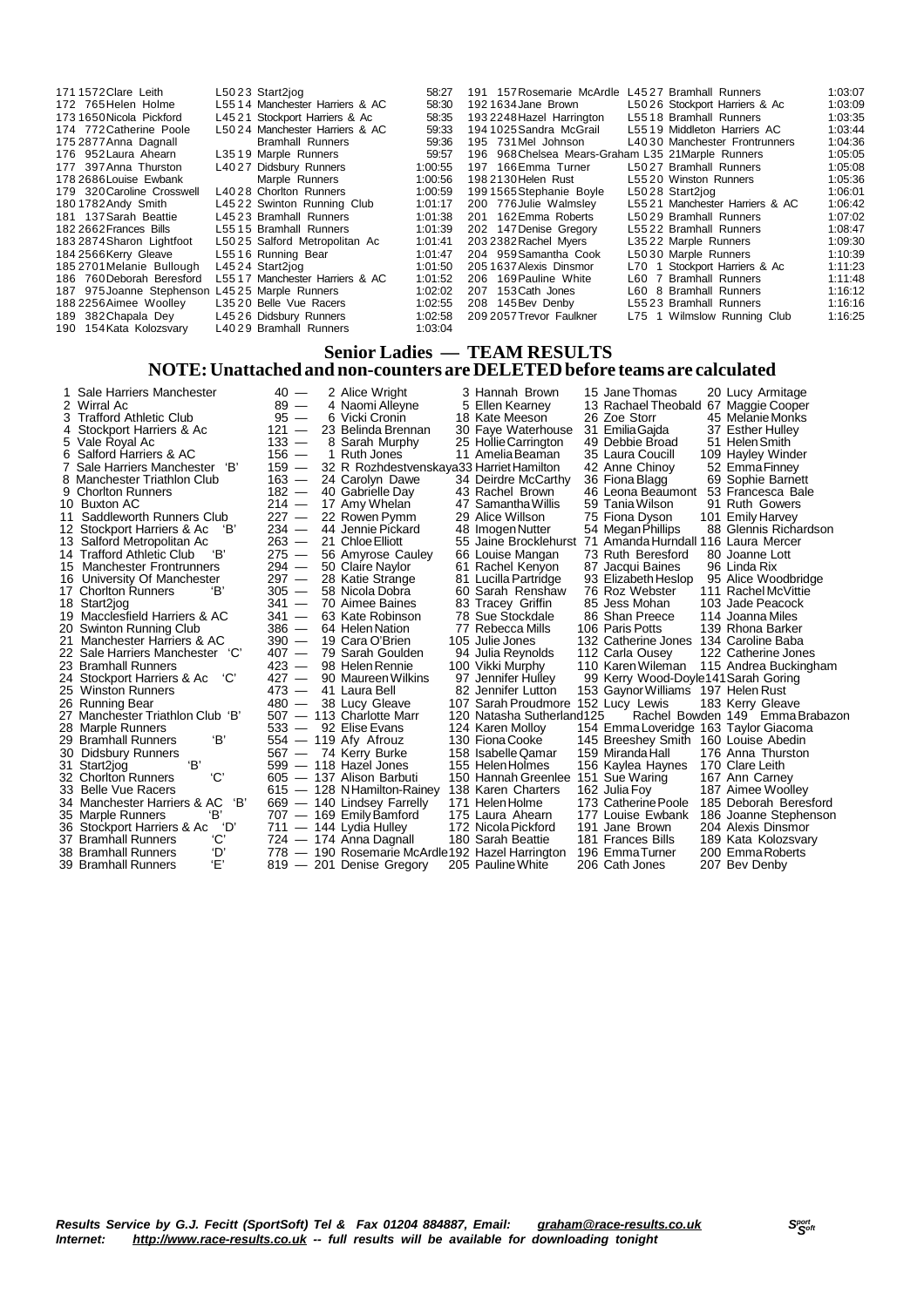| 1711572 Clare Leith                            | L5023 Start2jog                | 58:27   | 191 157 Rosemarie McArdle L4527 Bramhall Runners   |                                | 1:03:07 |
|------------------------------------------------|--------------------------------|---------|----------------------------------------------------|--------------------------------|---------|
| 172 765 Helen Holme                            | L5514 Manchester Harriers & AC | 58:30   | 1921634 Jane Brown                                 | L5026 Stockport Harriers & Ac  | 1:03:09 |
| 1731650 Nicola Pickford                        | L4521 Stockport Harriers & Ac  | 58:35   | 193 2248 Hazel Harrington                          | L5518 Bramhall Runners         | 1:03:35 |
| 174 772 Catherine Poole                        | L5024 Manchester Harriers & AC | 59:33   | 194 1025 Sandra McGrail                            | L5519 Middleton Harriers AC    | 1:03:44 |
| 175 2877 Anna Dagnall                          | <b>Bramhall Runners</b>        | 59.36   | 195 731 Mel Johnson                                | L4030 Manchester Frontrunners  | 1:04:36 |
| 176 952 Laura Ahearn                           | L3519 Marple Runners           | 59:57   | 196 968 Chelsea Mears-Graham L35 21 Marple Runners |                                | 1:05:05 |
| 177 397 Anna Thurston                          | L4027 Didsbury Runners         | 1:00:55 | 197 166 Emma Turner                                | L5027 Bramhall Runners         | 1:05:08 |
| 178 2686 Louise Ewbank                         | Marple Runners                 | 1:00:56 | 198 2130 Helen Rust                                | L5520 Winston Runners          | 1:05:36 |
| 179 320 Caroline Crosswell                     | L4028 Chorlton Runners         | 1:00:59 | 1991565Stephanie Boyle                             | L5028 Start2jog                | 1:06:01 |
| 1801782 Andy Smith                             | L4522 Swinton Running Club     | 1:01:17 | 200 776 Julie Walmsley                             | L5521 Manchester Harriers & AC | 1:06:42 |
| 181 137 Sarah Beattie                          | L4523 Bramhall Runners         | 1:01:38 | 201 162 Emma Roberts                               | L5029 Bramhall Runners         | 1:07:02 |
| 182 2662 Frances Bills                         | L5515 Bramhall Runners         | 1:01:39 | 202 147 Denise Gregory                             | L5522 Bramhall Runners         | 1:08:47 |
| 1832874 Sharon Lightfoot                       | L5025 Salford Metropolitan Ac  | 1.01.41 | 203 2382 Rachel Myers                              | L3522 Marple Runners           | 1:09:30 |
| 184 2566 Kerry Gleave                          | L5516 Running Bear             | 1.01.47 | 204 959 Samantha Cook                              | L5030 Marple Runners           | 1:10:39 |
| 185 2701 Melanie Bullough                      | L4524 Start2jog                | 1:01:50 | 205 1637 Alexis Dinsmor                            | L70 1 Stockport Harriers & Ac  | 1:11:23 |
| 186 760 Deborah Beresford                      | L5517 Manchester Harriers & AC | 1:01:52 | 206 169 Pauline White                              | L60 7 Bramhall Runners         | 1:11:48 |
| 187 975 Joanne Stephenson L4525 Marple Runners |                                | 1:02:02 | 207 153 Cath Jones                                 | L60 8 Bramhall Runners         | 1:16:12 |
| 188 2256 Aimee Woolley                         | L3520 Belle Vue Racers         | 1:02:55 | 208 145 Bev Denby                                  | L5523 Bramhall Runners         | 1:16:16 |
| 189 382 Chapala Dey                            | L4526 Didsbury Runners         | 1:02:58 | 209 2057 Trevor Faulkner                           | L75 1 Wilmslow Running Club    | 1:16:25 |
| 190 154 Kata Kolozsvary                        | L4029 Bramhall Runners         | 1:03:04 |                                                    |                                |         |

#### **Senior Ladies — TEAM RESULTS NOTE:Unattached and non-counters are DELETEDbefore teams are calculated**

|    | Sale Harriers Manchester             | $40 -$  |  | 2 Alice Wright                                   | 3 Hannah Brown                     | 15 Jane Thomas                        | 20 Lucy Armitage                |
|----|--------------------------------------|---------|--|--------------------------------------------------|------------------------------------|---------------------------------------|---------------------------------|
| 2  | Wirral Ac                            | $89 -$  |  | 4 Naomi Alleyne                                  | 5 Ellen Kearney                    | 13 Rachael Theobald 67 Maggie Cooper  |                                 |
|    | <b>Trafford Athletic Club</b>        | $95 -$  |  | 6 Vicki Cronin                                   | 18 Kate Meeson                     | 26 Zoe Storr                          | 45 Melanie Monks                |
| 4  | Stockport Harriers & Ac              | $121 -$ |  | 23 Belinda Brennan                               | 30 Faye Waterhouse                 | 31 Emilia Gajda                       | 37 Esther Hulley                |
| 5. | Vale Royal Ac                        | $133 -$ |  | 8 Sarah Murphy                                   | 25 Hollie Carrington               | 49 Debbie Broad                       | 51 Helen Smith                  |
| 6  | Salford Harriers & AC                | $156 -$ |  | 1 Ruth Jones                                     | 11 Amelia Beaman                   | 35 Laura Coucill                      | 109 Hayley Winder               |
|    | Sale Harriers Manchester 'B'         | $159 -$ |  | 32 R Rozhdestvenskaya33 Harriet Hamilton         |                                    | 42 Anne Chinoy                        | 52 EmmaFinney                   |
|    | 8 Manchester Triathlon Club          | $163 -$ |  | 24 Carolyn Dawe                                  | 34 Deirdre McCarthy                | 36 Fiona Blagg                        | 69 Sophie Barnett               |
| 9  | <b>Chorlton Runners</b>              | $182 -$ |  | 40 Gabrielle Day                                 | 43 Rachel Brown                    | 46 Leona Beaumont                     | 53 Francesca Bale               |
| 10 | <b>Buxton AC</b>                     | $214 -$ |  | 17 Amy Whelan                                    | 47 Samantha Willis                 | 59 Tania Wilson                       | 91 Ruth Gowers                  |
| 11 | Saddleworth Runners Club             | $227 -$ |  | 22 Rowen Pymm                                    | 29 Alice Willson                   | 75 Fiona Dyson                        | 101 Emily Harvey                |
|    | 12 Stockport Harriers & Ac<br>'В'    | $234 -$ |  | 44 Jennie Pickard                                | 48 Imogen Nutter                   | 54 Megan Phillips                     | 88 Glennis Richardson           |
| 13 | Salford Metropolitan Ac              | $263 -$ |  | 21 Chloe Elliott                                 | 55 Jaine Brocklehurst              | 71 Amanda Hurndall 116 Laura Mercer   |                                 |
| 14 | <b>Trafford Athletic Club</b><br>'В' | $275 -$ |  | 56 Amyrose Cauley                                | 66 Louise Mangan                   | 73 Ruth Beresford                     | 80 Joanne Lott                  |
| 15 | <b>Manchester Frontrunners</b>       | $294 -$ |  | 50 Claire Naylor                                 | 61 Rachel Kenyon                   | 87 Jacqui Baines                      | 96 Linda Rix                    |
| 16 | University Of Manchester             | $297 -$ |  | 28 Katie Strange                                 | 81 Lucilla Partridge               | 93 Elizabeth Heslop                   | 95 Alice Woodbridge             |
|    | 17 Chorlton Runners<br>'В'           | $305 -$ |  | 58 Nicola Dobra                                  | 60 Sarah Renshaw                   | 76 Roz Webster                        | 111 Rachel McVittie             |
|    | 18 Start2jog                         | $341 -$ |  | 70 Aimee Baines                                  | 83 Tracey Griffin                  | 85 Jess Mohan                         | 103 Jade Peacock                |
|    | 19 Macclesfield Harriers & AC        | $341 -$ |  | 63 Kate Robinson                                 | 78 Sue Stockdale                   | 86 Shan Preece                        | 114 Joanna Miles                |
|    | 20 Swinton Running Club              | $386 -$ |  | 64 Helen Nation                                  | 77 Rebecca Mills                   | 106 Paris Potts                       | 139 Rhona Barker                |
|    | Manchester Harriers & AC             | $390 -$ |  | 19 Cara O'Brien                                  | 105 Julie Jones                    | 132 Catherine Jones                   | 134 Caroline Baba               |
|    | 22 Sale Harriers Manchester 'C'      | $407 -$ |  | 79 Sarah Goulden                                 | 94 Julia Reynolds                  | 112 Carla Ousey                       | 122 Catherine Jones             |
|    | 23 Bramhall Runners                  | $423 -$ |  | 98 Helen Rennie                                  | 100 Vikki Murphy                   | 110 Karen Wileman                     | 115 Andrea Buckingham           |
|    | 'C'<br>24 Stockport Harriers & Ac    | $427 -$ |  | 90 Maureen Wilkins                               | 97 Jennifer Hulley                 | 99 Kerry Wood-Doyle141 Sarah Goring   |                                 |
|    | 25 Winston Runners                   | $473 -$ |  | 41 Laura Bell                                    | 82 Jennifer Lutton                 | 153 Gaynor Williams 197 Helen Rust    |                                 |
|    | 26 Running Bear                      | $480 -$ |  | 38 Lucy Gleave                                   | 107 Sarah Proudmore 152 Lucy Lewis |                                       | 183 Kerry Gleave                |
| 27 | Manchester Triathlon Club 'B'        |         |  | 507 - 113 Charlotte Marr                         | 120 Natasha Sutherland125          |                                       | Rachel Bowden 149 Emma Brabazon |
|    | 28 Marple Runners                    |         |  | $533 - 92$ Elise Evans                           | 124 Karen Molloy                   | 154 Emma Loveridge 163 Taylor Giacoma |                                 |
|    | 'В'<br>29 Bramhall Runners           |         |  | 554 - 119 Afy Afrouz                             | 130 Fiona Cooke                    | 145 Breeshey Smith 160 Louise Abedin  |                                 |
| 30 | <b>Didsbury Runners</b>              |         |  | 567 - 74 Kerry Burke                             | 158 Isabelle Qamar                 | 159 Miranda Hall                      | 176 Anna Thurston               |
| 31 | 'В'<br>Start2jog                     |         |  | 599 - 118 Hazel Jones                            | 155 Helen Holmes                   | 156 Kaylea Haynes                     | 170 Clare Leith                 |
|    | 'C'<br>32 Chorlton Runners           |         |  | 605 - 137 Alison Barbuti                         | 150 Hannah Greenlee                | 151 Sue Waring                        | 167 Ann Carney                  |
|    | 33 Belle Vue Racers                  |         |  | 615 - 128 NHamilton-Rainey                       | 138 Karen Charters                 | 162 Julia Foy                         | 187 Aimee Woolley               |
|    | 'В'<br>34 Manchester Harriers & AC   |         |  | 669 - 140 Lindsey Farrelly                       | 171 Helen Holme                    | 173 Catherine Poole                   | 185 Deborah Beresford           |
|    | Έ<br>35 Marple Runners               |         |  | 707 - 169 Emily Bamford                          | 175 Laura Ahearn                   | 177 Louise Ewbank                     | 186 Joanne Stephenson           |
|    | ʻD'<br>36 Stockport Harriers & Ac    |         |  | 711 - 144 Lydia Hulley                           | 172 Nicola Pickford                | 191 Jane Brown                        | 204 Alexis Dinsmor              |
|    | 'С'<br>37 Bramhall Runners           |         |  | 724 - 174 Anna Dagnall                           | 180 Sarah Beattie                  | 181 Frances Bills                     | 189 Kata Kolozsvary             |
|    | 'D'<br>38 Bramhall Runners           |         |  | 778 - 190 Rosemarie McArdle 192 Hazel Harrington |                                    | 196 EmmaTurner                        | 200 Emma Roberts                |
|    | 'Γ'<br>39 Bramhall Runners           |         |  | 819 - 201 Denise Gregory                         | 205 Pauline White                  | 206 Cath Jones                        | 207 Bev Denby                   |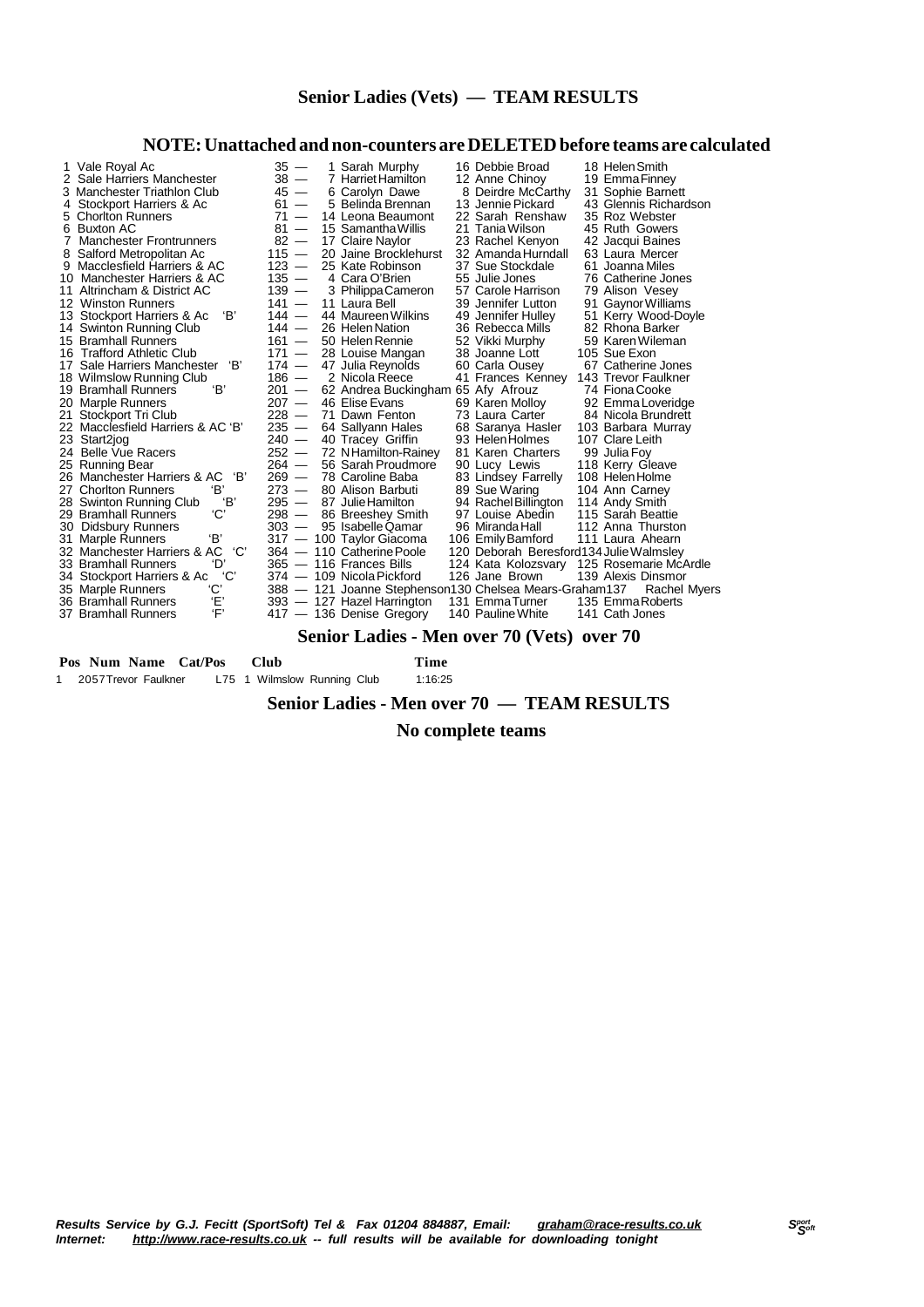#### **NOTE:Unattached and non-counters are DELETEDbefore teams are calculated**

| 1 Vale Royal Ac<br>2 Sale Harriers Manchester | $35 -$<br>$38 -$ | 1 Sarah Murphy<br>7 Harriet Hamilton                   | 16 Debbie Broad<br>12 Anne Chinoy       | 18 Helen Smith<br>19 Emma Finney          |
|-----------------------------------------------|------------------|--------------------------------------------------------|-----------------------------------------|-------------------------------------------|
| 3 Manchester Triathlon Club                   | $45 -$           | 6 Carolyn Dawe                                         | 8 Deirdre McCarthy                      | 31 Sophie Barnett                         |
| 4 Stockport Harriers & Ac                     | $61 -$           | 5 Belinda Brennan                                      | 13 Jennie Pickard                       | 43 Glennis Richardson                     |
| 5 Chorlton Runners                            | $71 -$           | 14 Leona Beaumont                                      | 22 Sarah Renshaw                        | 35 Roz Webster                            |
| 6 Buxton AC                                   | $81 -$           | 15 Samantha Willis                                     | 21 Tania Wilson                         | 45 Ruth Gowers                            |
| 7 Manchester Frontrunners                     | $82 -$           | 17 Claire Naylor                                       | 23 Rachel Kenyon                        | 42 Jacqui Baines                          |
| 8 Salford Metropolitan Ac                     | $115 -$          | 20 Jaine Brocklehurst                                  | 32 Amanda Hurndall                      | 63 Laura Mercer                           |
| 9 Macclesfield Harriers & AC                  | $123 -$          | 25 Kate Robinson                                       | 37 Sue Stockdale                        | 61 Joanna Miles                           |
| 10 Manchester Harriers & AC                   | $135 -$          | 4 Cara O'Brien                                         | 55 Julie Jones                          | 76 Catherine Jones                        |
| 11 Altrincham & District AC                   | $139 -$          | 3 Philippa Cameron                                     | 57 Carole Harrison                      | 79 Alison Vesey                           |
| 12 Winston Runners                            | $141 -$          | 11 Laura Bell                                          | 39 Jennifer Lutton                      | 91 Gaynor Williams                        |
| 'В'<br>13 Stockport Harriers & Ac             | $144 -$          | 44 Maureen Wilkins                                     | 49 Jennifer Hulley                      | 51 Kerry Wood-Doyle                       |
| 14 Swinton Running Club                       | $144 -$          | 26 Helen Nation                                        | 36 Rebecca Mills                        | 82 Rhona Barker                           |
| 15 Bramhall Runners                           | $161 -$          | 50 Helen Rennie                                        | 52 Vikki Murphy                         | 59 Karen Wileman                          |
| 16 Trafford Athletic Club                     | $171 -$          | 28 Louise Mangan                                       | 38 Joanne Lott                          | 105 Sue Exon                              |
| 'В'<br>17 Sale Harriers Manchester            | $174 -$          | 47 Julia Reynolds                                      | 60 Carla Ousey                          | 67 Catherine Jones                        |
| 18 Wilmslow Running Club                      | $186 -$          | 2 Nicola Reece                                         | 41 Frances Kenney                       | 143 Trevor Faulkner                       |
| 'В'<br>19 Bramhall Runners                    | $201 -$          | 62 Andrea Buckingham 65 Afy Afrouz                     |                                         | 74 Fiona Cooke                            |
| 20 Marple Runners                             | $207 -$          | 46 Elise Evans                                         | 69 Karen Molloy                         | 92 Emma Loveridge                         |
| 21 Stockport Tri Club                         | $228 -$          | 71 Dawn Fenton                                         | 73 Laura Carter                         | 84 Nicola Brundrett                       |
| 22 Macclesfield Harriers & AC 'B'             | $235 -$          | 64 Sallyann Hales                                      | 68 Saranya Hasler                       | 103 Barbara Murray                        |
| 23 Start2jog                                  | $240 -$          | 40 Tracey Griffin                                      | 93 Helen Holmes                         | 107 Clare Leith                           |
| 24 Belle Vue Racers                           | $252 -$          | 72 NHamilton-Rainey                                    | 81 Karen Charters                       | 99 Julia Foy                              |
| 25 Running Bear                               | $264 -$          | 56 Sarah Proudmore                                     | 90 Lucy Lewis                           | 118 Kerry Gleave                          |
| 'В'<br>26 Manchester Harriers & AC            | $269 -$          | 78 Caroline Baba                                       | 83 Lindsey Farrelly                     | 108 Helen Holme                           |
| 'В'<br>27 Chorlton Runners                    | $273 -$          | 80 Alison Barbuti                                      | 89 Sue Waring                           | 104 Ann Carney                            |
| 'B'<br>28 Swinton Running Club                | $295 -$          | 87 Julie Hamilton                                      | 94 Rachel Billington                    | 114 Andy Smith                            |
| 'С'<br>29 Bramhall Runners                    | $298 -$          | 86 Breeshey Smith                                      | 97 Louise Abedin                        | 115 Sarah Beattie                         |
| 30 Didsbury Runners                           | $303 -$          | 95 Isabelle Qamar                                      | 96 Miranda Hall                         | 112 Anna Thurston                         |
| 'В'<br>31 Marple Runners                      |                  | 317 - 100 Taylor Giacoma                               | 106 Emily Bamford                       | 111 Laura Ahearn                          |
| 'C'<br>32 Manchester Harriers & AC            |                  | 364 - 110 Catherine Poole                              | 120 Deborah Beresford134 Julie Walmsley |                                           |
| ʻD<br>33 Bramhall Runners                     |                  | 365 - 116 Frances Bills                                |                                         | 124 Kata Kolozsvary 125 Rosemarie McArdle |
| 'C'<br>34 Stockport Harriers & Ac             |                  | 374 — 109 Nicola Pickford                              | 126 Jane Brown                          | 139 Alexis Dinsmor                        |
| 'С'<br>35 Marple Runners                      |                  | 388 - 121 Joanne Stephenson130 Chelsea Mears-Graham137 |                                         | <b>Rachel Myers</b>                       |
| Έ,<br>36 Bramhall Runners                     |                  | 393 - 127 Hazel Harrington                             | 131 EmmaTurner                          | 135 Emma Roberts                          |
| Έ,<br>37 Bramhall Runners                     |                  | 417 - 136 Denise Gregory                               | 140 Pauline White                       | 141 Cath Jones                            |

#### **Senior Ladies - Men over 70 (Vets) over 70**

 **Pos Num Name Cat/Pos Club Time** 1 2057Trevor Faulkner L75 1 Wilmslow Running Club 1:16:25

#### **Senior Ladies - Men over 70 — TEAM RESULTS**

 **No complete teams**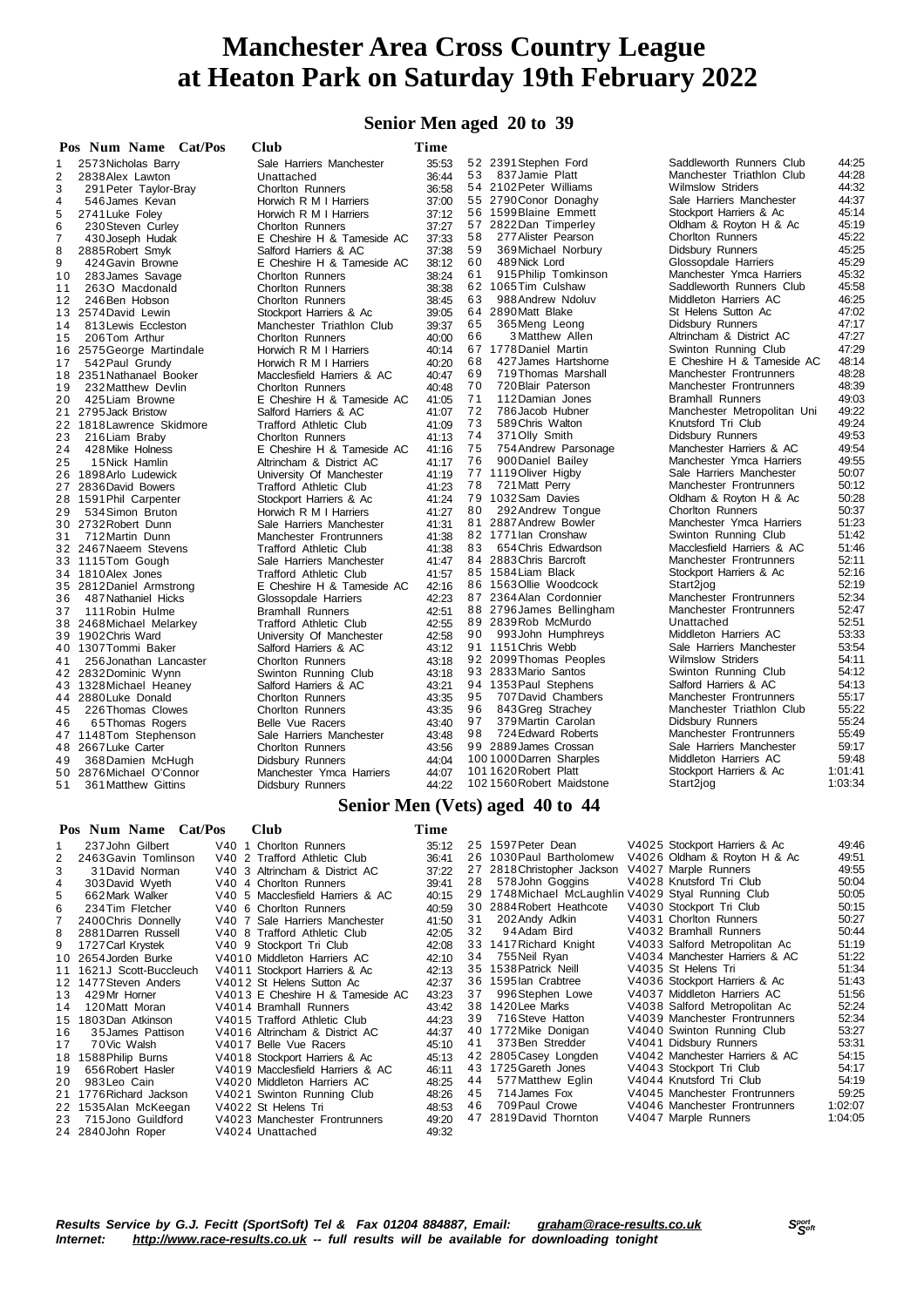#### **Senior Men aged 20 to 39**

|                | Pos Num Name Cat/Pos      | Club                          | Time  |    |                                 |                             |         |
|----------------|---------------------------|-------------------------------|-------|----|---------------------------------|-----------------------------|---------|
| 1              | 2573 Nicholas Barry       | Sale Harriers Manchester      | 35:53 |    | 52 2391 Stephen Ford            | Saddleworth Runners Club    | 44:25   |
| 2              | 2838Alex Lawton           | Unattached                    | 36:44 | 53 | 837 Jamie Platt                 | Manchester Triathlon Club   | 44:28   |
| 3              | 291 Peter Taylor-Bray     | <b>Chorlton Runners</b>       | 36.58 |    | 54 2102 Peter Williams          | <b>Wilmslow Striders</b>    | 44:32   |
| $\overline{4}$ | 546 James Kevan           | Horwich R M I Harriers        | 37:00 |    | 55 2790 Conor Donaghy           | Sale Harriers Manchester    | 44:37   |
| 5              | 2741 Luke Foley           | Horwich R M I Harriers        | 37:12 |    | 56 1599 Blaine Emmett           | Stockport Harriers & Ac     | 45:14   |
| 6              | 230 Steven Curley         | <b>Chorlton Runners</b>       | 37:27 |    | 57 2822Dan Timperley            | Oldham & Royton H & Ac      | 45:19   |
| $\overline{7}$ | 430 Joseph Hudak          | E Cheshire H & Tameside AC    | 37:33 | 58 | 277 Alister Pearson             | <b>Chorlton Runners</b>     | 45:22   |
| 8              | 2885 Robert Smyk          | Salford Harriers & AC         | 37:38 | 59 | 369 Michael Norbury             | Didsbury Runners            | 45:25   |
| 9              | 424 Gavin Browne          | E Cheshire H & Tameside AC    | 38:12 | 60 | 489 Nick Lord                   | Glossopdale Harriers        | 45:29   |
| 10             | 283 James Savage          | Chorlton Runners              | 38:24 | 61 | 915 Philip Tomkinson            | Manchester Ymca Harriers    | 45:32   |
| 11             | 2630 Macdonald            | <b>Chorlton Runners</b>       | 38:38 |    | 62 1065Tim Culshaw              | Saddleworth Runners Club    | 45:58   |
| 12             | 246 Ben Hobson            | <b>Chorlton Runners</b>       | 38:45 | 63 | 988 Andrew Ndoluv               | Middleton Harriers AC       | 46:25   |
| 13             | 2574 David Lewin          | Stockport Harriers & Ac       | 39:05 |    | 64 2890 Matt Blake              | St Helens Sutton Ac         | 47:02   |
| 14             | 813 Lewis Eccleston       | Manchester Triathlon Club     | 39:37 | 65 | 365Meng Leong                   | Didsbury Runners            | 47:17   |
| 15             | 206Tom Arthur             | <b>Chorlton Runners</b>       | 40:00 | 66 | 3 Matthew Allen                 | Altrincham & District AC    | 47:27   |
| 16             | 2575 George Martindale    | Horwich R M I Harriers        | 40:14 |    | 67 1778 Daniel Martin           | Swinton Running Club        | 47:29   |
| 17             | 542 Paul Grundy           | Horwich R M I Harriers        | 40:20 | 68 | 427 James Hartshorne            | E Cheshire H & Tameside AC  | 48:14   |
|                | 18 2351 Nathanael Booker  | Macclesfield Harriers & AC    | 40:47 | 69 | 719 Thomas Marshall             | Manchester Frontrunners     | 48:28   |
| 19             | 232 Matthew Devlin        | <b>Chorlton Runners</b>       | 40:48 | 70 | 720 Blair Paterson              | Manchester Frontrunners     | 48:39   |
| 20             | 425 Liam Browne           | E Cheshire H & Tameside AC    | 41:05 | 71 | 112 Damian Jones                | <b>Bramhall Runners</b>     | 49:03   |
|                | 21 2795 Jack Bristow      | Salford Harriers & AC         | 41:07 | 72 | 786 Jacob Hubner                | Manchester Metropolitan Uni | 49:22   |
|                | 22 1818 Lawrence Skidmore | Trafford Athletic Club        | 41:09 | 73 | 589 Chris Walton                | Knutsford Tri Club          | 49:24   |
| 23             | 216 Liam Braby            | <b>Chorlton Runners</b>       | 41:13 | 74 | 371 Olly Smith                  | Didsbury Runners            | 49:53   |
| 24             | 428 Mike Holness          | E Cheshire H & Tameside AC    | 41:16 | 75 | 754 Andrew Parsonage            | Manchester Harriers & AC    | 49:54   |
| 25             | 15 Nick Hamlin            | Altrincham & District AC      | 41:17 | 76 | 900 Daniel Bailey               | Manchester Ymca Harriers    | 49:55   |
|                | 26 1898 Arlo Ludewick     | University Of Manchester      | 41:19 |    | 77 1119 Oliver Higby            | Sale Harriers Manchester    | 50:07   |
|                | 27 2836 David Bowers      | <b>Trafford Athletic Club</b> | 41:23 | 78 | 721 Matt Perry                  | Manchester Frontrunners     | 50:12   |
|                | 28 1591 Phil Carpenter    | Stockport Harriers & Ac       | 41:24 |    | 79 1032 Sam Davies              | Oldham & Royton H & Ac      | 50:28   |
| 29             | 534 Simon Bruton          | Horwich R M I Harriers        | 41:27 | 80 | 292 Andrew Tongue               | Chorlton Runners            | 50:37   |
|                | 30 2732 Robert Dunn       | Sale Harriers Manchester      | 41:31 |    | 81 2887 Andrew Bowler           | Manchester Ymca Harriers    | 51:23   |
| 31             | 712 Martin Dunn           | Manchester Frontrunners       | 41:38 |    | 82 1771 lan Cronshaw            | Swinton Running Club        | 51:42   |
|                | 32 2467 Naeem Stevens     | <b>Trafford Athletic Club</b> | 41:38 | 83 | 654 Chris Edwardson             | Macclesfield Harriers & AC  | 51:46   |
|                | 33 1115Tom Gough          | Sale Harriers Manchester      | 41:47 |    | 84 2883 Chris Barcroft          | Manchester Frontrunners     | 52:11   |
|                | 34 1810 Alex Jones        | <b>Trafford Athletic Club</b> | 41:57 |    | 85 1584 Liam Black              | Stockport Harriers & Ac     | 52:16   |
|                | 35 2812 Daniel Armstrong  | E Cheshire H & Tameside AC    | 42:16 |    | 86 1563 Ollie Woodcock          | Start2jog                   | 52:19   |
| 36             | 487 Nathaniel Hicks       | Glossopdale Harriers          | 42:23 |    | 87 2364 Alan Cordonnier         | Manchester Frontrunners     | 52:34   |
| 37             | 111 Robin Hulme           | <b>Bramhall Runners</b>       | 42:51 |    | 88 2796 James Bellingham        | Manchester Frontrunners     | 52:47   |
|                | 38 2468 Michael Melarkey  | <b>Trafford Athletic Club</b> | 42:55 |    | 89 2839 Rob McMurdo             | Unattached                  | 52:51   |
|                | 39 1902 Chris Ward        | University Of Manchester      | 42:58 | 90 | 993John Humphreys               | Middleton Harriers AC       | 53:33   |
|                | 40 1307 Tommi Baker       | Salford Harriers & AC         | 43:12 |    | 91 1151 Chris Webb              | Sale Harriers Manchester    | 53:54   |
| 41             | 256 Jonathan Lancaster    | Chorlton Runners              | 43:18 |    | 92 2099 Thomas Peoples          | <b>Wilmslow Striders</b>    | 54:11   |
|                | 42 2832 Dominic Wynn      | Swinton Running Club          | 43:18 |    | 93 2833 Mario Santos            | Swinton Running Club        | 54:12   |
|                | 43 1328 Michael Heaney    | Salford Harriers & AC         | 43:21 |    | 94 1353 Paul Stephens           | Salford Harriers & AC       | 54:13   |
|                | 44 2880 Luke Donald       | Chorlton Runners              | 43:35 | 95 | 707 David Chambers              | Manchester Frontrunners     | 55:17   |
| 45             | 226 Thomas Clowes         | <b>Chorlton Runners</b>       | 43:35 | 96 | 843 Greg Strachey               | Manchester Triathlon Club   | 55:22   |
| 46             | 65 Thomas Rogers          | Belle Vue Racers              | 43:40 | 97 | 379 Martin Carolan              | Didsbury Runners            | 55:24   |
|                | 47 1148Tom Stephenson     | Sale Harriers Manchester      | 43:48 | 98 | 724 Edward Roberts              | Manchester Frontrunners     | 55:49   |
|                | 48 2667 Luke Carter       | <b>Chorlton Runners</b>       | 43:56 |    | 99 2889 James Crossan           | Sale Harriers Manchester    | 59:17   |
| 49             | 368 Damien McHugh         | Didsbury Runners              | 44:04 |    | 100 1000 Darren Sharples        | Middleton Harriers AC       | 59:48   |
|                | 50 2876 Michael O'Connor  | Manchester Ymca Harriers      | 44:07 |    | 1011620 Robert Platt            | Stockport Harriers & Ac     | 1:01:41 |
| 51             | 361 Matthew Gittins       | Didsbury Runners              | 44:22 |    | 1021560Robert Maidstone         | Start2jog                   | 1:03:34 |
|                |                           |                               |       |    | Senior Men (Vets) aged 40 to 44 |                             |         |

#### **Pos Num Name Cat/Pos Club Time**

|                | 237 John Gilbert         | V40 1 Chorlton Runners           | 35:12 |    | 25 1597 Peter Dean                                  | V4025 Stockport Harriers & Ac  | 49:46   |
|----------------|--------------------------|----------------------------------|-------|----|-----------------------------------------------------|--------------------------------|---------|
| 2              | 2463 Gavin Tomlinson     | V40 2 Trafford Athletic Club     | 36:41 |    | 26 1030 Paul Bartholomew                            | V4026 Oldham & Royton H & Ac   | 49:51   |
| 3              | 31 David Norman          | V40 3 Altrincham & District AC   | 37:22 |    | 27 2818 Christopher Jackson                         | V4027 Marple Runners           | 49:55   |
| 4              | 303 David Wyeth          | V40 4 Chorlton Runners           | 39:41 | 28 | 578 John Goggins                                    | V4028 Knutsford Tri Club       | 50:04   |
| 5              | 662 Mark Walker          | V40 5 Macclesfield Harriers & AC | 40:15 |    | 29 1748 Michael McLaughlin V4029 Styal Running Club |                                | 50:05   |
| 6              | 234 Tim Fletcher         | V40 6 Chorlton Runners           | 40.59 |    | 30 2884 Robert Heathcote                            | V4030 Stockport Tri Club       | 50:15   |
| $\overline{7}$ | 2400 Chris Donnelly      | V40 7 Sale Harriers Manchester   | 41:50 | 31 | 202 Andy Adkin                                      | V4031 Chorlton Runners         | 50:27   |
| 8              | 2881 Darren Russell      | V40 8 Trafford Athletic Club     | 42:05 | 32 | 94Adam Bird                                         | V4032 Bramhall Runners         | 50:44   |
| 9              | 1727 Carl Krystek        | V40 9 Stockport Tri Club         | 42:08 |    | 33 1417 Richard Knight                              | V4033 Salford Metropolitan Ac  | 51:19   |
|                | 10 2654 Jorden Burke     | V4010 Middleton Harriers AC      | 42:10 | 34 | 755 Neil Ryan                                       | V4034 Manchester Harriers & AC | 51:22   |
|                | 11 1621J Scott-Buccleuch | V4011 Stockport Harriers & Ac    | 42:13 |    | 35 1538 Patrick Neill                               | V4035 St Helens Tri            | 51:34   |
|                | 12 1477 Steven Anders    | V4012 St Helens Sutton Ac        | 42:37 |    | 36 1595 lan Crabtree                                | V4036 Stockport Harriers & Ac  | 51:43   |
| 13             | 429Mr Horner             | V4013 E Cheshire H & Tameside AC | 43.23 | 37 | 996 Stephen Lowe                                    | V4037 Middleton Harriers AC    | 51:56   |
| 14             | 120 Matt Moran           | V4014 Bramhall Runners           | 43:42 |    | 38 1420 Lee Marks                                   | V4038 Salford Metropolitan Ac  | 52:24   |
|                | 15 1803Dan Atkinson      | V4015 Trafford Athletic Club     | 44:23 | 39 | 716 Steve Hatton                                    | V4039 Manchester Frontrunners  | 52:34   |
| 16             | 35 James Pattison        | V4016 Altrincham & District AC   | 44:37 |    | 40 1772 Mike Donigan                                | V4040 Swinton Running Club     | 53:27   |
| 17             | 70Vic Walsh              | V4017 Belle Vue Racers           | 45:10 | 41 | 373 Ben Stredder                                    | V4041 Didsbury Runners         | 53:31   |
| 18             | 1588 Philip Burns        | V4018 Stockport Harriers & Ac    | 45:13 |    | 42 2805 Casey Longden                               | V4042 Manchester Harriers & AC | 54:15   |
| 19             | 656 Robert Hasler        | V4019 Macclesfield Harriers & AC | 46:11 |    | 43 1725 Gareth Jones                                | V4043 Stockport Tri Club       | 54:17   |
| 20             | 983 Leo Cain             | V4020 Middleton Harriers AC      | 48:25 | 44 | 577 Matthew Eglin                                   | V4044 Knutsford Tri Club       | 54:19   |
|                | 21 1776 Richard Jackson  | V4021 Swinton Running Club       | 48:26 | 45 | 714 James Fox                                       | V4045 Manchester Frontrunners  | 59:25   |
|                | 22 1535 Alan McKeegan    | V4022 St Helens Tri              | 48.53 | 46 | 709 Paul Crowe                                      | V4046 Manchester Frontrunners  | 1:02:07 |
| 23             | 715 Jono Guildford       | V4023 Manchester Frontrunners    | 49:20 |    | 47 2819 David Thornton                              | V4047 Marple Runners           | 1:04:05 |
|                | 24 2840 John Roper       | V4024 Unattached                 | 49:32 |    |                                                     |                                |         |
|                |                          |                                  |       |    |                                                     |                                |         |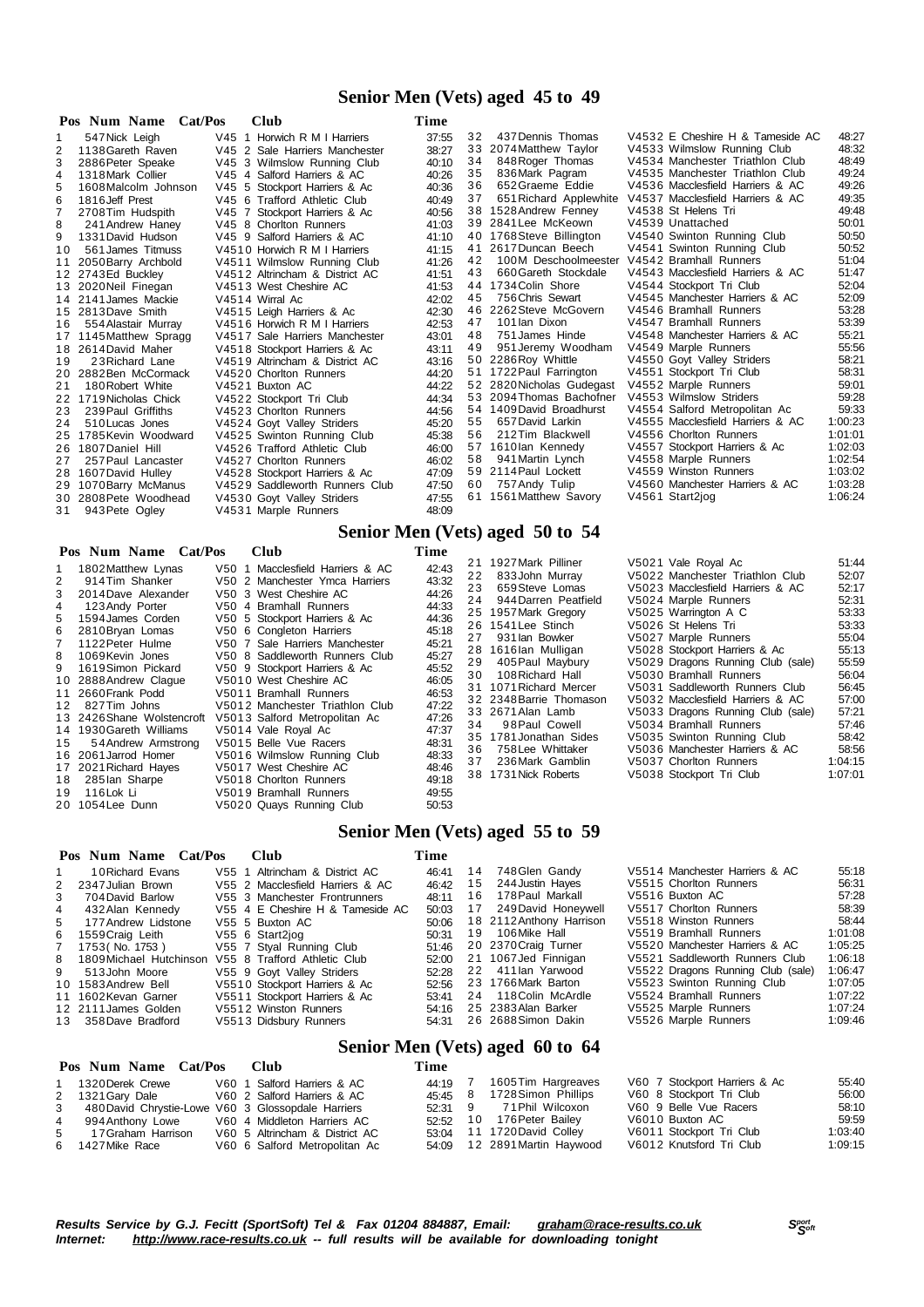#### **Senior Men (Vets) aged 45 to 49**

|     | Pos Num Name<br>Cat/Pos | <b>Club</b>                    | Time  |    |                           |                                  |         |
|-----|-------------------------|--------------------------------|-------|----|---------------------------|----------------------------------|---------|
|     | 547 Nick Leigh          | V45 1 Horwich R M I Harriers   | 37:55 | 32 | 437 Dennis Thomas         | V4532 E Cheshire H & Tameside AC | 48:27   |
| 2   | 1138 Gareth Raven       | V45 2 Sale Harriers Manchester | 38:27 |    | 33 2074 Matthew Taylor    | V4533 Wilmslow Running Club      | 48:32   |
|     | 2886 Peter Speake       | V45 3 Wilmslow Running Club    | 40:10 | 34 | 848 Roger Thomas          | V4534 Manchester Triathlon Club  | 48:49   |
| 4   | 1318 Mark Collier       | V45 4 Salford Harriers & AC    | 40:26 | 35 | 836 Mark Pagram           | V4535 Manchester Triathlon Club  | 49:24   |
| 5   | 1608 Malcolm Johnson    | V45 5 Stockport Harriers & Ac  | 40:36 | 36 | 652 Graeme Eddie          | V4536 Macclesfield Harriers & AC | 49:26   |
| 6   | 1816 Jeff Prest         | V45 6 Trafford Athletic Club   | 40:49 | 37 | 651 Richard Applewhite    | V4537 Macclesfield Harriers & AC | 49:35   |
|     | 2708Tim Hudspith        | V45 7 Stockport Harriers & Ac  | 40:56 |    | 38 1528 Andrew Fenney     | V4538 St Helens Tri              | 49:48   |
| 8   | 241 Andrew Haney        | V45 8 Chorlton Runners         | 41:03 |    | 39 2841 Lee McKeown       | V4539 Unattached                 | 50:01   |
| 9   | 1331 David Hudson       | V45 9 Salford Harriers & AC    | 41:10 |    | 40 1768Steve Billington   | V4540 Swinton Running Club       | 50:50   |
| 1 O | 561 James Titmuss       | V4510 Horwich R M I Harriers   | 41:15 | 41 | 2617 Duncan Beech         | V4541 Swinton Running Club       | 50:52   |
| 11  | 2050 Barry Archbold     | V4511 Wilmslow Running Club    | 41:26 | 42 | 100M Deschoolmeester      | V4542 Bramhall Runners           | 51:04   |
|     | 12 2743Ed Buckley       | V4512 Altrincham & District AC | 41:51 | 43 | 660 Gareth Stockdale      | V4543 Macclesfield Harriers & AC | 51:47   |
|     | 13 2020 Neil Finegan    | V4513 West Cheshire AC         | 41:53 |    | 44 1734 Colin Shore       | V4544 Stockport Tri Club         | 52:04   |
|     | 14 2141 James Mackie    | V4514 Wirral Ac                | 42:02 | 45 | 756 Chris Sewart          | V4545 Manchester Harriers & AC   | 52:09   |
|     | 15 2813 Dave Smith      | V4515 Leigh Harriers & Ac      | 42:30 |    | 46 2262 Steve McGovern    | V4546 Bramhall Runners           | 53:28   |
| 16  | 554 Alastair Murray     | V4516 Horwich R M I Harriers   | 42:53 | 47 | 101 lan Dixon             | V4547 Bramhall Runners           | 53:39   |
| 17  | 1145 Matthew Spragg     | V4517 Sale Harriers Manchester | 43.01 | 48 | 751 James Hinde           | V4548 Manchester Harriers & AC   | 55:21   |
| 18  | 2614 David Maher        | V4518 Stockport Harriers & Ac  | 43:11 | 49 | 951 Jeremy Woodham        | V4549 Marple Runners             | 55:56   |
| 19  | 23 Richard Lane         | V4519 Altrincham & District AC | 43:16 |    | 50 2286 Roy Whittle       | V4550 Goyt Valley Striders       | 58:21   |
| 20  | 2882Ben McCormack       | V4520 Chorlton Runners         | 44:20 |    | 51 1722 Paul Farrington   | V4551 Stockport Tri Club         | 58:31   |
| 21  | 180 Robert White        | V4521 Buxton AC                | 44:22 |    | 52 2820 Nicholas Gudegast | V4552 Marple Runners             | 59:01   |
| 22  | 1719 Nicholas Chick     | V4522 Stockport Tri Club       | 44:34 |    | 53 2094 Thomas Bachofner  | V4553 Wilmslow Striders          | 59:28   |
| 23  | 239 Paul Griffiths      | V4523 Chorlton Runners         | 44:56 |    | 54 1409 David Broadhurst  | V4554 Salford Metropolitan Ac    | 59:33   |
| 24  | 510 Lucas Jones         | V4524 Goyt Valley Striders     | 45:20 | 55 | 657 David Larkin          | V4555 Macclesfield Harriers & AC | 1:00:23 |
| 25  | 1785 Kevin Woodward     | V4525 Swinton Running Club     | 45:38 | 56 | 212Tim Blackwell          | V4556 Chorlton Runners           | 1:01:01 |
| 26  | 1807 Daniel Hill        | V4526 Trafford Athletic Club   | 46:00 | 57 | 1610lan Kennedy           | V4557 Stockport Harriers & Ac    | 1:02:03 |
| 27  | 257 Paul Lancaster      | V4527 Chorlton Runners         | 46:02 | 58 | 941 Martin Lynch          | V4558 Marple Runners             | 1:02:54 |
|     | 28 1607 David Hulley    | V4528 Stockport Harriers & Ac  | 47:09 |    | 59 2114 Paul Lockett      | V4559 Winston Runners            | 1:03:02 |
| 29  | 1070 Barry McManus      | V4529 Saddleworth Runners Club | 47:50 |    | 60 757 Andy Tulip         | V4560 Manchester Harriers & AC   | 1:03:28 |
| 30  | 2808 Pete Woodhead      | V4530 Goyt Valley Striders     | 47:55 |    | 61 1561 Matthew Savory    | V4561 Start2jog                  | 1:06:24 |
| 31  | 943 Pete Ogley          | V4531 Marple Runners           | 48:09 |    |                           |                                  |         |

## **Senior Men (Vets) aged 50 to 54**

|               | Pos Num Name Cat/Pos                   | <b>Club</b>                      | Time  |    |                         |                                   |         |
|---------------|----------------------------------------|----------------------------------|-------|----|-------------------------|-----------------------------------|---------|
|               | 1802 Matthew Lynas                     | V50 1 Macclesfield Harriers & AC | 42:43 |    | 21 1927 Mark Pilliner   | V5021 Vale Royal Ac               | 51:44   |
| $\mathcal{P}$ | 914 Tim Shanker                        | V50 2 Manchester Ymca Harriers   | 43:32 | 22 | 833John Murray          | V5022 Manchester Triathlon Club   | 52:07   |
| 3             | 2014 Dave Alexander                    | V50 3 West Cheshire AC           | 44:26 | 23 | 659 Steve Lomas         | V5023 Macclesfield Harriers & AC  | 52:17   |
| 4             | 123 Andy Porter                        | V50 4 Bramhall Runners           | 44:33 | 24 | 944 Darren Peatfield    | V5024 Marple Runners              | 52:31   |
| 5             | 1594 James Corden                      | V50 5 Stockport Harriers & Ac    | 44:36 |    | 25 1957 Mark Gregory    | V5025 Warrington A C              | 53:33   |
| 6             | 2810 Bryan Lomas                       | V50 6 Congleton Harriers         | 45:18 |    | 26 1541 Lee Stinch      | V5026 St Helens Tri               | 53:33   |
|               | 1122 Peter Hulme                       | V50 7 Sale Harriers Manchester   | 45:21 | 27 | 931 lan Bowker          | V5027 Marple Runners              | 55:04   |
| 8             |                                        | V50 8 Saddleworth Runners Club   | 45:27 |    | 28 1616 lan Mulligan    | V5028 Stockport Harriers & Ac     | 55:13   |
| 9             | 1069 Kevin Jones<br>1619 Simon Pickard |                                  |       | 29 | 405 Paul Maybury        | V5029 Dragons Running Club (sale) | 55:59   |
|               |                                        | V50 9 Stockport Harriers & Ac    | 45:52 | 30 | 108 Richard Hall        | V5030 Bramhall Runners            | 56:04   |
|               | 10 2888 Andrew Claque                  | V5010 West Cheshire AC           | 46:05 |    | 31 1071 Richard Mercer  | V5031 Saddleworth Runners Club    | 56:45   |
| 11            | 2660 Frank Podd                        | V5011 Bramhall Runners           | 46:53 |    | 32 2348 Barrie Thomason | V5032 Macclesfield Harriers & AC  | 57:00   |
| 12            | 827 Tim Johns                          | V5012 Manchester Triathlon Club  | 47:22 |    | 33 2671 Alan Lamb       | V5033 Dragons Running Club (sale) | 57:21   |
|               | 13 2426 Shane Wolstencroft             | V5013 Salford Metropolitan Ac    | 47:26 | 34 | 98 Paul Cowell          | V5034 Bramhall Runners            | 57:46   |
|               | 14 1930 Gareth Williams                | V5014 Vale Royal Ac              | 47:37 |    | 35 1781 Jonathan Sides  | V5035 Swinton Running Club        | 58:42   |
| 15            | 54 Andrew Armstrong                    | V5015 Belle Vue Racers           | 48:31 | 36 | 758 Lee Whittaker       | V5036 Manchester Harriers & AC    | 58:56   |
|               | 16 2061 Jarrod Homer                   | V5016 Wilmslow Running Club      | 48:33 | 37 | 236 Mark Gamblin        | V5037 Chorlton Runners            | 1:04:15 |
|               | 17 2021 Richard Hayes                  | V5017 West Cheshire AC           | 48:46 |    | 38 1731 Nick Roberts    | V5038 Stockport Tri Club          | 1:07:01 |
| 18            | 285 lan Sharpe                         | V5018 Chorlton Runners           | 49:18 |    |                         |                                   |         |
| 19            | 116 Lok Li                             | V5019 Bramhall Runners           | 49.55 |    |                         |                                   |         |
|               | 20 1054 Lee Dunn                       | V5020 Quays Running Club         | 50:53 |    |                         |                                   |         |

#### **Senior Men (Vets) aged 55 to 59**

|    | Pos Num Name Cat/Pos    | Club                             | Time  |    |                          |                                   |         |
|----|-------------------------|----------------------------------|-------|----|--------------------------|-----------------------------------|---------|
|    | 10 Richard Evans        | V55 1 Altrincham & District AC   | 46:41 | 14 | 748Glen Gandy            | V5514 Manchester Harriers & AC    | 55:18   |
| 2  | 2347 Julian Brown       | V55 2 Macclesfield Harriers & AC | 46:42 | 15 | 244 Justin Hayes         | V5515 Chorlton Runners            | 56:31   |
| 3  | 704 David Barlow        | V55 3 Manchester Frontrunners    | 48:11 | 16 | 178 Paul Markall         | V5516 Buxton AC                   | 57:28   |
| 4  | 432 Alan Kennedy        | V55 4 E Cheshire H & Tameside AC | 50:03 | 17 | 249 David Honeywell      | V5517 Chorlton Runners            | 58:39   |
| 5. | 177 Andrew Lidstone     | V <sub>55</sub> 5 Buxton AC      | 50:06 |    | 18 2112 Anthony Harrison | V5518 Winston Runners             | 58:44   |
| 6  | 1559 Craig Leith        | V55 6 Start2iog                  | 50:31 |    | 19 106 Mike Hall         | V5519 Bramhall Runners            | 1:01:08 |
| 7  | 1753 (No. 1753)         | V55 7 Styal Running Club         | 51:46 |    | 20 2370 Craig Turner     | V5520 Manchester Harriers & AC    | 1:05:25 |
| 8  | 1809 Michael Hutchinson | V55 8 Trafford Athletic Club     | 52:00 |    | 21 1067 Jed Finnigan     | V5521 Saddleworth Runners Club    | 1:06:18 |
| 9  | 513 John Moore          | V55 9 Goyt Valley Striders       | 52:28 |    | 22 411 lan Yarwood       | V5522 Dragons Running Club (sale) | 1:06:47 |
|    | 10 1583 Andrew Bell     | V5510 Stockport Harriers & Ac    | 52:56 |    | 23 1766 Mark Barton      | V5523 Swinton Running Club        | 1:07:05 |
|    | 11 1602 Kevan Garner    | V5511 Stockport Harriers & Ac    | 53:41 |    | 24 118 Colin McArdle     | V5524 Bramhall Runners            | 1:07:22 |
|    | 12 2111 James Golden    | V5512 Winston Runners            | 54:16 |    | 25 2383Alan Barker       | V5525 Marple Runners              | 1:07:24 |
|    | 13 358 Dave Bradford    | V5513 Didsbury Runners           | 54:31 |    | 26 2688Simon Dakin       | V5526 Marple Runners              | 1:09:46 |
|    |                         |                                  |       |    |                          |                                   |         |

#### **Senior Men (Vets) aged 60 to 64**

|   | Pos Num Name Cat/Pos Club |                                                      | Time    |                              |                               |         |
|---|---------------------------|------------------------------------------------------|---------|------------------------------|-------------------------------|---------|
|   | 1 1320 Derek Crewe        | V60 1 Salford Harriers & AC                          | 44:19 7 | 1605 Tim Hargreaves          | V60 7 Stockport Harriers & Ac | 55:40   |
|   | 2 1321 Gary Dale          | V60 2 Salford Harriers & AC                          | 45:45 8 | 1728Simon Phillips           | V60 8 Stockport Tri Club      | 56:00   |
|   |                           | 3 480 David Chrystie-Lowe V60 3 Glossopdale Harriers |         | 52:31 9 71 Phil Wilcoxon     | V60 9 Belle Vue Racers        | 58:10   |
|   | 4 994 Anthony Lowe        | V60 4 Middleton Harriers AC                          |         | 52:52 10 176 Peter Bailey    | V6010 Buxton AC               | 59:59   |
| 5 | 17 Graham Harrison        | V60 5 Altrincham & District AC                       |         | 53:04 11 1720 David Colley   | V6011 Stockport Tri Club      | 1:03:40 |
|   | 6 1427 Mike Race          | V60 6 Salford Metropolitan Ac                        |         | 54:09 12 2891 Martin Haywood | V6012 Knutsford Tri Club      | 1:09:15 |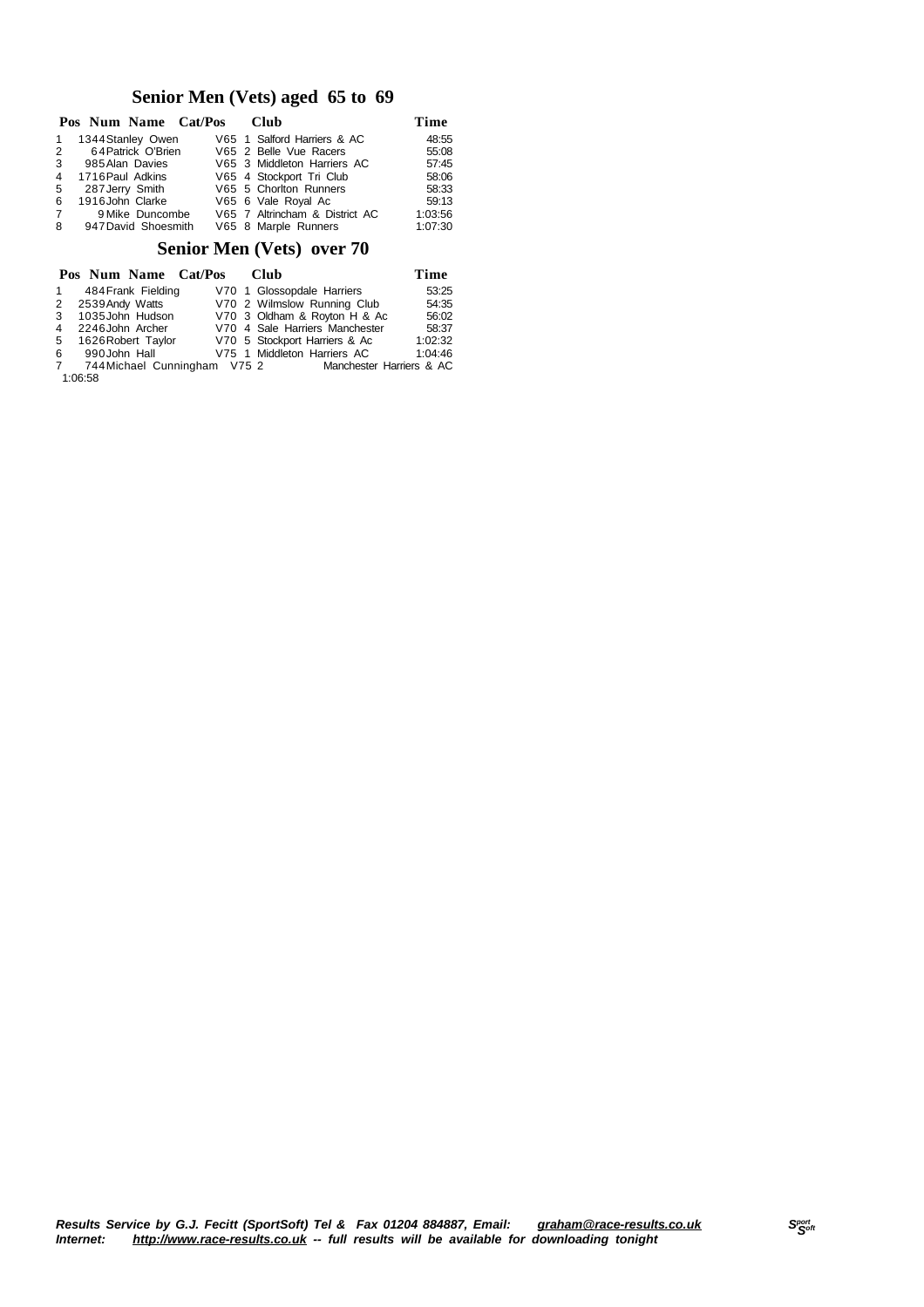#### **Senior Men (Vets) aged 65 to 69**

|                | Pos Num Name Cat/Pos Club |                                | Time    |
|----------------|---------------------------|--------------------------------|---------|
| $\mathbf{1}$   | 1344 Stanley Owen         | V65 1 Salford Harriers & AC    | 48:55   |
|                | 2 64 Patrick O'Brien      | V65 2 Belle Vue Racers         | 55:08   |
|                | 3 985 Alan Davies         | V65 3 Middleton Harriers AC    | 57:45   |
| $\overline{4}$ | 1716 Paul Adkins          | V65 4 Stockport Tri Club       | 58:06   |
| 5              | 287 Jerry Smith           | V65 5 Chorlton Runners         | 58:33   |
| 6              | 1916John Clarke           | V65 6 Vale Royal Ac            | 59:13   |
| $7$ and $7$    | 9 Mike Duncombe           | V65 7 Altrincham & District AC | 1:03:56 |
|                | 8 947 David Shoesmith     | V65 8 Marple Runners           | 1:07:30 |

#### **Senior Men (Vets) over 70**

|    | Pos Num Name Cat/Pos         |  | Club                           | Time    |
|----|------------------------------|--|--------------------------------|---------|
| 1  | 484 Frank Fielding           |  | V70 1 Glossopdale Harriers     | 53:25   |
| 2  | 2539 Andy Watts              |  | V70 2 Wilmslow Running Club    | 54:35   |
| -3 | 1035John Hudson              |  | V70 3 Oldham & Royton H & Ac   | 56:02   |
| 4  | 2246 John Archer             |  | V70 4 Sale Harriers Manchester | 58:37   |
| -5 | 1626 Robert Taylor           |  | V70 5 Stockport Harriers & Ac  | 1:02:32 |
| 6  | 990John Hall                 |  | V75 1 Middleton Harriers AC    | 1:04:46 |
| 7  | 744 Michael Cunningham V75 2 |  | Manchester Harriers & AC       |         |
|    | 1:06:58                      |  |                                |         |

Results Service by G.J. Fecitt (SportSoft) Tel & Fax 01204 884887, Email: <u>[graham@race-results.co.uk](mailto:graham@race-results.co.uk)</u> S<sup>oon</sup><br>Internet: <u><http://www.race-results.co.uk></u> -- full results will be available for downloading tonight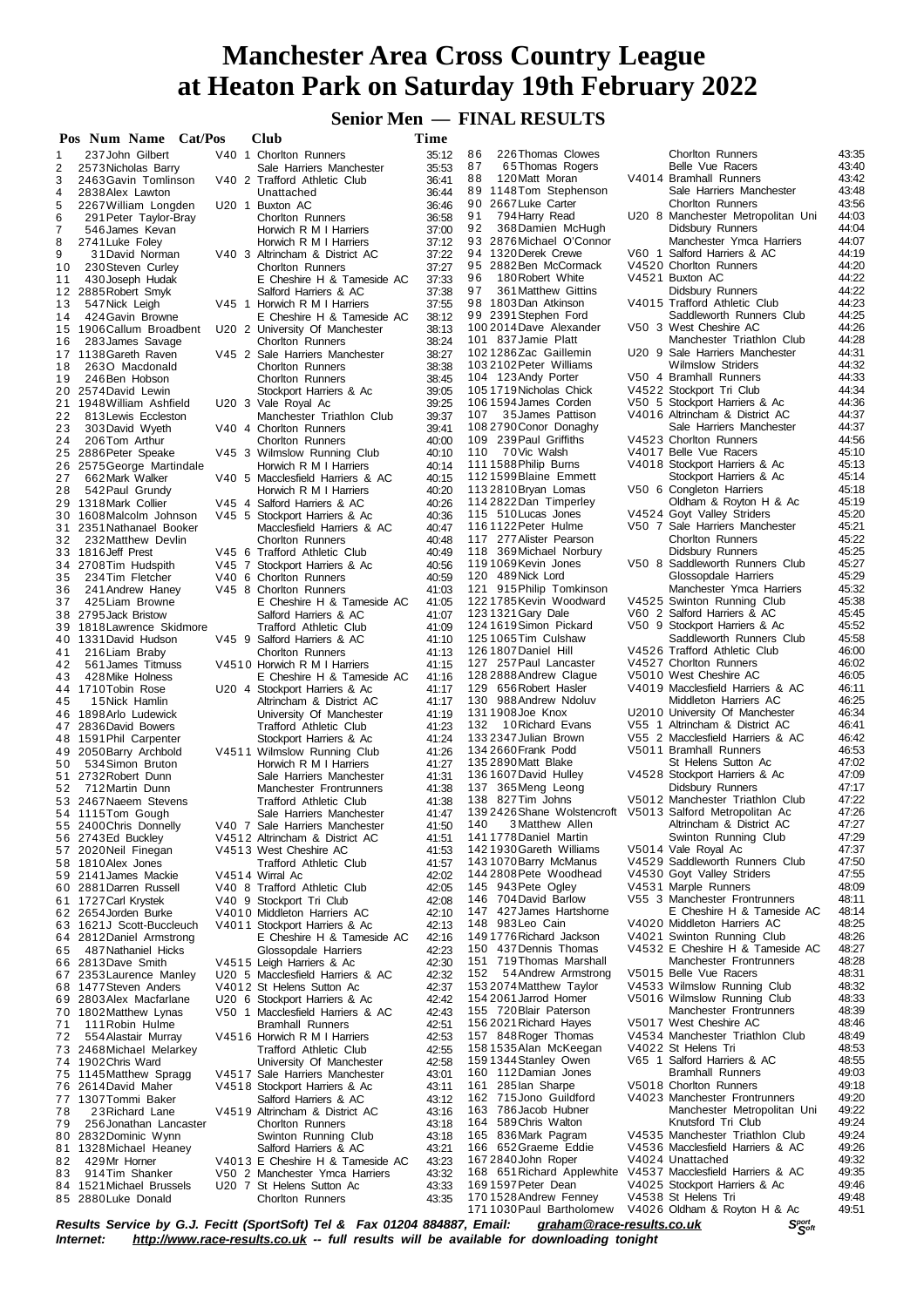**Senior Men — FINAL RESULTS**

| 86<br>226 Thomas Clowes<br><b>Chorlton Runners</b><br>237 John Gilbert<br>V40 1 Chorlton Runners<br>35:12<br>1<br>87<br>65 Thomas Rogers<br>Belle Vue Racers<br>2<br>35:53<br>2573 Nicholas Barry<br>Sale Harriers Manchester<br>V4014 Bramhall Runners<br>3<br>88<br>120 Matt Moran<br>V40 2 Trafford Athletic Club<br>36:41<br>2463 Gavin Tomlinson<br>89 1148 Tom Stephenson<br>Sale Harriers Manchester<br>4<br>36:44<br>2838 Alex Lawton<br>Unattached<br>90<br>2667 Luke Carter<br><b>Chorlton Runners</b><br>5<br>U20 1 Buxton AC<br>36:46<br>2267 William Longden<br>91<br>794 Harry Read<br>U20 8 Manchester Metropolitan Uni<br>6<br>36:58<br>Chorlton Runners<br>291 Peter Taylor-Bray<br>92<br>368 Damien McHugh<br>Didsbury Runners<br>37:00<br>7<br>546 James Kevan<br>Horwich R M I Harriers<br>Manchester Ymca Harriers<br>93 2876 Michael O'Connor<br>8<br>37:12<br>2741 Luke Foley<br>Horwich R M I Harriers<br>44:19<br>94 1320 Derek Crewe<br>V60 1 Salford Harriers & AC<br>9<br>37:22<br>V40 3 Altrincham & District AC<br>31 David Norman<br>V4520 Chorlton Runners<br>44:20<br>95 2882 Ben McCormack<br>37:27<br>10<br>230 Steven Curley<br><b>Chorlton Runners</b><br>96<br>V4521 Buxton AC<br>44:22<br>180 Robert White<br>37:33<br>11<br>430 Joseph Hudak<br>E Cheshire H & Tameside AC<br>44:22<br>97<br>361 Matthew Gittins<br>Didsbury Runners<br>37:38<br>12 2885 Robert Smyk<br>Salford Harriers & AC<br>V4015 Trafford Athletic Club<br>44:23<br>98 1803Dan Atkinson<br>37:55<br>547 Nick Leigh<br>V45 1 Horwich R M I Harriers<br>13<br>44:25<br>Saddleworth Runners Club<br>99 2391 Stephen Ford<br>38:12<br>14<br>424 Gavin Browne<br>E Cheshire H & Tameside AC<br>44:26<br>100 2014 Dave Alexander<br>V50 3 West Cheshire AC<br>38:13<br>1906 Callum Broadbent<br>U20 2 University Of Manchester<br>15<br>44:28<br>101 837 Jamie Platt<br>Manchester Triathlon Club<br>38:24<br>283 James Savage<br><b>Chorlton Runners</b><br>16<br>U20 9 Sale Harriers Manchester<br>44:31<br>1021286Zac Gaillemin<br>38:27<br>17 1138 Gareth Raven<br>V45 2 Sale Harriers Manchester<br>44:32<br>1032102 Peter Williams<br><b>Wilmslow Striders</b><br>38:38<br>18<br>2630 Macdonald<br><b>Chorlton Runners</b><br>V50 4 Bramhall Runners<br>44:33<br>104 123 Andy Porter<br>38:45<br>19<br>246 Ben Hobson<br><b>Chorlton Runners</b><br>V4522 Stockport Tri Club<br>44:34<br>1051719 Nicholas Chick<br>39:05<br>20 2574David Lewin<br>Stockport Harriers & Ac<br>44:36<br>1061594 James Corden<br>V50 5 Stockport Harriers & Ac<br>39:25<br>21<br>U20 3 Vale Royal Ac<br>1948 William Ashfield<br>44:37<br>107 35 James Pattison<br>V4016 Altrincham & District AC<br>39:37<br>22<br>813 Lewis Eccleston<br>Manchester Triathlon Club<br>44:37<br>1082790 Conor Donaghy<br>Sale Harriers Manchester<br>V40 4 Chorlton Runners<br>39:41<br>23<br>303 David Wyeth<br>44:56<br>109 239 Paul Griffiths<br>V4523 Chorlton Runners<br>40:00<br>24<br>206Tom Arthur<br><b>Chorlton Runners</b><br>45:10<br>110 70Vic Walsh<br>V4017 Belle Vue Racers<br>V45 3 Wilmslow Running Club<br>40:10<br>25 2886 Peter Speake<br>1111588 Philip Burns<br>V4018 Stockport Harriers & Ac<br>45:13<br>40:14<br>26 2575 George Martindale<br>Horwich R M I Harriers<br>45:14<br>1121599Blaine Emmett<br>Stockport Harriers & Ac<br>27<br>40:15<br>662 Mark Walker<br>V40 5 Macclesfield Harriers & AC<br>V50 6 Congleton Harriers<br>45:18<br>1132810 Bryan Lomas<br>40:20<br>28<br>542 Paul Grundy<br>Horwich R M I Harriers<br>114 2822 Dan Timperley<br>Oldham & Royton H & Ac<br>1318 Mark Collier<br>V45 4 Salford Harriers & AC<br>40:26<br>29<br>115 510 Lucas Jones<br>V4524 Goyt Valley Striders<br>40:36<br>30<br>1608Malcolm Johnson<br>V45 5 Stockport Harriers & Ac<br>1161122 Peter Hulme<br>V50 7 Sale Harriers Manchester<br>40:47<br>31 2351 Nathanael Booker<br>Macclesfield Harriers & AC<br>117 277 Alister Pearson<br><b>Chorlton Runners</b><br>232 Matthew Devlin<br><b>Chorlton Runners</b><br>40:48<br>32<br>118 369 Michael Norbury<br>Didsbury Runners<br>40:49<br>33 1816 Jeff Prest<br>V45 6 Trafford Athletic Club<br>1191069Kevin Jones<br>V50 8 Saddleworth Runners Club<br>40:56<br>34 2708 Tim Hudspith<br>V45 7 Stockport Harriers & Ac<br>120 489 Nick Lord<br>Glossopdale Harriers<br>40:59<br>234Tim Fletcher<br>V40 6 Chorlton Runners<br>35<br>121 915 Philip Tomkinson<br>Manchester Ymca Harriers<br>41:03<br>36<br>241 Andrew Haney<br>V45 8 Chorlton Runners<br>1221785 Kevin Woodward<br>V4525 Swinton Running Club<br>37<br>425 Liam Browne<br>E Cheshire H & Tameside AC<br>41:05<br>123 1321 Gary Dale<br>V60 2 Salford Harriers & AC<br>38 2795 Jack Bristow<br>Salford Harriers & AC<br>41:07<br>1241619Simon Pickard<br>V50 9 Stockport Harriers & Ac<br>41:09<br>39<br>1818 Lawrence Skidmore<br><b>Trafford Athletic Club</b><br>125 1065 Tim Culshaw<br>Saddleworth Runners Club<br>V45 9 Salford Harriers & AC<br>40 1331 David Hudson<br>41:10<br>126 1807 Daniel Hill<br>V4526 Trafford Athletic Club<br><b>Chorlton Runners</b><br>41:13<br>216 Liam Braby<br>41<br>127 257 Paul Lancaster<br>V4527 Chorlton Runners<br>41:15<br>42<br>561 James Titmuss<br>V4510 Horwich R M I Harriers<br>128 2888 Andrew Clague<br>V5010 West Cheshire AC<br>43<br>428 Mike Holness<br>E Cheshire H & Tameside AC<br>41:16<br>V4019 Macclesfield Harriers & AC<br>129 656 Robert Hasler<br>44 1710 Tobin Rose<br>U20 4 Stockport Harriers & Ac<br>41:17<br>130 988 Andrew Ndoluv<br>Middleton Harriers AC<br>41:17<br>45<br>15 Nick Hamlin<br>Altrincham & District AC<br>1311908 Joe Knox<br>U2010 University Of Manchester<br>41:19<br>46 1898 Arlo Ludewick<br>University Of Manchester<br>132<br>V55 1 Altrincham & District AC<br>41:23<br>10 Richard Evans<br>47 2836 David Bowers<br><b>Trafford Athletic Club</b><br>V55 2 Macclesfield Harriers & AC<br>133 2347 Julian Brown<br>41:24<br>48 1591 Phil Carpenter<br>Stockport Harriers & Ac<br>134 2660 Frank Podd<br>V5011 Bramhall Runners<br>41:26<br>49 2050 Barry Archbold<br>V4511 Wilmslow Running Club<br>St Helens Sutton Ac<br>135 2890 Matt Blake<br>534 Simon Bruton<br>Horwich R M I Harriers<br>41:27<br>50<br>136 1607 David Hulley<br>V4528 Stockport Harriers & Ac<br>41:31<br>51<br>2732 Robert Dunn<br>Sale Harriers Manchester<br>137 365Meng Leong<br>Didsbury Runners<br>712 Martin Dunn<br>Manchester Frontrunners<br>41:38<br>52<br>V5012 Manchester Triathlon Club<br>138 827 Tim Johns<br>53 2467 Naeem Stevens<br><b>Trafford Athletic Club</b><br>41:38<br>139 24 26 Shane Wolstencroft V5013 Salford Metropolitan Ac<br>41:47<br>54 1115Tom Gough<br>Sale Harriers Manchester<br>140<br>3 Matthew Allen<br>Altrincham & District AC<br>41:50<br>55 2400 Chris Donnelly<br>V40 7 Sale Harriers Manchester<br>1411778 Daniel Martin<br>Swinton Running Club<br>56 2743Ed Buckley<br>V4512 Altrincham & District AC<br>41:51<br>142 1930 Gareth Williams<br>V5014 Vale Royal Ac<br>41:53<br>57 2020 Neil Finegan<br>V4513 West Cheshire AC<br>V4529 Saddleworth Runners Club<br>1431070 Barry McManus<br>58 1810 Alex Jones<br><b>Trafford Athletic Club</b><br>41:57<br>144 2808 Pete Woodhead<br>V4530 Goyt Valley Striders<br>59 2141 James Mackie<br>V4514 Wirral Ac<br>42:02<br>145 943 Pete Ogley<br>V4531 Marple Runners<br>42:05<br>60 2881 Darren Russell<br>V40 8 Trafford Athletic Club<br>146 704 David Barlow<br>V55 3 Manchester Frontrunners<br>42:08<br>61 1727 Carl Krystek<br>V40 9 Stockport Tri Club<br>147 427 James Hartshorne<br>E Cheshire H & Tameside AC<br>42:10<br>62 2654 Jorden Burke<br>V4010 Middleton Harriers AC<br>148 983 Leo Cain<br>V4020 Middleton Harriers AC<br>42:13<br>V4011 Stockport Harriers & Ac<br>63<br>1621J Scott-Buccleuch<br>149 1776 Richard Jackson<br>V4021 Swinton Running Club<br>64 2812 Daniel Armstrong<br>E Cheshire H & Tameside AC<br>42:16<br>V4532 E Cheshire H & Tameside AC<br>42:23<br>150 437 Dennis Thomas<br>487 Nathaniel Hicks<br>Glossopdale Harriers<br>65<br>48:28<br>42:30<br>151 719 Thomas Marshall<br>Manchester Frontrunners<br>66 2813Dave Smith<br>V4515 Leigh Harriers & Ac<br>V5015 Belle Vue Racers<br>48:31<br>152<br>54 Andrew Armstrong<br>42:32<br>67 2353 Laurence Manley<br>U20 5 Macclesfield Harriers & AC<br>48:32<br>V4533 Wilmslow Running Club<br>42:37<br>153 2074 Matthew Taylor<br>68 1477 Steven Anders<br>V4012 St Helens Sutton Ac<br>48:33<br>154 2061 Jarrod Homer<br>V5016 Wilmslow Running Club<br>42:42<br>69 2803 Alex Macfarlane<br>U20 6 Stockport Harriers & Ac<br>155 720 Blair Paterson<br>48:39<br>Manchester Frontrunners<br>42:43<br>70 1802 Matthew Lynas<br>V50 1 Macclesfield Harriers & AC<br>156 2021 Richard Hayes<br>V5017 West Cheshire AC<br>48:46<br>42:51<br>111 Robin Hulme<br><b>Bramhall Runners</b><br>71<br>V4534 Manchester Triathlon Club<br>48:49<br>157 848 Roger Thomas<br>42:53<br>72<br>V4516 Horwich R M I Harriers<br>554 Alastair Murray<br>158 1535 Alan McKeegan<br>V4022 St Helens Tri<br>48:53<br>42:55<br>73 2468 Michael Melarkey<br>Trafford Athletic Club<br>48:55<br>159 1344 Stanley Owen<br>V65 1 Salford Harriers & AC<br>42:58<br>74 1902 Chris Ward<br>University Of Manchester<br>49:03<br>160 112 Damian Jones<br><b>Bramhall Runners</b><br>43:01<br>75 1145 Matthew Spragg<br>V4517 Sale Harriers Manchester<br>161 285 lan Sharpe<br>V5018 Chorlton Runners<br>49:18<br>76 2614 David Maher<br>V4518 Stockport Harriers & Ac<br>43:11<br>49:20<br>V4023 Manchester Frontrunners<br>162 715 Jono Guildford<br>77 1307 Tommi Baker<br>Salford Harriers & AC<br>43:12<br>49:22<br>163 786 Jacob Hubner<br>Manchester Metropolitan Uni<br>43:16<br>78<br>23 Richard Lane<br>V4519 Altrincham & District AC<br>164 589 Chris Walton<br>49:24<br>Knutsford Tri Club<br>256 Jonathan Lancaster<br><b>Chorlton Runners</b><br>43:18<br>79<br>49:24<br>V4535 Manchester Triathlon Club<br>165 836 Mark Pagram<br>Swinton Running Club<br>43:18<br>2832 Dominic Wynn<br>80<br>49:26<br>166 652 Graeme Eddie<br>V4536 Macclesfield Harriers & AC<br>43:21<br>1328 Michael Heaney<br>Salford Harriers & AC<br>81<br>49:32<br>167 2840 John Roper<br>V4024 Unattached<br>43:23<br>429Mr Horner<br>V4013 E Cheshire H & Tameside AC<br>82<br>49:35<br>168 651 Richard Applewhite V4537 Macclesfield Harriers & AC<br>43:32<br>914Tim Shanker<br>V50 2 Manchester Ymca Harriers<br>83<br>169 1597 Peter Dean<br>49:46<br>V4025 Stockport Harriers & Ac<br>43:33<br>U20 7 St Helens Sutton Ac<br>84 1521 Michael Brussels<br>V4538 St Helens Tri<br>49:48<br>1701528 Andrew Fenney<br>43:35<br>85 2880 Luke Donald<br><b>Chorlton Runners</b><br>V4026 Oldham & Royton H & Ac | Pos Num Name Cat/Pos |  |  | Club | Time |                          |  |       |
|-------------------------------------------------------------------------------------------------------------------------------------------------------------------------------------------------------------------------------------------------------------------------------------------------------------------------------------------------------------------------------------------------------------------------------------------------------------------------------------------------------------------------------------------------------------------------------------------------------------------------------------------------------------------------------------------------------------------------------------------------------------------------------------------------------------------------------------------------------------------------------------------------------------------------------------------------------------------------------------------------------------------------------------------------------------------------------------------------------------------------------------------------------------------------------------------------------------------------------------------------------------------------------------------------------------------------------------------------------------------------------------------------------------------------------------------------------------------------------------------------------------------------------------------------------------------------------------------------------------------------------------------------------------------------------------------------------------------------------------------------------------------------------------------------------------------------------------------------------------------------------------------------------------------------------------------------------------------------------------------------------------------------------------------------------------------------------------------------------------------------------------------------------------------------------------------------------------------------------------------------------------------------------------------------------------------------------------------------------------------------------------------------------------------------------------------------------------------------------------------------------------------------------------------------------------------------------------------------------------------------------------------------------------------------------------------------------------------------------------------------------------------------------------------------------------------------------------------------------------------------------------------------------------------------------------------------------------------------------------------------------------------------------------------------------------------------------------------------------------------------------------------------------------------------------------------------------------------------------------------------------------------------------------------------------------------------------------------------------------------------------------------------------------------------------------------------------------------------------------------------------------------------------------------------------------------------------------------------------------------------------------------------------------------------------------------------------------------------------------------------------------------------------------------------------------------------------------------------------------------------------------------------------------------------------------------------------------------------------------------------------------------------------------------------------------------------------------------------------------------------------------------------------------------------------------------------------------------------------------------------------------------------------------------------------------------------------------------------------------------------------------------------------------------------------------------------------------------------------------------------------------------------------------------------------------------------------------------------------------------------------------------------------------------------------------------------------------------------------------------------------------------------------------------------------------------------------------------------------------------------------------------------------------------------------------------------------------------------------------------------------------------------------------------------------------------------------------------------------------------------------------------------------------------------------------------------------------------------------------------------------------------------------------------------------------------------------------------------------------------------------------------------------------------------------------------------------------------------------------------------------------------------------------------------------------------------------------------------------------------------------------------------------------------------------------------------------------------------------------------------------------------------------------------------------------------------------------------------------------------------------------------------------------------------------------------------------------------------------------------------------------------------------------------------------------------------------------------------------------------------------------------------------------------------------------------------------------------------------------------------------------------------------------------------------------------------------------------------------------------------------------------------------------------------------------------------------------------------------------------------------------------------------------------------------------------------------------------------------------------------------------------------------------------------------------------------------------------------------------------------------------------------------------------------------------------------------------------------------------------------------------------------------------------------------------------------------------------------------------------------------------------------------------------------------------------------------------------------------------------------------------------------------------------------------------------------------------------------------------------------------------------------------------------------------------------------------------------------------------------------------------------------------------------------------------------------------------------------------------------------------------------------------------------------------------------------------------------------------------------------------------------------------------------------------------------------------------------------------------------------------------------------------------------------------------------------------------------------------------------------------------------------------------------------------------------------------------------------------------------------------------------------------------------------------------------------------------------------------------------------------------------------------------------------------------------------------------------------------------------------------------------------------------------------------------------------------------------------------------------------------------------------------------------------------------------------------------------------------------------------------------------------------------------------------------------------------------------------------------------------------------------------------------------------------------------------------------------------------------------------------------------------------------------------------------------------------------------------------------------------------------------------------------------------------------------------------------------------------------------------------------------------------------------------------------------------------------------------------------------------------------------------------------------------------------------------------------------------------------------------------------------------------------------------------------------------------------------------------------------------------------------------------------------------------------------------------------------------------------------------------------------------------------------------------------------------------------------------------------------------------------------------------------------------------------------------------------------------------------------------------------------------------------------------------------------------------------------------------------------------------------------------------------------------------------------------------------------------------------------------------------------------------------------------------------------------------------------------------------------------------------------------------------------------------------------------------------------------------------------------------------------------------------------------------------------------------------------------------------------------------------------------------------------------------------------------------------------------------------------------------------------------------------------------------------------------------------------------------------------------------------------------------------------------------------------------------------------------------------------------------------------------|----------------------|--|--|------|------|--------------------------|--|-------|
|                                                                                                                                                                                                                                                                                                                                                                                                                                                                                                                                                                                                                                                                                                                                                                                                                                                                                                                                                                                                                                                                                                                                                                                                                                                                                                                                                                                                                                                                                                                                                                                                                                                                                                                                                                                                                                                                                                                                                                                                                                                                                                                                                                                                                                                                                                                                                                                                                                                                                                                                                                                                                                                                                                                                                                                                                                                                                                                                                                                                                                                                                                                                                                                                                                                                                                                                                                                                                                                                                                                                                                                                                                                                                                                                                                                                                                                                                                                                                                                                                                                                                                                                                                                                                                                                                                                                                                                                                                                                                                                                                                                                                                                                                                                                                                                                                                                                                                                                                                                                                                                                                                                                                                                                                                                                                                                                                                                                                                                                                                                                                                                                                                                                                                                                                                                                                                                                                                                                                                                                                                                                                                                                                                                                                                                                                                                                                                                                                                                                                                                                                                                                                                                                                                                                                                                                                                                                                                                                                                                                                                                                                                                                                                                                                                                                                                                                                                                                                                                                                                                                                                                                                                                                                                                                                                                                                                                                                                                                                                                                                                                                                                                                                                                                                                                                                                                                                                                                                                                                                                                                                                                                                                                                                                                                                                                                                                                                                                                                                                                                                                                                                                                                                                                                                                                                                                                                                                                                                                                                                                                                                                                                                                                                                                                                                                                                                                                                                                                                                                                                                                                                                                                                                                                                                                                                                                                                                                                                                                                                                                                                                                                                                                                                                                                                                                         |                      |  |  |      |      |                          |  | 43:35 |
|                                                                                                                                                                                                                                                                                                                                                                                                                                                                                                                                                                                                                                                                                                                                                                                                                                                                                                                                                                                                                                                                                                                                                                                                                                                                                                                                                                                                                                                                                                                                                                                                                                                                                                                                                                                                                                                                                                                                                                                                                                                                                                                                                                                                                                                                                                                                                                                                                                                                                                                                                                                                                                                                                                                                                                                                                                                                                                                                                                                                                                                                                                                                                                                                                                                                                                                                                                                                                                                                                                                                                                                                                                                                                                                                                                                                                                                                                                                                                                                                                                                                                                                                                                                                                                                                                                                                                                                                                                                                                                                                                                                                                                                                                                                                                                                                                                                                                                                                                                                                                                                                                                                                                                                                                                                                                                                                                                                                                                                                                                                                                                                                                                                                                                                                                                                                                                                                                                                                                                                                                                                                                                                                                                                                                                                                                                                                                                                                                                                                                                                                                                                                                                                                                                                                                                                                                                                                                                                                                                                                                                                                                                                                                                                                                                                                                                                                                                                                                                                                                                                                                                                                                                                                                                                                                                                                                                                                                                                                                                                                                                                                                                                                                                                                                                                                                                                                                                                                                                                                                                                                                                                                                                                                                                                                                                                                                                                                                                                                                                                                                                                                                                                                                                                                                                                                                                                                                                                                                                                                                                                                                                                                                                                                                                                                                                                                                                                                                                                                                                                                                                                                                                                                                                                                                                                                                                                                                                                                                                                                                                                                                                                                                                                                                                                                                                         |                      |  |  |      |      |                          |  | 43:40 |
|                                                                                                                                                                                                                                                                                                                                                                                                                                                                                                                                                                                                                                                                                                                                                                                                                                                                                                                                                                                                                                                                                                                                                                                                                                                                                                                                                                                                                                                                                                                                                                                                                                                                                                                                                                                                                                                                                                                                                                                                                                                                                                                                                                                                                                                                                                                                                                                                                                                                                                                                                                                                                                                                                                                                                                                                                                                                                                                                                                                                                                                                                                                                                                                                                                                                                                                                                                                                                                                                                                                                                                                                                                                                                                                                                                                                                                                                                                                                                                                                                                                                                                                                                                                                                                                                                                                                                                                                                                                                                                                                                                                                                                                                                                                                                                                                                                                                                                                                                                                                                                                                                                                                                                                                                                                                                                                                                                                                                                                                                                                                                                                                                                                                                                                                                                                                                                                                                                                                                                                                                                                                                                                                                                                                                                                                                                                                                                                                                                                                                                                                                                                                                                                                                                                                                                                                                                                                                                                                                                                                                                                                                                                                                                                                                                                                                                                                                                                                                                                                                                                                                                                                                                                                                                                                                                                                                                                                                                                                                                                                                                                                                                                                                                                                                                                                                                                                                                                                                                                                                                                                                                                                                                                                                                                                                                                                                                                                                                                                                                                                                                                                                                                                                                                                                                                                                                                                                                                                                                                                                                                                                                                                                                                                                                                                                                                                                                                                                                                                                                                                                                                                                                                                                                                                                                                                                                                                                                                                                                                                                                                                                                                                                                                                                                                                                                         |                      |  |  |      |      |                          |  | 43:42 |
|                                                                                                                                                                                                                                                                                                                                                                                                                                                                                                                                                                                                                                                                                                                                                                                                                                                                                                                                                                                                                                                                                                                                                                                                                                                                                                                                                                                                                                                                                                                                                                                                                                                                                                                                                                                                                                                                                                                                                                                                                                                                                                                                                                                                                                                                                                                                                                                                                                                                                                                                                                                                                                                                                                                                                                                                                                                                                                                                                                                                                                                                                                                                                                                                                                                                                                                                                                                                                                                                                                                                                                                                                                                                                                                                                                                                                                                                                                                                                                                                                                                                                                                                                                                                                                                                                                                                                                                                                                                                                                                                                                                                                                                                                                                                                                                                                                                                                                                                                                                                                                                                                                                                                                                                                                                                                                                                                                                                                                                                                                                                                                                                                                                                                                                                                                                                                                                                                                                                                                                                                                                                                                                                                                                                                                                                                                                                                                                                                                                                                                                                                                                                                                                                                                                                                                                                                                                                                                                                                                                                                                                                                                                                                                                                                                                                                                                                                                                                                                                                                                                                                                                                                                                                                                                                                                                                                                                                                                                                                                                                                                                                                                                                                                                                                                                                                                                                                                                                                                                                                                                                                                                                                                                                                                                                                                                                                                                                                                                                                                                                                                                                                                                                                                                                                                                                                                                                                                                                                                                                                                                                                                                                                                                                                                                                                                                                                                                                                                                                                                                                                                                                                                                                                                                                                                                                                                                                                                                                                                                                                                                                                                                                                                                                                                                                                                         |                      |  |  |      |      |                          |  | 43:48 |
|                                                                                                                                                                                                                                                                                                                                                                                                                                                                                                                                                                                                                                                                                                                                                                                                                                                                                                                                                                                                                                                                                                                                                                                                                                                                                                                                                                                                                                                                                                                                                                                                                                                                                                                                                                                                                                                                                                                                                                                                                                                                                                                                                                                                                                                                                                                                                                                                                                                                                                                                                                                                                                                                                                                                                                                                                                                                                                                                                                                                                                                                                                                                                                                                                                                                                                                                                                                                                                                                                                                                                                                                                                                                                                                                                                                                                                                                                                                                                                                                                                                                                                                                                                                                                                                                                                                                                                                                                                                                                                                                                                                                                                                                                                                                                                                                                                                                                                                                                                                                                                                                                                                                                                                                                                                                                                                                                                                                                                                                                                                                                                                                                                                                                                                                                                                                                                                                                                                                                                                                                                                                                                                                                                                                                                                                                                                                                                                                                                                                                                                                                                                                                                                                                                                                                                                                                                                                                                                                                                                                                                                                                                                                                                                                                                                                                                                                                                                                                                                                                                                                                                                                                                                                                                                                                                                                                                                                                                                                                                                                                                                                                                                                                                                                                                                                                                                                                                                                                                                                                                                                                                                                                                                                                                                                                                                                                                                                                                                                                                                                                                                                                                                                                                                                                                                                                                                                                                                                                                                                                                                                                                                                                                                                                                                                                                                                                                                                                                                                                                                                                                                                                                                                                                                                                                                                                                                                                                                                                                                                                                                                                                                                                                                                                                                                                                         |                      |  |  |      |      |                          |  | 43:56 |
|                                                                                                                                                                                                                                                                                                                                                                                                                                                                                                                                                                                                                                                                                                                                                                                                                                                                                                                                                                                                                                                                                                                                                                                                                                                                                                                                                                                                                                                                                                                                                                                                                                                                                                                                                                                                                                                                                                                                                                                                                                                                                                                                                                                                                                                                                                                                                                                                                                                                                                                                                                                                                                                                                                                                                                                                                                                                                                                                                                                                                                                                                                                                                                                                                                                                                                                                                                                                                                                                                                                                                                                                                                                                                                                                                                                                                                                                                                                                                                                                                                                                                                                                                                                                                                                                                                                                                                                                                                                                                                                                                                                                                                                                                                                                                                                                                                                                                                                                                                                                                                                                                                                                                                                                                                                                                                                                                                                                                                                                                                                                                                                                                                                                                                                                                                                                                                                                                                                                                                                                                                                                                                                                                                                                                                                                                                                                                                                                                                                                                                                                                                                                                                                                                                                                                                                                                                                                                                                                                                                                                                                                                                                                                                                                                                                                                                                                                                                                                                                                                                                                                                                                                                                                                                                                                                                                                                                                                                                                                                                                                                                                                                                                                                                                                                                                                                                                                                                                                                                                                                                                                                                                                                                                                                                                                                                                                                                                                                                                                                                                                                                                                                                                                                                                                                                                                                                                                                                                                                                                                                                                                                                                                                                                                                                                                                                                                                                                                                                                                                                                                                                                                                                                                                                                                                                                                                                                                                                                                                                                                                                                                                                                                                                                                                                                                                         |                      |  |  |      |      |                          |  | 44:03 |
|                                                                                                                                                                                                                                                                                                                                                                                                                                                                                                                                                                                                                                                                                                                                                                                                                                                                                                                                                                                                                                                                                                                                                                                                                                                                                                                                                                                                                                                                                                                                                                                                                                                                                                                                                                                                                                                                                                                                                                                                                                                                                                                                                                                                                                                                                                                                                                                                                                                                                                                                                                                                                                                                                                                                                                                                                                                                                                                                                                                                                                                                                                                                                                                                                                                                                                                                                                                                                                                                                                                                                                                                                                                                                                                                                                                                                                                                                                                                                                                                                                                                                                                                                                                                                                                                                                                                                                                                                                                                                                                                                                                                                                                                                                                                                                                                                                                                                                                                                                                                                                                                                                                                                                                                                                                                                                                                                                                                                                                                                                                                                                                                                                                                                                                                                                                                                                                                                                                                                                                                                                                                                                                                                                                                                                                                                                                                                                                                                                                                                                                                                                                                                                                                                                                                                                                                                                                                                                                                                                                                                                                                                                                                                                                                                                                                                                                                                                                                                                                                                                                                                                                                                                                                                                                                                                                                                                                                                                                                                                                                                                                                                                                                                                                                                                                                                                                                                                                                                                                                                                                                                                                                                                                                                                                                                                                                                                                                                                                                                                                                                                                                                                                                                                                                                                                                                                                                                                                                                                                                                                                                                                                                                                                                                                                                                                                                                                                                                                                                                                                                                                                                                                                                                                                                                                                                                                                                                                                                                                                                                                                                                                                                                                                                                                                                                                         |                      |  |  |      |      |                          |  | 44:04 |
|                                                                                                                                                                                                                                                                                                                                                                                                                                                                                                                                                                                                                                                                                                                                                                                                                                                                                                                                                                                                                                                                                                                                                                                                                                                                                                                                                                                                                                                                                                                                                                                                                                                                                                                                                                                                                                                                                                                                                                                                                                                                                                                                                                                                                                                                                                                                                                                                                                                                                                                                                                                                                                                                                                                                                                                                                                                                                                                                                                                                                                                                                                                                                                                                                                                                                                                                                                                                                                                                                                                                                                                                                                                                                                                                                                                                                                                                                                                                                                                                                                                                                                                                                                                                                                                                                                                                                                                                                                                                                                                                                                                                                                                                                                                                                                                                                                                                                                                                                                                                                                                                                                                                                                                                                                                                                                                                                                                                                                                                                                                                                                                                                                                                                                                                                                                                                                                                                                                                                                                                                                                                                                                                                                                                                                                                                                                                                                                                                                                                                                                                                                                                                                                                                                                                                                                                                                                                                                                                                                                                                                                                                                                                                                                                                                                                                                                                                                                                                                                                                                                                                                                                                                                                                                                                                                                                                                                                                                                                                                                                                                                                                                                                                                                                                                                                                                                                                                                                                                                                                                                                                                                                                                                                                                                                                                                                                                                                                                                                                                                                                                                                                                                                                                                                                                                                                                                                                                                                                                                                                                                                                                                                                                                                                                                                                                                                                                                                                                                                                                                                                                                                                                                                                                                                                                                                                                                                                                                                                                                                                                                                                                                                                                                                                                                                                                         |                      |  |  |      |      |                          |  | 44:07 |
|                                                                                                                                                                                                                                                                                                                                                                                                                                                                                                                                                                                                                                                                                                                                                                                                                                                                                                                                                                                                                                                                                                                                                                                                                                                                                                                                                                                                                                                                                                                                                                                                                                                                                                                                                                                                                                                                                                                                                                                                                                                                                                                                                                                                                                                                                                                                                                                                                                                                                                                                                                                                                                                                                                                                                                                                                                                                                                                                                                                                                                                                                                                                                                                                                                                                                                                                                                                                                                                                                                                                                                                                                                                                                                                                                                                                                                                                                                                                                                                                                                                                                                                                                                                                                                                                                                                                                                                                                                                                                                                                                                                                                                                                                                                                                                                                                                                                                                                                                                                                                                                                                                                                                                                                                                                                                                                                                                                                                                                                                                                                                                                                                                                                                                                                                                                                                                                                                                                                                                                                                                                                                                                                                                                                                                                                                                                                                                                                                                                                                                                                                                                                                                                                                                                                                                                                                                                                                                                                                                                                                                                                                                                                                                                                                                                                                                                                                                                                                                                                                                                                                                                                                                                                                                                                                                                                                                                                                                                                                                                                                                                                                                                                                                                                                                                                                                                                                                                                                                                                                                                                                                                                                                                                                                                                                                                                                                                                                                                                                                                                                                                                                                                                                                                                                                                                                                                                                                                                                                                                                                                                                                                                                                                                                                                                                                                                                                                                                                                                                                                                                                                                                                                                                                                                                                                                                                                                                                                                                                                                                                                                                                                                                                                                                                                                                                         |                      |  |  |      |      |                          |  |       |
|                                                                                                                                                                                                                                                                                                                                                                                                                                                                                                                                                                                                                                                                                                                                                                                                                                                                                                                                                                                                                                                                                                                                                                                                                                                                                                                                                                                                                                                                                                                                                                                                                                                                                                                                                                                                                                                                                                                                                                                                                                                                                                                                                                                                                                                                                                                                                                                                                                                                                                                                                                                                                                                                                                                                                                                                                                                                                                                                                                                                                                                                                                                                                                                                                                                                                                                                                                                                                                                                                                                                                                                                                                                                                                                                                                                                                                                                                                                                                                                                                                                                                                                                                                                                                                                                                                                                                                                                                                                                                                                                                                                                                                                                                                                                                                                                                                                                                                                                                                                                                                                                                                                                                                                                                                                                                                                                                                                                                                                                                                                                                                                                                                                                                                                                                                                                                                                                                                                                                                                                                                                                                                                                                                                                                                                                                                                                                                                                                                                                                                                                                                                                                                                                                                                                                                                                                                                                                                                                                                                                                                                                                                                                                                                                                                                                                                                                                                                                                                                                                                                                                                                                                                                                                                                                                                                                                                                                                                                                                                                                                                                                                                                                                                                                                                                                                                                                                                                                                                                                                                                                                                                                                                                                                                                                                                                                                                                                                                                                                                                                                                                                                                                                                                                                                                                                                                                                                                                                                                                                                                                                                                                                                                                                                                                                                                                                                                                                                                                                                                                                                                                                                                                                                                                                                                                                                                                                                                                                                                                                                                                                                                                                                                                                                                                                                                         |                      |  |  |      |      |                          |  |       |
|                                                                                                                                                                                                                                                                                                                                                                                                                                                                                                                                                                                                                                                                                                                                                                                                                                                                                                                                                                                                                                                                                                                                                                                                                                                                                                                                                                                                                                                                                                                                                                                                                                                                                                                                                                                                                                                                                                                                                                                                                                                                                                                                                                                                                                                                                                                                                                                                                                                                                                                                                                                                                                                                                                                                                                                                                                                                                                                                                                                                                                                                                                                                                                                                                                                                                                                                                                                                                                                                                                                                                                                                                                                                                                                                                                                                                                                                                                                                                                                                                                                                                                                                                                                                                                                                                                                                                                                                                                                                                                                                                                                                                                                                                                                                                                                                                                                                                                                                                                                                                                                                                                                                                                                                                                                                                                                                                                                                                                                                                                                                                                                                                                                                                                                                                                                                                                                                                                                                                                                                                                                                                                                                                                                                                                                                                                                                                                                                                                                                                                                                                                                                                                                                                                                                                                                                                                                                                                                                                                                                                                                                                                                                                                                                                                                                                                                                                                                                                                                                                                                                                                                                                                                                                                                                                                                                                                                                                                                                                                                                                                                                                                                                                                                                                                                                                                                                                                                                                                                                                                                                                                                                                                                                                                                                                                                                                                                                                                                                                                                                                                                                                                                                                                                                                                                                                                                                                                                                                                                                                                                                                                                                                                                                                                                                                                                                                                                                                                                                                                                                                                                                                                                                                                                                                                                                                                                                                                                                                                                                                                                                                                                                                                                                                                                                                                         |                      |  |  |      |      |                          |  |       |
|                                                                                                                                                                                                                                                                                                                                                                                                                                                                                                                                                                                                                                                                                                                                                                                                                                                                                                                                                                                                                                                                                                                                                                                                                                                                                                                                                                                                                                                                                                                                                                                                                                                                                                                                                                                                                                                                                                                                                                                                                                                                                                                                                                                                                                                                                                                                                                                                                                                                                                                                                                                                                                                                                                                                                                                                                                                                                                                                                                                                                                                                                                                                                                                                                                                                                                                                                                                                                                                                                                                                                                                                                                                                                                                                                                                                                                                                                                                                                                                                                                                                                                                                                                                                                                                                                                                                                                                                                                                                                                                                                                                                                                                                                                                                                                                                                                                                                                                                                                                                                                                                                                                                                                                                                                                                                                                                                                                                                                                                                                                                                                                                                                                                                                                                                                                                                                                                                                                                                                                                                                                                                                                                                                                                                                                                                                                                                                                                                                                                                                                                                                                                                                                                                                                                                                                                                                                                                                                                                                                                                                                                                                                                                                                                                                                                                                                                                                                                                                                                                                                                                                                                                                                                                                                                                                                                                                                                                                                                                                                                                                                                                                                                                                                                                                                                                                                                                                                                                                                                                                                                                                                                                                                                                                                                                                                                                                                                                                                                                                                                                                                                                                                                                                                                                                                                                                                                                                                                                                                                                                                                                                                                                                                                                                                                                                                                                                                                                                                                                                                                                                                                                                                                                                                                                                                                                                                                                                                                                                                                                                                                                                                                                                                                                                                                                                         |                      |  |  |      |      |                          |  |       |
|                                                                                                                                                                                                                                                                                                                                                                                                                                                                                                                                                                                                                                                                                                                                                                                                                                                                                                                                                                                                                                                                                                                                                                                                                                                                                                                                                                                                                                                                                                                                                                                                                                                                                                                                                                                                                                                                                                                                                                                                                                                                                                                                                                                                                                                                                                                                                                                                                                                                                                                                                                                                                                                                                                                                                                                                                                                                                                                                                                                                                                                                                                                                                                                                                                                                                                                                                                                                                                                                                                                                                                                                                                                                                                                                                                                                                                                                                                                                                                                                                                                                                                                                                                                                                                                                                                                                                                                                                                                                                                                                                                                                                                                                                                                                                                                                                                                                                                                                                                                                                                                                                                                                                                                                                                                                                                                                                                                                                                                                                                                                                                                                                                                                                                                                                                                                                                                                                                                                                                                                                                                                                                                                                                                                                                                                                                                                                                                                                                                                                                                                                                                                                                                                                                                                                                                                                                                                                                                                                                                                                                                                                                                                                                                                                                                                                                                                                                                                                                                                                                                                                                                                                                                                                                                                                                                                                                                                                                                                                                                                                                                                                                                                                                                                                                                                                                                                                                                                                                                                                                                                                                                                                                                                                                                                                                                                                                                                                                                                                                                                                                                                                                                                                                                                                                                                                                                                                                                                                                                                                                                                                                                                                                                                                                                                                                                                                                                                                                                                                                                                                                                                                                                                                                                                                                                                                                                                                                                                                                                                                                                                                                                                                                                                                                                                                                         |                      |  |  |      |      |                          |  |       |
|                                                                                                                                                                                                                                                                                                                                                                                                                                                                                                                                                                                                                                                                                                                                                                                                                                                                                                                                                                                                                                                                                                                                                                                                                                                                                                                                                                                                                                                                                                                                                                                                                                                                                                                                                                                                                                                                                                                                                                                                                                                                                                                                                                                                                                                                                                                                                                                                                                                                                                                                                                                                                                                                                                                                                                                                                                                                                                                                                                                                                                                                                                                                                                                                                                                                                                                                                                                                                                                                                                                                                                                                                                                                                                                                                                                                                                                                                                                                                                                                                                                                                                                                                                                                                                                                                                                                                                                                                                                                                                                                                                                                                                                                                                                                                                                                                                                                                                                                                                                                                                                                                                                                                                                                                                                                                                                                                                                                                                                                                                                                                                                                                                                                                                                                                                                                                                                                                                                                                                                                                                                                                                                                                                                                                                                                                                                                                                                                                                                                                                                                                                                                                                                                                                                                                                                                                                                                                                                                                                                                                                                                                                                                                                                                                                                                                                                                                                                                                                                                                                                                                                                                                                                                                                                                                                                                                                                                                                                                                                                                                                                                                                                                                                                                                                                                                                                                                                                                                                                                                                                                                                                                                                                                                                                                                                                                                                                                                                                                                                                                                                                                                                                                                                                                                                                                                                                                                                                                                                                                                                                                                                                                                                                                                                                                                                                                                                                                                                                                                                                                                                                                                                                                                                                                                                                                                                                                                                                                                                                                                                                                                                                                                                                                                                                                                                         |                      |  |  |      |      |                          |  |       |
|                                                                                                                                                                                                                                                                                                                                                                                                                                                                                                                                                                                                                                                                                                                                                                                                                                                                                                                                                                                                                                                                                                                                                                                                                                                                                                                                                                                                                                                                                                                                                                                                                                                                                                                                                                                                                                                                                                                                                                                                                                                                                                                                                                                                                                                                                                                                                                                                                                                                                                                                                                                                                                                                                                                                                                                                                                                                                                                                                                                                                                                                                                                                                                                                                                                                                                                                                                                                                                                                                                                                                                                                                                                                                                                                                                                                                                                                                                                                                                                                                                                                                                                                                                                                                                                                                                                                                                                                                                                                                                                                                                                                                                                                                                                                                                                                                                                                                                                                                                                                                                                                                                                                                                                                                                                                                                                                                                                                                                                                                                                                                                                                                                                                                                                                                                                                                                                                                                                                                                                                                                                                                                                                                                                                                                                                                                                                                                                                                                                                                                                                                                                                                                                                                                                                                                                                                                                                                                                                                                                                                                                                                                                                                                                                                                                                                                                                                                                                                                                                                                                                                                                                                                                                                                                                                                                                                                                                                                                                                                                                                                                                                                                                                                                                                                                                                                                                                                                                                                                                                                                                                                                                                                                                                                                                                                                                                                                                                                                                                                                                                                                                                                                                                                                                                                                                                                                                                                                                                                                                                                                                                                                                                                                                                                                                                                                                                                                                                                                                                                                                                                                                                                                                                                                                                                                                                                                                                                                                                                                                                                                                                                                                                                                                                                                                                                         |                      |  |  |      |      |                          |  |       |
|                                                                                                                                                                                                                                                                                                                                                                                                                                                                                                                                                                                                                                                                                                                                                                                                                                                                                                                                                                                                                                                                                                                                                                                                                                                                                                                                                                                                                                                                                                                                                                                                                                                                                                                                                                                                                                                                                                                                                                                                                                                                                                                                                                                                                                                                                                                                                                                                                                                                                                                                                                                                                                                                                                                                                                                                                                                                                                                                                                                                                                                                                                                                                                                                                                                                                                                                                                                                                                                                                                                                                                                                                                                                                                                                                                                                                                                                                                                                                                                                                                                                                                                                                                                                                                                                                                                                                                                                                                                                                                                                                                                                                                                                                                                                                                                                                                                                                                                                                                                                                                                                                                                                                                                                                                                                                                                                                                                                                                                                                                                                                                                                                                                                                                                                                                                                                                                                                                                                                                                                                                                                                                                                                                                                                                                                                                                                                                                                                                                                                                                                                                                                                                                                                                                                                                                                                                                                                                                                                                                                                                                                                                                                                                                                                                                                                                                                                                                                                                                                                                                                                                                                                                                                                                                                                                                                                                                                                                                                                                                                                                                                                                                                                                                                                                                                                                                                                                                                                                                                                                                                                                                                                                                                                                                                                                                                                                                                                                                                                                                                                                                                                                                                                                                                                                                                                                                                                                                                                                                                                                                                                                                                                                                                                                                                                                                                                                                                                                                                                                                                                                                                                                                                                                                                                                                                                                                                                                                                                                                                                                                                                                                                                                                                                                                                                                         |                      |  |  |      |      |                          |  |       |
|                                                                                                                                                                                                                                                                                                                                                                                                                                                                                                                                                                                                                                                                                                                                                                                                                                                                                                                                                                                                                                                                                                                                                                                                                                                                                                                                                                                                                                                                                                                                                                                                                                                                                                                                                                                                                                                                                                                                                                                                                                                                                                                                                                                                                                                                                                                                                                                                                                                                                                                                                                                                                                                                                                                                                                                                                                                                                                                                                                                                                                                                                                                                                                                                                                                                                                                                                                                                                                                                                                                                                                                                                                                                                                                                                                                                                                                                                                                                                                                                                                                                                                                                                                                                                                                                                                                                                                                                                                                                                                                                                                                                                                                                                                                                                                                                                                                                                                                                                                                                                                                                                                                                                                                                                                                                                                                                                                                                                                                                                                                                                                                                                                                                                                                                                                                                                                                                                                                                                                                                                                                                                                                                                                                                                                                                                                                                                                                                                                                                                                                                                                                                                                                                                                                                                                                                                                                                                                                                                                                                                                                                                                                                                                                                                                                                                                                                                                                                                                                                                                                                                                                                                                                                                                                                                                                                                                                                                                                                                                                                                                                                                                                                                                                                                                                                                                                                                                                                                                                                                                                                                                                                                                                                                                                                                                                                                                                                                                                                                                                                                                                                                                                                                                                                                                                                                                                                                                                                                                                                                                                                                                                                                                                                                                                                                                                                                                                                                                                                                                                                                                                                                                                                                                                                                                                                                                                                                                                                                                                                                                                                                                                                                                                                                                                                                                         |                      |  |  |      |      |                          |  |       |
|                                                                                                                                                                                                                                                                                                                                                                                                                                                                                                                                                                                                                                                                                                                                                                                                                                                                                                                                                                                                                                                                                                                                                                                                                                                                                                                                                                                                                                                                                                                                                                                                                                                                                                                                                                                                                                                                                                                                                                                                                                                                                                                                                                                                                                                                                                                                                                                                                                                                                                                                                                                                                                                                                                                                                                                                                                                                                                                                                                                                                                                                                                                                                                                                                                                                                                                                                                                                                                                                                                                                                                                                                                                                                                                                                                                                                                                                                                                                                                                                                                                                                                                                                                                                                                                                                                                                                                                                                                                                                                                                                                                                                                                                                                                                                                                                                                                                                                                                                                                                                                                                                                                                                                                                                                                                                                                                                                                                                                                                                                                                                                                                                                                                                                                                                                                                                                                                                                                                                                                                                                                                                                                                                                                                                                                                                                                                                                                                                                                                                                                                                                                                                                                                                                                                                                                                                                                                                                                                                                                                                                                                                                                                                                                                                                                                                                                                                                                                                                                                                                                                                                                                                                                                                                                                                                                                                                                                                                                                                                                                                                                                                                                                                                                                                                                                                                                                                                                                                                                                                                                                                                                                                                                                                                                                                                                                                                                                                                                                                                                                                                                                                                                                                                                                                                                                                                                                                                                                                                                                                                                                                                                                                                                                                                                                                                                                                                                                                                                                                                                                                                                                                                                                                                                                                                                                                                                                                                                                                                                                                                                                                                                                                                                                                                                                                                         |                      |  |  |      |      |                          |  |       |
|                                                                                                                                                                                                                                                                                                                                                                                                                                                                                                                                                                                                                                                                                                                                                                                                                                                                                                                                                                                                                                                                                                                                                                                                                                                                                                                                                                                                                                                                                                                                                                                                                                                                                                                                                                                                                                                                                                                                                                                                                                                                                                                                                                                                                                                                                                                                                                                                                                                                                                                                                                                                                                                                                                                                                                                                                                                                                                                                                                                                                                                                                                                                                                                                                                                                                                                                                                                                                                                                                                                                                                                                                                                                                                                                                                                                                                                                                                                                                                                                                                                                                                                                                                                                                                                                                                                                                                                                                                                                                                                                                                                                                                                                                                                                                                                                                                                                                                                                                                                                                                                                                                                                                                                                                                                                                                                                                                                                                                                                                                                                                                                                                                                                                                                                                                                                                                                                                                                                                                                                                                                                                                                                                                                                                                                                                                                                                                                                                                                                                                                                                                                                                                                                                                                                                                                                                                                                                                                                                                                                                                                                                                                                                                                                                                                                                                                                                                                                                                                                                                                                                                                                                                                                                                                                                                                                                                                                                                                                                                                                                                                                                                                                                                                                                                                                                                                                                                                                                                                                                                                                                                                                                                                                                                                                                                                                                                                                                                                                                                                                                                                                                                                                                                                                                                                                                                                                                                                                                                                                                                                                                                                                                                                                                                                                                                                                                                                                                                                                                                                                                                                                                                                                                                                                                                                                                                                                                                                                                                                                                                                                                                                                                                                                                                                                                                         |                      |  |  |      |      |                          |  |       |
|                                                                                                                                                                                                                                                                                                                                                                                                                                                                                                                                                                                                                                                                                                                                                                                                                                                                                                                                                                                                                                                                                                                                                                                                                                                                                                                                                                                                                                                                                                                                                                                                                                                                                                                                                                                                                                                                                                                                                                                                                                                                                                                                                                                                                                                                                                                                                                                                                                                                                                                                                                                                                                                                                                                                                                                                                                                                                                                                                                                                                                                                                                                                                                                                                                                                                                                                                                                                                                                                                                                                                                                                                                                                                                                                                                                                                                                                                                                                                                                                                                                                                                                                                                                                                                                                                                                                                                                                                                                                                                                                                                                                                                                                                                                                                                                                                                                                                                                                                                                                                                                                                                                                                                                                                                                                                                                                                                                                                                                                                                                                                                                                                                                                                                                                                                                                                                                                                                                                                                                                                                                                                                                                                                                                                                                                                                                                                                                                                                                                                                                                                                                                                                                                                                                                                                                                                                                                                                                                                                                                                                                                                                                                                                                                                                                                                                                                                                                                                                                                                                                                                                                                                                                                                                                                                                                                                                                                                                                                                                                                                                                                                                                                                                                                                                                                                                                                                                                                                                                                                                                                                                                                                                                                                                                                                                                                                                                                                                                                                                                                                                                                                                                                                                                                                                                                                                                                                                                                                                                                                                                                                                                                                                                                                                                                                                                                                                                                                                                                                                                                                                                                                                                                                                                                                                                                                                                                                                                                                                                                                                                                                                                                                                                                                                                                                                         |                      |  |  |      |      |                          |  |       |
|                                                                                                                                                                                                                                                                                                                                                                                                                                                                                                                                                                                                                                                                                                                                                                                                                                                                                                                                                                                                                                                                                                                                                                                                                                                                                                                                                                                                                                                                                                                                                                                                                                                                                                                                                                                                                                                                                                                                                                                                                                                                                                                                                                                                                                                                                                                                                                                                                                                                                                                                                                                                                                                                                                                                                                                                                                                                                                                                                                                                                                                                                                                                                                                                                                                                                                                                                                                                                                                                                                                                                                                                                                                                                                                                                                                                                                                                                                                                                                                                                                                                                                                                                                                                                                                                                                                                                                                                                                                                                                                                                                                                                                                                                                                                                                                                                                                                                                                                                                                                                                                                                                                                                                                                                                                                                                                                                                                                                                                                                                                                                                                                                                                                                                                                                                                                                                                                                                                                                                                                                                                                                                                                                                                                                                                                                                                                                                                                                                                                                                                                                                                                                                                                                                                                                                                                                                                                                                                                                                                                                                                                                                                                                                                                                                                                                                                                                                                                                                                                                                                                                                                                                                                                                                                                                                                                                                                                                                                                                                                                                                                                                                                                                                                                                                                                                                                                                                                                                                                                                                                                                                                                                                                                                                                                                                                                                                                                                                                                                                                                                                                                                                                                                                                                                                                                                                                                                                                                                                                                                                                                                                                                                                                                                                                                                                                                                                                                                                                                                                                                                                                                                                                                                                                                                                                                                                                                                                                                                                                                                                                                                                                                                                                                                                                                                                         |                      |  |  |      |      |                          |  |       |
|                                                                                                                                                                                                                                                                                                                                                                                                                                                                                                                                                                                                                                                                                                                                                                                                                                                                                                                                                                                                                                                                                                                                                                                                                                                                                                                                                                                                                                                                                                                                                                                                                                                                                                                                                                                                                                                                                                                                                                                                                                                                                                                                                                                                                                                                                                                                                                                                                                                                                                                                                                                                                                                                                                                                                                                                                                                                                                                                                                                                                                                                                                                                                                                                                                                                                                                                                                                                                                                                                                                                                                                                                                                                                                                                                                                                                                                                                                                                                                                                                                                                                                                                                                                                                                                                                                                                                                                                                                                                                                                                                                                                                                                                                                                                                                                                                                                                                                                                                                                                                                                                                                                                                                                                                                                                                                                                                                                                                                                                                                                                                                                                                                                                                                                                                                                                                                                                                                                                                                                                                                                                                                                                                                                                                                                                                                                                                                                                                                                                                                                                                                                                                                                                                                                                                                                                                                                                                                                                                                                                                                                                                                                                                                                                                                                                                                                                                                                                                                                                                                                                                                                                                                                                                                                                                                                                                                                                                                                                                                                                                                                                                                                                                                                                                                                                                                                                                                                                                                                                                                                                                                                                                                                                                                                                                                                                                                                                                                                                                                                                                                                                                                                                                                                                                                                                                                                                                                                                                                                                                                                                                                                                                                                                                                                                                                                                                                                                                                                                                                                                                                                                                                                                                                                                                                                                                                                                                                                                                                                                                                                                                                                                                                                                                                                                                                         |                      |  |  |      |      |                          |  |       |
|                                                                                                                                                                                                                                                                                                                                                                                                                                                                                                                                                                                                                                                                                                                                                                                                                                                                                                                                                                                                                                                                                                                                                                                                                                                                                                                                                                                                                                                                                                                                                                                                                                                                                                                                                                                                                                                                                                                                                                                                                                                                                                                                                                                                                                                                                                                                                                                                                                                                                                                                                                                                                                                                                                                                                                                                                                                                                                                                                                                                                                                                                                                                                                                                                                                                                                                                                                                                                                                                                                                                                                                                                                                                                                                                                                                                                                                                                                                                                                                                                                                                                                                                                                                                                                                                                                                                                                                                                                                                                                                                                                                                                                                                                                                                                                                                                                                                                                                                                                                                                                                                                                                                                                                                                                                                                                                                                                                                                                                                                                                                                                                                                                                                                                                                                                                                                                                                                                                                                                                                                                                                                                                                                                                                                                                                                                                                                                                                                                                                                                                                                                                                                                                                                                                                                                                                                                                                                                                                                                                                                                                                                                                                                                                                                                                                                                                                                                                                                                                                                                                                                                                                                                                                                                                                                                                                                                                                                                                                                                                                                                                                                                                                                                                                                                                                                                                                                                                                                                                                                                                                                                                                                                                                                                                                                                                                                                                                                                                                                                                                                                                                                                                                                                                                                                                                                                                                                                                                                                                                                                                                                                                                                                                                                                                                                                                                                                                                                                                                                                                                                                                                                                                                                                                                                                                                                                                                                                                                                                                                                                                                                                                                                                                                                                                                                                         |                      |  |  |      |      |                          |  |       |
|                                                                                                                                                                                                                                                                                                                                                                                                                                                                                                                                                                                                                                                                                                                                                                                                                                                                                                                                                                                                                                                                                                                                                                                                                                                                                                                                                                                                                                                                                                                                                                                                                                                                                                                                                                                                                                                                                                                                                                                                                                                                                                                                                                                                                                                                                                                                                                                                                                                                                                                                                                                                                                                                                                                                                                                                                                                                                                                                                                                                                                                                                                                                                                                                                                                                                                                                                                                                                                                                                                                                                                                                                                                                                                                                                                                                                                                                                                                                                                                                                                                                                                                                                                                                                                                                                                                                                                                                                                                                                                                                                                                                                                                                                                                                                                                                                                                                                                                                                                                                                                                                                                                                                                                                                                                                                                                                                                                                                                                                                                                                                                                                                                                                                                                                                                                                                                                                                                                                                                                                                                                                                                                                                                                                                                                                                                                                                                                                                                                                                                                                                                                                                                                                                                                                                                                                                                                                                                                                                                                                                                                                                                                                                                                                                                                                                                                                                                                                                                                                                                                                                                                                                                                                                                                                                                                                                                                                                                                                                                                                                                                                                                                                                                                                                                                                                                                                                                                                                                                                                                                                                                                                                                                                                                                                                                                                                                                                                                                                                                                                                                                                                                                                                                                                                                                                                                                                                                                                                                                                                                                                                                                                                                                                                                                                                                                                                                                                                                                                                                                                                                                                                                                                                                                                                                                                                                                                                                                                                                                                                                                                                                                                                                                                                                                                                                         |                      |  |  |      |      |                          |  |       |
|                                                                                                                                                                                                                                                                                                                                                                                                                                                                                                                                                                                                                                                                                                                                                                                                                                                                                                                                                                                                                                                                                                                                                                                                                                                                                                                                                                                                                                                                                                                                                                                                                                                                                                                                                                                                                                                                                                                                                                                                                                                                                                                                                                                                                                                                                                                                                                                                                                                                                                                                                                                                                                                                                                                                                                                                                                                                                                                                                                                                                                                                                                                                                                                                                                                                                                                                                                                                                                                                                                                                                                                                                                                                                                                                                                                                                                                                                                                                                                                                                                                                                                                                                                                                                                                                                                                                                                                                                                                                                                                                                                                                                                                                                                                                                                                                                                                                                                                                                                                                                                                                                                                                                                                                                                                                                                                                                                                                                                                                                                                                                                                                                                                                                                                                                                                                                                                                                                                                                                                                                                                                                                                                                                                                                                                                                                                                                                                                                                                                                                                                                                                                                                                                                                                                                                                                                                                                                                                                                                                                                                                                                                                                                                                                                                                                                                                                                                                                                                                                                                                                                                                                                                                                                                                                                                                                                                                                                                                                                                                                                                                                                                                                                                                                                                                                                                                                                                                                                                                                                                                                                                                                                                                                                                                                                                                                                                                                                                                                                                                                                                                                                                                                                                                                                                                                                                                                                                                                                                                                                                                                                                                                                                                                                                                                                                                                                                                                                                                                                                                                                                                                                                                                                                                                                                                                                                                                                                                                                                                                                                                                                                                                                                                                                                                                                                         |                      |  |  |      |      |                          |  |       |
|                                                                                                                                                                                                                                                                                                                                                                                                                                                                                                                                                                                                                                                                                                                                                                                                                                                                                                                                                                                                                                                                                                                                                                                                                                                                                                                                                                                                                                                                                                                                                                                                                                                                                                                                                                                                                                                                                                                                                                                                                                                                                                                                                                                                                                                                                                                                                                                                                                                                                                                                                                                                                                                                                                                                                                                                                                                                                                                                                                                                                                                                                                                                                                                                                                                                                                                                                                                                                                                                                                                                                                                                                                                                                                                                                                                                                                                                                                                                                                                                                                                                                                                                                                                                                                                                                                                                                                                                                                                                                                                                                                                                                                                                                                                                                                                                                                                                                                                                                                                                                                                                                                                                                                                                                                                                                                                                                                                                                                                                                                                                                                                                                                                                                                                                                                                                                                                                                                                                                                                                                                                                                                                                                                                                                                                                                                                                                                                                                                                                                                                                                                                                                                                                                                                                                                                                                                                                                                                                                                                                                                                                                                                                                                                                                                                                                                                                                                                                                                                                                                                                                                                                                                                                                                                                                                                                                                                                                                                                                                                                                                                                                                                                                                                                                                                                                                                                                                                                                                                                                                                                                                                                                                                                                                                                                                                                                                                                                                                                                                                                                                                                                                                                                                                                                                                                                                                                                                                                                                                                                                                                                                                                                                                                                                                                                                                                                                                                                                                                                                                                                                                                                                                                                                                                                                                                                                                                                                                                                                                                                                                                                                                                                                                                                                                                                                         |                      |  |  |      |      |                          |  |       |
|                                                                                                                                                                                                                                                                                                                                                                                                                                                                                                                                                                                                                                                                                                                                                                                                                                                                                                                                                                                                                                                                                                                                                                                                                                                                                                                                                                                                                                                                                                                                                                                                                                                                                                                                                                                                                                                                                                                                                                                                                                                                                                                                                                                                                                                                                                                                                                                                                                                                                                                                                                                                                                                                                                                                                                                                                                                                                                                                                                                                                                                                                                                                                                                                                                                                                                                                                                                                                                                                                                                                                                                                                                                                                                                                                                                                                                                                                                                                                                                                                                                                                                                                                                                                                                                                                                                                                                                                                                                                                                                                                                                                                                                                                                                                                                                                                                                                                                                                                                                                                                                                                                                                                                                                                                                                                                                                                                                                                                                                                                                                                                                                                                                                                                                                                                                                                                                                                                                                                                                                                                                                                                                                                                                                                                                                                                                                                                                                                                                                                                                                                                                                                                                                                                                                                                                                                                                                                                                                                                                                                                                                                                                                                                                                                                                                                                                                                                                                                                                                                                                                                                                                                                                                                                                                                                                                                                                                                                                                                                                                                                                                                                                                                                                                                                                                                                                                                                                                                                                                                                                                                                                                                                                                                                                                                                                                                                                                                                                                                                                                                                                                                                                                                                                                                                                                                                                                                                                                                                                                                                                                                                                                                                                                                                                                                                                                                                                                                                                                                                                                                                                                                                                                                                                                                                                                                                                                                                                                                                                                                                                                                                                                                                                                                                                                                                         |                      |  |  |      |      |                          |  |       |
|                                                                                                                                                                                                                                                                                                                                                                                                                                                                                                                                                                                                                                                                                                                                                                                                                                                                                                                                                                                                                                                                                                                                                                                                                                                                                                                                                                                                                                                                                                                                                                                                                                                                                                                                                                                                                                                                                                                                                                                                                                                                                                                                                                                                                                                                                                                                                                                                                                                                                                                                                                                                                                                                                                                                                                                                                                                                                                                                                                                                                                                                                                                                                                                                                                                                                                                                                                                                                                                                                                                                                                                                                                                                                                                                                                                                                                                                                                                                                                                                                                                                                                                                                                                                                                                                                                                                                                                                                                                                                                                                                                                                                                                                                                                                                                                                                                                                                                                                                                                                                                                                                                                                                                                                                                                                                                                                                                                                                                                                                                                                                                                                                                                                                                                                                                                                                                                                                                                                                                                                                                                                                                                                                                                                                                                                                                                                                                                                                                                                                                                                                                                                                                                                                                                                                                                                                                                                                                                                                                                                                                                                                                                                                                                                                                                                                                                                                                                                                                                                                                                                                                                                                                                                                                                                                                                                                                                                                                                                                                                                                                                                                                                                                                                                                                                                                                                                                                                                                                                                                                                                                                                                                                                                                                                                                                                                                                                                                                                                                                                                                                                                                                                                                                                                                                                                                                                                                                                                                                                                                                                                                                                                                                                                                                                                                                                                                                                                                                                                                                                                                                                                                                                                                                                                                                                                                                                                                                                                                                                                                                                                                                                                                                                                                                                                                                         |                      |  |  |      |      |                          |  |       |
|                                                                                                                                                                                                                                                                                                                                                                                                                                                                                                                                                                                                                                                                                                                                                                                                                                                                                                                                                                                                                                                                                                                                                                                                                                                                                                                                                                                                                                                                                                                                                                                                                                                                                                                                                                                                                                                                                                                                                                                                                                                                                                                                                                                                                                                                                                                                                                                                                                                                                                                                                                                                                                                                                                                                                                                                                                                                                                                                                                                                                                                                                                                                                                                                                                                                                                                                                                                                                                                                                                                                                                                                                                                                                                                                                                                                                                                                                                                                                                                                                                                                                                                                                                                                                                                                                                                                                                                                                                                                                                                                                                                                                                                                                                                                                                                                                                                                                                                                                                                                                                                                                                                                                                                                                                                                                                                                                                                                                                                                                                                                                                                                                                                                                                                                                                                                                                                                                                                                                                                                                                                                                                                                                                                                                                                                                                                                                                                                                                                                                                                                                                                                                                                                                                                                                                                                                                                                                                                                                                                                                                                                                                                                                                                                                                                                                                                                                                                                                                                                                                                                                                                                                                                                                                                                                                                                                                                                                                                                                                                                                                                                                                                                                                                                                                                                                                                                                                                                                                                                                                                                                                                                                                                                                                                                                                                                                                                                                                                                                                                                                                                                                                                                                                                                                                                                                                                                                                                                                                                                                                                                                                                                                                                                                                                                                                                                                                                                                                                                                                                                                                                                                                                                                                                                                                                                                                                                                                                                                                                                                                                                                                                                                                                                                                                                                                         |                      |  |  |      |      |                          |  |       |
|                                                                                                                                                                                                                                                                                                                                                                                                                                                                                                                                                                                                                                                                                                                                                                                                                                                                                                                                                                                                                                                                                                                                                                                                                                                                                                                                                                                                                                                                                                                                                                                                                                                                                                                                                                                                                                                                                                                                                                                                                                                                                                                                                                                                                                                                                                                                                                                                                                                                                                                                                                                                                                                                                                                                                                                                                                                                                                                                                                                                                                                                                                                                                                                                                                                                                                                                                                                                                                                                                                                                                                                                                                                                                                                                                                                                                                                                                                                                                                                                                                                                                                                                                                                                                                                                                                                                                                                                                                                                                                                                                                                                                                                                                                                                                                                                                                                                                                                                                                                                                                                                                                                                                                                                                                                                                                                                                                                                                                                                                                                                                                                                                                                                                                                                                                                                                                                                                                                                                                                                                                                                                                                                                                                                                                                                                                                                                                                                                                                                                                                                                                                                                                                                                                                                                                                                                                                                                                                                                                                                                                                                                                                                                                                                                                                                                                                                                                                                                                                                                                                                                                                                                                                                                                                                                                                                                                                                                                                                                                                                                                                                                                                                                                                                                                                                                                                                                                                                                                                                                                                                                                                                                                                                                                                                                                                                                                                                                                                                                                                                                                                                                                                                                                                                                                                                                                                                                                                                                                                                                                                                                                                                                                                                                                                                                                                                                                                                                                                                                                                                                                                                                                                                                                                                                                                                                                                                                                                                                                                                                                                                                                                                                                                                                                                                                                         |                      |  |  |      |      |                          |  | 45:19 |
|                                                                                                                                                                                                                                                                                                                                                                                                                                                                                                                                                                                                                                                                                                                                                                                                                                                                                                                                                                                                                                                                                                                                                                                                                                                                                                                                                                                                                                                                                                                                                                                                                                                                                                                                                                                                                                                                                                                                                                                                                                                                                                                                                                                                                                                                                                                                                                                                                                                                                                                                                                                                                                                                                                                                                                                                                                                                                                                                                                                                                                                                                                                                                                                                                                                                                                                                                                                                                                                                                                                                                                                                                                                                                                                                                                                                                                                                                                                                                                                                                                                                                                                                                                                                                                                                                                                                                                                                                                                                                                                                                                                                                                                                                                                                                                                                                                                                                                                                                                                                                                                                                                                                                                                                                                                                                                                                                                                                                                                                                                                                                                                                                                                                                                                                                                                                                                                                                                                                                                                                                                                                                                                                                                                                                                                                                                                                                                                                                                                                                                                                                                                                                                                                                                                                                                                                                                                                                                                                                                                                                                                                                                                                                                                                                                                                                                                                                                                                                                                                                                                                                                                                                                                                                                                                                                                                                                                                                                                                                                                                                                                                                                                                                                                                                                                                                                                                                                                                                                                                                                                                                                                                                                                                                                                                                                                                                                                                                                                                                                                                                                                                                                                                                                                                                                                                                                                                                                                                                                                                                                                                                                                                                                                                                                                                                                                                                                                                                                                                                                                                                                                                                                                                                                                                                                                                                                                                                                                                                                                                                                                                                                                                                                                                                                                                                                         |                      |  |  |      |      |                          |  | 45:20 |
|                                                                                                                                                                                                                                                                                                                                                                                                                                                                                                                                                                                                                                                                                                                                                                                                                                                                                                                                                                                                                                                                                                                                                                                                                                                                                                                                                                                                                                                                                                                                                                                                                                                                                                                                                                                                                                                                                                                                                                                                                                                                                                                                                                                                                                                                                                                                                                                                                                                                                                                                                                                                                                                                                                                                                                                                                                                                                                                                                                                                                                                                                                                                                                                                                                                                                                                                                                                                                                                                                                                                                                                                                                                                                                                                                                                                                                                                                                                                                                                                                                                                                                                                                                                                                                                                                                                                                                                                                                                                                                                                                                                                                                                                                                                                                                                                                                                                                                                                                                                                                                                                                                                                                                                                                                                                                                                                                                                                                                                                                                                                                                                                                                                                                                                                                                                                                                                                                                                                                                                                                                                                                                                                                                                                                                                                                                                                                                                                                                                                                                                                                                                                                                                                                                                                                                                                                                                                                                                                                                                                                                                                                                                                                                                                                                                                                                                                                                                                                                                                                                                                                                                                                                                                                                                                                                                                                                                                                                                                                                                                                                                                                                                                                                                                                                                                                                                                                                                                                                                                                                                                                                                                                                                                                                                                                                                                                                                                                                                                                                                                                                                                                                                                                                                                                                                                                                                                                                                                                                                                                                                                                                                                                                                                                                                                                                                                                                                                                                                                                                                                                                                                                                                                                                                                                                                                                                                                                                                                                                                                                                                                                                                                                                                                                                                                                                         |                      |  |  |      |      |                          |  | 45:21 |
|                                                                                                                                                                                                                                                                                                                                                                                                                                                                                                                                                                                                                                                                                                                                                                                                                                                                                                                                                                                                                                                                                                                                                                                                                                                                                                                                                                                                                                                                                                                                                                                                                                                                                                                                                                                                                                                                                                                                                                                                                                                                                                                                                                                                                                                                                                                                                                                                                                                                                                                                                                                                                                                                                                                                                                                                                                                                                                                                                                                                                                                                                                                                                                                                                                                                                                                                                                                                                                                                                                                                                                                                                                                                                                                                                                                                                                                                                                                                                                                                                                                                                                                                                                                                                                                                                                                                                                                                                                                                                                                                                                                                                                                                                                                                                                                                                                                                                                                                                                                                                                                                                                                                                                                                                                                                                                                                                                                                                                                                                                                                                                                                                                                                                                                                                                                                                                                                                                                                                                                                                                                                                                                                                                                                                                                                                                                                                                                                                                                                                                                                                                                                                                                                                                                                                                                                                                                                                                                                                                                                                                                                                                                                                                                                                                                                                                                                                                                                                                                                                                                                                                                                                                                                                                                                                                                                                                                                                                                                                                                                                                                                                                                                                                                                                                                                                                                                                                                                                                                                                                                                                                                                                                                                                                                                                                                                                                                                                                                                                                                                                                                                                                                                                                                                                                                                                                                                                                                                                                                                                                                                                                                                                                                                                                                                                                                                                                                                                                                                                                                                                                                                                                                                                                                                                                                                                                                                                                                                                                                                                                                                                                                                                                                                                                                                                                         |                      |  |  |      |      |                          |  | 45:22 |
|                                                                                                                                                                                                                                                                                                                                                                                                                                                                                                                                                                                                                                                                                                                                                                                                                                                                                                                                                                                                                                                                                                                                                                                                                                                                                                                                                                                                                                                                                                                                                                                                                                                                                                                                                                                                                                                                                                                                                                                                                                                                                                                                                                                                                                                                                                                                                                                                                                                                                                                                                                                                                                                                                                                                                                                                                                                                                                                                                                                                                                                                                                                                                                                                                                                                                                                                                                                                                                                                                                                                                                                                                                                                                                                                                                                                                                                                                                                                                                                                                                                                                                                                                                                                                                                                                                                                                                                                                                                                                                                                                                                                                                                                                                                                                                                                                                                                                                                                                                                                                                                                                                                                                                                                                                                                                                                                                                                                                                                                                                                                                                                                                                                                                                                                                                                                                                                                                                                                                                                                                                                                                                                                                                                                                                                                                                                                                                                                                                                                                                                                                                                                                                                                                                                                                                                                                                                                                                                                                                                                                                                                                                                                                                                                                                                                                                                                                                                                                                                                                                                                                                                                                                                                                                                                                                                                                                                                                                                                                                                                                                                                                                                                                                                                                                                                                                                                                                                                                                                                                                                                                                                                                                                                                                                                                                                                                                                                                                                                                                                                                                                                                                                                                                                                                                                                                                                                                                                                                                                                                                                                                                                                                                                                                                                                                                                                                                                                                                                                                                                                                                                                                                                                                                                                                                                                                                                                                                                                                                                                                                                                                                                                                                                                                                                                                                         |                      |  |  |      |      |                          |  | 45:25 |
|                                                                                                                                                                                                                                                                                                                                                                                                                                                                                                                                                                                                                                                                                                                                                                                                                                                                                                                                                                                                                                                                                                                                                                                                                                                                                                                                                                                                                                                                                                                                                                                                                                                                                                                                                                                                                                                                                                                                                                                                                                                                                                                                                                                                                                                                                                                                                                                                                                                                                                                                                                                                                                                                                                                                                                                                                                                                                                                                                                                                                                                                                                                                                                                                                                                                                                                                                                                                                                                                                                                                                                                                                                                                                                                                                                                                                                                                                                                                                                                                                                                                                                                                                                                                                                                                                                                                                                                                                                                                                                                                                                                                                                                                                                                                                                                                                                                                                                                                                                                                                                                                                                                                                                                                                                                                                                                                                                                                                                                                                                                                                                                                                                                                                                                                                                                                                                                                                                                                                                                                                                                                                                                                                                                                                                                                                                                                                                                                                                                                                                                                                                                                                                                                                                                                                                                                                                                                                                                                                                                                                                                                                                                                                                                                                                                                                                                                                                                                                                                                                                                                                                                                                                                                                                                                                                                                                                                                                                                                                                                                                                                                                                                                                                                                                                                                                                                                                                                                                                                                                                                                                                                                                                                                                                                                                                                                                                                                                                                                                                                                                                                                                                                                                                                                                                                                                                                                                                                                                                                                                                                                                                                                                                                                                                                                                                                                                                                                                                                                                                                                                                                                                                                                                                                                                                                                                                                                                                                                                                                                                                                                                                                                                                                                                                                                                                         |                      |  |  |      |      |                          |  | 45:27 |
|                                                                                                                                                                                                                                                                                                                                                                                                                                                                                                                                                                                                                                                                                                                                                                                                                                                                                                                                                                                                                                                                                                                                                                                                                                                                                                                                                                                                                                                                                                                                                                                                                                                                                                                                                                                                                                                                                                                                                                                                                                                                                                                                                                                                                                                                                                                                                                                                                                                                                                                                                                                                                                                                                                                                                                                                                                                                                                                                                                                                                                                                                                                                                                                                                                                                                                                                                                                                                                                                                                                                                                                                                                                                                                                                                                                                                                                                                                                                                                                                                                                                                                                                                                                                                                                                                                                                                                                                                                                                                                                                                                                                                                                                                                                                                                                                                                                                                                                                                                                                                                                                                                                                                                                                                                                                                                                                                                                                                                                                                                                                                                                                                                                                                                                                                                                                                                                                                                                                                                                                                                                                                                                                                                                                                                                                                                                                                                                                                                                                                                                                                                                                                                                                                                                                                                                                                                                                                                                                                                                                                                                                                                                                                                                                                                                                                                                                                                                                                                                                                                                                                                                                                                                                                                                                                                                                                                                                                                                                                                                                                                                                                                                                                                                                                                                                                                                                                                                                                                                                                                                                                                                                                                                                                                                                                                                                                                                                                                                                                                                                                                                                                                                                                                                                                                                                                                                                                                                                                                                                                                                                                                                                                                                                                                                                                                                                                                                                                                                                                                                                                                                                                                                                                                                                                                                                                                                                                                                                                                                                                                                                                                                                                                                                                                                                                                         |                      |  |  |      |      |                          |  | 45:29 |
|                                                                                                                                                                                                                                                                                                                                                                                                                                                                                                                                                                                                                                                                                                                                                                                                                                                                                                                                                                                                                                                                                                                                                                                                                                                                                                                                                                                                                                                                                                                                                                                                                                                                                                                                                                                                                                                                                                                                                                                                                                                                                                                                                                                                                                                                                                                                                                                                                                                                                                                                                                                                                                                                                                                                                                                                                                                                                                                                                                                                                                                                                                                                                                                                                                                                                                                                                                                                                                                                                                                                                                                                                                                                                                                                                                                                                                                                                                                                                                                                                                                                                                                                                                                                                                                                                                                                                                                                                                                                                                                                                                                                                                                                                                                                                                                                                                                                                                                                                                                                                                                                                                                                                                                                                                                                                                                                                                                                                                                                                                                                                                                                                                                                                                                                                                                                                                                                                                                                                                                                                                                                                                                                                                                                                                                                                                                                                                                                                                                                                                                                                                                                                                                                                                                                                                                                                                                                                                                                                                                                                                                                                                                                                                                                                                                                                                                                                                                                                                                                                                                                                                                                                                                                                                                                                                                                                                                                                                                                                                                                                                                                                                                                                                                                                                                                                                                                                                                                                                                                                                                                                                                                                                                                                                                                                                                                                                                                                                                                                                                                                                                                                                                                                                                                                                                                                                                                                                                                                                                                                                                                                                                                                                                                                                                                                                                                                                                                                                                                                                                                                                                                                                                                                                                                                                                                                                                                                                                                                                                                                                                                                                                                                                                                                                                                                                         |                      |  |  |      |      |                          |  | 45:32 |
|                                                                                                                                                                                                                                                                                                                                                                                                                                                                                                                                                                                                                                                                                                                                                                                                                                                                                                                                                                                                                                                                                                                                                                                                                                                                                                                                                                                                                                                                                                                                                                                                                                                                                                                                                                                                                                                                                                                                                                                                                                                                                                                                                                                                                                                                                                                                                                                                                                                                                                                                                                                                                                                                                                                                                                                                                                                                                                                                                                                                                                                                                                                                                                                                                                                                                                                                                                                                                                                                                                                                                                                                                                                                                                                                                                                                                                                                                                                                                                                                                                                                                                                                                                                                                                                                                                                                                                                                                                                                                                                                                                                                                                                                                                                                                                                                                                                                                                                                                                                                                                                                                                                                                                                                                                                                                                                                                                                                                                                                                                                                                                                                                                                                                                                                                                                                                                                                                                                                                                                                                                                                                                                                                                                                                                                                                                                                                                                                                                                                                                                                                                                                                                                                                                                                                                                                                                                                                                                                                                                                                                                                                                                                                                                                                                                                                                                                                                                                                                                                                                                                                                                                                                                                                                                                                                                                                                                                                                                                                                                                                                                                                                                                                                                                                                                                                                                                                                                                                                                                                                                                                                                                                                                                                                                                                                                                                                                                                                                                                                                                                                                                                                                                                                                                                                                                                                                                                                                                                                                                                                                                                                                                                                                                                                                                                                                                                                                                                                                                                                                                                                                                                                                                                                                                                                                                                                                                                                                                                                                                                                                                                                                                                                                                                                                                                                         |                      |  |  |      |      |                          |  | 45:38 |
|                                                                                                                                                                                                                                                                                                                                                                                                                                                                                                                                                                                                                                                                                                                                                                                                                                                                                                                                                                                                                                                                                                                                                                                                                                                                                                                                                                                                                                                                                                                                                                                                                                                                                                                                                                                                                                                                                                                                                                                                                                                                                                                                                                                                                                                                                                                                                                                                                                                                                                                                                                                                                                                                                                                                                                                                                                                                                                                                                                                                                                                                                                                                                                                                                                                                                                                                                                                                                                                                                                                                                                                                                                                                                                                                                                                                                                                                                                                                                                                                                                                                                                                                                                                                                                                                                                                                                                                                                                                                                                                                                                                                                                                                                                                                                                                                                                                                                                                                                                                                                                                                                                                                                                                                                                                                                                                                                                                                                                                                                                                                                                                                                                                                                                                                                                                                                                                                                                                                                                                                                                                                                                                                                                                                                                                                                                                                                                                                                                                                                                                                                                                                                                                                                                                                                                                                                                                                                                                                                                                                                                                                                                                                                                                                                                                                                                                                                                                                                                                                                                                                                                                                                                                                                                                                                                                                                                                                                                                                                                                                                                                                                                                                                                                                                                                                                                                                                                                                                                                                                                                                                                                                                                                                                                                                                                                                                                                                                                                                                                                                                                                                                                                                                                                                                                                                                                                                                                                                                                                                                                                                                                                                                                                                                                                                                                                                                                                                                                                                                                                                                                                                                                                                                                                                                                                                                                                                                                                                                                                                                                                                                                                                                                                                                                                                                                         |                      |  |  |      |      |                          |  | 45:45 |
|                                                                                                                                                                                                                                                                                                                                                                                                                                                                                                                                                                                                                                                                                                                                                                                                                                                                                                                                                                                                                                                                                                                                                                                                                                                                                                                                                                                                                                                                                                                                                                                                                                                                                                                                                                                                                                                                                                                                                                                                                                                                                                                                                                                                                                                                                                                                                                                                                                                                                                                                                                                                                                                                                                                                                                                                                                                                                                                                                                                                                                                                                                                                                                                                                                                                                                                                                                                                                                                                                                                                                                                                                                                                                                                                                                                                                                                                                                                                                                                                                                                                                                                                                                                                                                                                                                                                                                                                                                                                                                                                                                                                                                                                                                                                                                                                                                                                                                                                                                                                                                                                                                                                                                                                                                                                                                                                                                                                                                                                                                                                                                                                                                                                                                                                                                                                                                                                                                                                                                                                                                                                                                                                                                                                                                                                                                                                                                                                                                                                                                                                                                                                                                                                                                                                                                                                                                                                                                                                                                                                                                                                                                                                                                                                                                                                                                                                                                                                                                                                                                                                                                                                                                                                                                                                                                                                                                                                                                                                                                                                                                                                                                                                                                                                                                                                                                                                                                                                                                                                                                                                                                                                                                                                                                                                                                                                                                                                                                                                                                                                                                                                                                                                                                                                                                                                                                                                                                                                                                                                                                                                                                                                                                                                                                                                                                                                                                                                                                                                                                                                                                                                                                                                                                                                                                                                                                                                                                                                                                                                                                                                                                                                                                                                                                                                                                         |                      |  |  |      |      |                          |  | 45:52 |
|                                                                                                                                                                                                                                                                                                                                                                                                                                                                                                                                                                                                                                                                                                                                                                                                                                                                                                                                                                                                                                                                                                                                                                                                                                                                                                                                                                                                                                                                                                                                                                                                                                                                                                                                                                                                                                                                                                                                                                                                                                                                                                                                                                                                                                                                                                                                                                                                                                                                                                                                                                                                                                                                                                                                                                                                                                                                                                                                                                                                                                                                                                                                                                                                                                                                                                                                                                                                                                                                                                                                                                                                                                                                                                                                                                                                                                                                                                                                                                                                                                                                                                                                                                                                                                                                                                                                                                                                                                                                                                                                                                                                                                                                                                                                                                                                                                                                                                                                                                                                                                                                                                                                                                                                                                                                                                                                                                                                                                                                                                                                                                                                                                                                                                                                                                                                                                                                                                                                                                                                                                                                                                                                                                                                                                                                                                                                                                                                                                                                                                                                                                                                                                                                                                                                                                                                                                                                                                                                                                                                                                                                                                                                                                                                                                                                                                                                                                                                                                                                                                                                                                                                                                                                                                                                                                                                                                                                                                                                                                                                                                                                                                                                                                                                                                                                                                                                                                                                                                                                                                                                                                                                                                                                                                                                                                                                                                                                                                                                                                                                                                                                                                                                                                                                                                                                                                                                                                                                                                                                                                                                                                                                                                                                                                                                                                                                                                                                                                                                                                                                                                                                                                                                                                                                                                                                                                                                                                                                                                                                                                                                                                                                                                                                                                                                                                         |                      |  |  |      |      |                          |  | 45:58 |
|                                                                                                                                                                                                                                                                                                                                                                                                                                                                                                                                                                                                                                                                                                                                                                                                                                                                                                                                                                                                                                                                                                                                                                                                                                                                                                                                                                                                                                                                                                                                                                                                                                                                                                                                                                                                                                                                                                                                                                                                                                                                                                                                                                                                                                                                                                                                                                                                                                                                                                                                                                                                                                                                                                                                                                                                                                                                                                                                                                                                                                                                                                                                                                                                                                                                                                                                                                                                                                                                                                                                                                                                                                                                                                                                                                                                                                                                                                                                                                                                                                                                                                                                                                                                                                                                                                                                                                                                                                                                                                                                                                                                                                                                                                                                                                                                                                                                                                                                                                                                                                                                                                                                                                                                                                                                                                                                                                                                                                                                                                                                                                                                                                                                                                                                                                                                                                                                                                                                                                                                                                                                                                                                                                                                                                                                                                                                                                                                                                                                                                                                                                                                                                                                                                                                                                                                                                                                                                                                                                                                                                                                                                                                                                                                                                                                                                                                                                                                                                                                                                                                                                                                                                                                                                                                                                                                                                                                                                                                                                                                                                                                                                                                                                                                                                                                                                                                                                                                                                                                                                                                                                                                                                                                                                                                                                                                                                                                                                                                                                                                                                                                                                                                                                                                                                                                                                                                                                                                                                                                                                                                                                                                                                                                                                                                                                                                                                                                                                                                                                                                                                                                                                                                                                                                                                                                                                                                                                                                                                                                                                                                                                                                                                                                                                                                                                         |                      |  |  |      |      |                          |  | 46:00 |
|                                                                                                                                                                                                                                                                                                                                                                                                                                                                                                                                                                                                                                                                                                                                                                                                                                                                                                                                                                                                                                                                                                                                                                                                                                                                                                                                                                                                                                                                                                                                                                                                                                                                                                                                                                                                                                                                                                                                                                                                                                                                                                                                                                                                                                                                                                                                                                                                                                                                                                                                                                                                                                                                                                                                                                                                                                                                                                                                                                                                                                                                                                                                                                                                                                                                                                                                                                                                                                                                                                                                                                                                                                                                                                                                                                                                                                                                                                                                                                                                                                                                                                                                                                                                                                                                                                                                                                                                                                                                                                                                                                                                                                                                                                                                                                                                                                                                                                                                                                                                                                                                                                                                                                                                                                                                                                                                                                                                                                                                                                                                                                                                                                                                                                                                                                                                                                                                                                                                                                                                                                                                                                                                                                                                                                                                                                                                                                                                                                                                                                                                                                                                                                                                                                                                                                                                                                                                                                                                                                                                                                                                                                                                                                                                                                                                                                                                                                                                                                                                                                                                                                                                                                                                                                                                                                                                                                                                                                                                                                                                                                                                                                                                                                                                                                                                                                                                                                                                                                                                                                                                                                                                                                                                                                                                                                                                                                                                                                                                                                                                                                                                                                                                                                                                                                                                                                                                                                                                                                                                                                                                                                                                                                                                                                                                                                                                                                                                                                                                                                                                                                                                                                                                                                                                                                                                                                                                                                                                                                                                                                                                                                                                                                                                                                                                                                         |                      |  |  |      |      |                          |  | 46:02 |
|                                                                                                                                                                                                                                                                                                                                                                                                                                                                                                                                                                                                                                                                                                                                                                                                                                                                                                                                                                                                                                                                                                                                                                                                                                                                                                                                                                                                                                                                                                                                                                                                                                                                                                                                                                                                                                                                                                                                                                                                                                                                                                                                                                                                                                                                                                                                                                                                                                                                                                                                                                                                                                                                                                                                                                                                                                                                                                                                                                                                                                                                                                                                                                                                                                                                                                                                                                                                                                                                                                                                                                                                                                                                                                                                                                                                                                                                                                                                                                                                                                                                                                                                                                                                                                                                                                                                                                                                                                                                                                                                                                                                                                                                                                                                                                                                                                                                                                                                                                                                                                                                                                                                                                                                                                                                                                                                                                                                                                                                                                                                                                                                                                                                                                                                                                                                                                                                                                                                                                                                                                                                                                                                                                                                                                                                                                                                                                                                                                                                                                                                                                                                                                                                                                                                                                                                                                                                                                                                                                                                                                                                                                                                                                                                                                                                                                                                                                                                                                                                                                                                                                                                                                                                                                                                                                                                                                                                                                                                                                                                                                                                                                                                                                                                                                                                                                                                                                                                                                                                                                                                                                                                                                                                                                                                                                                                                                                                                                                                                                                                                                                                                                                                                                                                                                                                                                                                                                                                                                                                                                                                                                                                                                                                                                                                                                                                                                                                                                                                                                                                                                                                                                                                                                                                                                                                                                                                                                                                                                                                                                                                                                                                                                                                                                                                                                         |                      |  |  |      |      |                          |  | 46:05 |
|                                                                                                                                                                                                                                                                                                                                                                                                                                                                                                                                                                                                                                                                                                                                                                                                                                                                                                                                                                                                                                                                                                                                                                                                                                                                                                                                                                                                                                                                                                                                                                                                                                                                                                                                                                                                                                                                                                                                                                                                                                                                                                                                                                                                                                                                                                                                                                                                                                                                                                                                                                                                                                                                                                                                                                                                                                                                                                                                                                                                                                                                                                                                                                                                                                                                                                                                                                                                                                                                                                                                                                                                                                                                                                                                                                                                                                                                                                                                                                                                                                                                                                                                                                                                                                                                                                                                                                                                                                                                                                                                                                                                                                                                                                                                                                                                                                                                                                                                                                                                                                                                                                                                                                                                                                                                                                                                                                                                                                                                                                                                                                                                                                                                                                                                                                                                                                                                                                                                                                                                                                                                                                                                                                                                                                                                                                                                                                                                                                                                                                                                                                                                                                                                                                                                                                                                                                                                                                                                                                                                                                                                                                                                                                                                                                                                                                                                                                                                                                                                                                                                                                                                                                                                                                                                                                                                                                                                                                                                                                                                                                                                                                                                                                                                                                                                                                                                                                                                                                                                                                                                                                                                                                                                                                                                                                                                                                                                                                                                                                                                                                                                                                                                                                                                                                                                                                                                                                                                                                                                                                                                                                                                                                                                                                                                                                                                                                                                                                                                                                                                                                                                                                                                                                                                                                                                                                                                                                                                                                                                                                                                                                                                                                                                                                                                                                         |                      |  |  |      |      |                          |  | 46:11 |
|                                                                                                                                                                                                                                                                                                                                                                                                                                                                                                                                                                                                                                                                                                                                                                                                                                                                                                                                                                                                                                                                                                                                                                                                                                                                                                                                                                                                                                                                                                                                                                                                                                                                                                                                                                                                                                                                                                                                                                                                                                                                                                                                                                                                                                                                                                                                                                                                                                                                                                                                                                                                                                                                                                                                                                                                                                                                                                                                                                                                                                                                                                                                                                                                                                                                                                                                                                                                                                                                                                                                                                                                                                                                                                                                                                                                                                                                                                                                                                                                                                                                                                                                                                                                                                                                                                                                                                                                                                                                                                                                                                                                                                                                                                                                                                                                                                                                                                                                                                                                                                                                                                                                                                                                                                                                                                                                                                                                                                                                                                                                                                                                                                                                                                                                                                                                                                                                                                                                                                                                                                                                                                                                                                                                                                                                                                                                                                                                                                                                                                                                                                                                                                                                                                                                                                                                                                                                                                                                                                                                                                                                                                                                                                                                                                                                                                                                                                                                                                                                                                                                                                                                                                                                                                                                                                                                                                                                                                                                                                                                                                                                                                                                                                                                                                                                                                                                                                                                                                                                                                                                                                                                                                                                                                                                                                                                                                                                                                                                                                                                                                                                                                                                                                                                                                                                                                                                                                                                                                                                                                                                                                                                                                                                                                                                                                                                                                                                                                                                                                                                                                                                                                                                                                                                                                                                                                                                                                                                                                                                                                                                                                                                                                                                                                                                                                         |                      |  |  |      |      |                          |  | 46:25 |
|                                                                                                                                                                                                                                                                                                                                                                                                                                                                                                                                                                                                                                                                                                                                                                                                                                                                                                                                                                                                                                                                                                                                                                                                                                                                                                                                                                                                                                                                                                                                                                                                                                                                                                                                                                                                                                                                                                                                                                                                                                                                                                                                                                                                                                                                                                                                                                                                                                                                                                                                                                                                                                                                                                                                                                                                                                                                                                                                                                                                                                                                                                                                                                                                                                                                                                                                                                                                                                                                                                                                                                                                                                                                                                                                                                                                                                                                                                                                                                                                                                                                                                                                                                                                                                                                                                                                                                                                                                                                                                                                                                                                                                                                                                                                                                                                                                                                                                                                                                                                                                                                                                                                                                                                                                                                                                                                                                                                                                                                                                                                                                                                                                                                                                                                                                                                                                                                                                                                                                                                                                                                                                                                                                                                                                                                                                                                                                                                                                                                                                                                                                                                                                                                                                                                                                                                                                                                                                                                                                                                                                                                                                                                                                                                                                                                                                                                                                                                                                                                                                                                                                                                                                                                                                                                                                                                                                                                                                                                                                                                                                                                                                                                                                                                                                                                                                                                                                                                                                                                                                                                                                                                                                                                                                                                                                                                                                                                                                                                                                                                                                                                                                                                                                                                                                                                                                                                                                                                                                                                                                                                                                                                                                                                                                                                                                                                                                                                                                                                                                                                                                                                                                                                                                                                                                                                                                                                                                                                                                                                                                                                                                                                                                                                                                                                                                         |                      |  |  |      |      |                          |  | 46:34 |
|                                                                                                                                                                                                                                                                                                                                                                                                                                                                                                                                                                                                                                                                                                                                                                                                                                                                                                                                                                                                                                                                                                                                                                                                                                                                                                                                                                                                                                                                                                                                                                                                                                                                                                                                                                                                                                                                                                                                                                                                                                                                                                                                                                                                                                                                                                                                                                                                                                                                                                                                                                                                                                                                                                                                                                                                                                                                                                                                                                                                                                                                                                                                                                                                                                                                                                                                                                                                                                                                                                                                                                                                                                                                                                                                                                                                                                                                                                                                                                                                                                                                                                                                                                                                                                                                                                                                                                                                                                                                                                                                                                                                                                                                                                                                                                                                                                                                                                                                                                                                                                                                                                                                                                                                                                                                                                                                                                                                                                                                                                                                                                                                                                                                                                                                                                                                                                                                                                                                                                                                                                                                                                                                                                                                                                                                                                                                                                                                                                                                                                                                                                                                                                                                                                                                                                                                                                                                                                                                                                                                                                                                                                                                                                                                                                                                                                                                                                                                                                                                                                                                                                                                                                                                                                                                                                                                                                                                                                                                                                                                                                                                                                                                                                                                                                                                                                                                                                                                                                                                                                                                                                                                                                                                                                                                                                                                                                                                                                                                                                                                                                                                                                                                                                                                                                                                                                                                                                                                                                                                                                                                                                                                                                                                                                                                                                                                                                                                                                                                                                                                                                                                                                                                                                                                                                                                                                                                                                                                                                                                                                                                                                                                                                                                                                                                                                         |                      |  |  |      |      |                          |  | 46:41 |
|                                                                                                                                                                                                                                                                                                                                                                                                                                                                                                                                                                                                                                                                                                                                                                                                                                                                                                                                                                                                                                                                                                                                                                                                                                                                                                                                                                                                                                                                                                                                                                                                                                                                                                                                                                                                                                                                                                                                                                                                                                                                                                                                                                                                                                                                                                                                                                                                                                                                                                                                                                                                                                                                                                                                                                                                                                                                                                                                                                                                                                                                                                                                                                                                                                                                                                                                                                                                                                                                                                                                                                                                                                                                                                                                                                                                                                                                                                                                                                                                                                                                                                                                                                                                                                                                                                                                                                                                                                                                                                                                                                                                                                                                                                                                                                                                                                                                                                                                                                                                                                                                                                                                                                                                                                                                                                                                                                                                                                                                                                                                                                                                                                                                                                                                                                                                                                                                                                                                                                                                                                                                                                                                                                                                                                                                                                                                                                                                                                                                                                                                                                                                                                                                                                                                                                                                                                                                                                                                                                                                                                                                                                                                                                                                                                                                                                                                                                                                                                                                                                                                                                                                                                                                                                                                                                                                                                                                                                                                                                                                                                                                                                                                                                                                                                                                                                                                                                                                                                                                                                                                                                                                                                                                                                                                                                                                                                                                                                                                                                                                                                                                                                                                                                                                                                                                                                                                                                                                                                                                                                                                                                                                                                                                                                                                                                                                                                                                                                                                                                                                                                                                                                                                                                                                                                                                                                                                                                                                                                                                                                                                                                                                                                                                                                                                                                         |                      |  |  |      |      |                          |  | 46:42 |
|                                                                                                                                                                                                                                                                                                                                                                                                                                                                                                                                                                                                                                                                                                                                                                                                                                                                                                                                                                                                                                                                                                                                                                                                                                                                                                                                                                                                                                                                                                                                                                                                                                                                                                                                                                                                                                                                                                                                                                                                                                                                                                                                                                                                                                                                                                                                                                                                                                                                                                                                                                                                                                                                                                                                                                                                                                                                                                                                                                                                                                                                                                                                                                                                                                                                                                                                                                                                                                                                                                                                                                                                                                                                                                                                                                                                                                                                                                                                                                                                                                                                                                                                                                                                                                                                                                                                                                                                                                                                                                                                                                                                                                                                                                                                                                                                                                                                                                                                                                                                                                                                                                                                                                                                                                                                                                                                                                                                                                                                                                                                                                                                                                                                                                                                                                                                                                                                                                                                                                                                                                                                                                                                                                                                                                                                                                                                                                                                                                                                                                                                                                                                                                                                                                                                                                                                                                                                                                                                                                                                                                                                                                                                                                                                                                                                                                                                                                                                                                                                                                                                                                                                                                                                                                                                                                                                                                                                                                                                                                                                                                                                                                                                                                                                                                                                                                                                                                                                                                                                                                                                                                                                                                                                                                                                                                                                                                                                                                                                                                                                                                                                                                                                                                                                                                                                                                                                                                                                                                                                                                                                                                                                                                                                                                                                                                                                                                                                                                                                                                                                                                                                                                                                                                                                                                                                                                                                                                                                                                                                                                                                                                                                                                                                                                                                                                         |                      |  |  |      |      |                          |  | 46:53 |
|                                                                                                                                                                                                                                                                                                                                                                                                                                                                                                                                                                                                                                                                                                                                                                                                                                                                                                                                                                                                                                                                                                                                                                                                                                                                                                                                                                                                                                                                                                                                                                                                                                                                                                                                                                                                                                                                                                                                                                                                                                                                                                                                                                                                                                                                                                                                                                                                                                                                                                                                                                                                                                                                                                                                                                                                                                                                                                                                                                                                                                                                                                                                                                                                                                                                                                                                                                                                                                                                                                                                                                                                                                                                                                                                                                                                                                                                                                                                                                                                                                                                                                                                                                                                                                                                                                                                                                                                                                                                                                                                                                                                                                                                                                                                                                                                                                                                                                                                                                                                                                                                                                                                                                                                                                                                                                                                                                                                                                                                                                                                                                                                                                                                                                                                                                                                                                                                                                                                                                                                                                                                                                                                                                                                                                                                                                                                                                                                                                                                                                                                                                                                                                                                                                                                                                                                                                                                                                                                                                                                                                                                                                                                                                                                                                                                                                                                                                                                                                                                                                                                                                                                                                                                                                                                                                                                                                                                                                                                                                                                                                                                                                                                                                                                                                                                                                                                                                                                                                                                                                                                                                                                                                                                                                                                                                                                                                                                                                                                                                                                                                                                                                                                                                                                                                                                                                                                                                                                                                                                                                                                                                                                                                                                                                                                                                                                                                                                                                                                                                                                                                                                                                                                                                                                                                                                                                                                                                                                                                                                                                                                                                                                                                                                                                                                                                         |                      |  |  |      |      |                          |  | 47:02 |
|                                                                                                                                                                                                                                                                                                                                                                                                                                                                                                                                                                                                                                                                                                                                                                                                                                                                                                                                                                                                                                                                                                                                                                                                                                                                                                                                                                                                                                                                                                                                                                                                                                                                                                                                                                                                                                                                                                                                                                                                                                                                                                                                                                                                                                                                                                                                                                                                                                                                                                                                                                                                                                                                                                                                                                                                                                                                                                                                                                                                                                                                                                                                                                                                                                                                                                                                                                                                                                                                                                                                                                                                                                                                                                                                                                                                                                                                                                                                                                                                                                                                                                                                                                                                                                                                                                                                                                                                                                                                                                                                                                                                                                                                                                                                                                                                                                                                                                                                                                                                                                                                                                                                                                                                                                                                                                                                                                                                                                                                                                                                                                                                                                                                                                                                                                                                                                                                                                                                                                                                                                                                                                                                                                                                                                                                                                                                                                                                                                                                                                                                                                                                                                                                                                                                                                                                                                                                                                                                                                                                                                                                                                                                                                                                                                                                                                                                                                                                                                                                                                                                                                                                                                                                                                                                                                                                                                                                                                                                                                                                                                                                                                                                                                                                                                                                                                                                                                                                                                                                                                                                                                                                                                                                                                                                                                                                                                                                                                                                                                                                                                                                                                                                                                                                                                                                                                                                                                                                                                                                                                                                                                                                                                                                                                                                                                                                                                                                                                                                                                                                                                                                                                                                                                                                                                                                                                                                                                                                                                                                                                                                                                                                                                                                                                                                                                         |                      |  |  |      |      |                          |  | 47:09 |
|                                                                                                                                                                                                                                                                                                                                                                                                                                                                                                                                                                                                                                                                                                                                                                                                                                                                                                                                                                                                                                                                                                                                                                                                                                                                                                                                                                                                                                                                                                                                                                                                                                                                                                                                                                                                                                                                                                                                                                                                                                                                                                                                                                                                                                                                                                                                                                                                                                                                                                                                                                                                                                                                                                                                                                                                                                                                                                                                                                                                                                                                                                                                                                                                                                                                                                                                                                                                                                                                                                                                                                                                                                                                                                                                                                                                                                                                                                                                                                                                                                                                                                                                                                                                                                                                                                                                                                                                                                                                                                                                                                                                                                                                                                                                                                                                                                                                                                                                                                                                                                                                                                                                                                                                                                                                                                                                                                                                                                                                                                                                                                                                                                                                                                                                                                                                                                                                                                                                                                                                                                                                                                                                                                                                                                                                                                                                                                                                                                                                                                                                                                                                                                                                                                                                                                                                                                                                                                                                                                                                                                                                                                                                                                                                                                                                                                                                                                                                                                                                                                                                                                                                                                                                                                                                                                                                                                                                                                                                                                                                                                                                                                                                                                                                                                                                                                                                                                                                                                                                                                                                                                                                                                                                                                                                                                                                                                                                                                                                                                                                                                                                                                                                                                                                                                                                                                                                                                                                                                                                                                                                                                                                                                                                                                                                                                                                                                                                                                                                                                                                                                                                                                                                                                                                                                                                                                                                                                                                                                                                                                                                                                                                                                                                                                                                                                         |                      |  |  |      |      |                          |  | 47:17 |
|                                                                                                                                                                                                                                                                                                                                                                                                                                                                                                                                                                                                                                                                                                                                                                                                                                                                                                                                                                                                                                                                                                                                                                                                                                                                                                                                                                                                                                                                                                                                                                                                                                                                                                                                                                                                                                                                                                                                                                                                                                                                                                                                                                                                                                                                                                                                                                                                                                                                                                                                                                                                                                                                                                                                                                                                                                                                                                                                                                                                                                                                                                                                                                                                                                                                                                                                                                                                                                                                                                                                                                                                                                                                                                                                                                                                                                                                                                                                                                                                                                                                                                                                                                                                                                                                                                                                                                                                                                                                                                                                                                                                                                                                                                                                                                                                                                                                                                                                                                                                                                                                                                                                                                                                                                                                                                                                                                                                                                                                                                                                                                                                                                                                                                                                                                                                                                                                                                                                                                                                                                                                                                                                                                                                                                                                                                                                                                                                                                                                                                                                                                                                                                                                                                                                                                                                                                                                                                                                                                                                                                                                                                                                                                                                                                                                                                                                                                                                                                                                                                                                                                                                                                                                                                                                                                                                                                                                                                                                                                                                                                                                                                                                                                                                                                                                                                                                                                                                                                                                                                                                                                                                                                                                                                                                                                                                                                                                                                                                                                                                                                                                                                                                                                                                                                                                                                                                                                                                                                                                                                                                                                                                                                                                                                                                                                                                                                                                                                                                                                                                                                                                                                                                                                                                                                                                                                                                                                                                                                                                                                                                                                                                                                                                                                                                                                         |                      |  |  |      |      |                          |  | 47:22 |
|                                                                                                                                                                                                                                                                                                                                                                                                                                                                                                                                                                                                                                                                                                                                                                                                                                                                                                                                                                                                                                                                                                                                                                                                                                                                                                                                                                                                                                                                                                                                                                                                                                                                                                                                                                                                                                                                                                                                                                                                                                                                                                                                                                                                                                                                                                                                                                                                                                                                                                                                                                                                                                                                                                                                                                                                                                                                                                                                                                                                                                                                                                                                                                                                                                                                                                                                                                                                                                                                                                                                                                                                                                                                                                                                                                                                                                                                                                                                                                                                                                                                                                                                                                                                                                                                                                                                                                                                                                                                                                                                                                                                                                                                                                                                                                                                                                                                                                                                                                                                                                                                                                                                                                                                                                                                                                                                                                                                                                                                                                                                                                                                                                                                                                                                                                                                                                                                                                                                                                                                                                                                                                                                                                                                                                                                                                                                                                                                                                                                                                                                                                                                                                                                                                                                                                                                                                                                                                                                                                                                                                                                                                                                                                                                                                                                                                                                                                                                                                                                                                                                                                                                                                                                                                                                                                                                                                                                                                                                                                                                                                                                                                                                                                                                                                                                                                                                                                                                                                                                                                                                                                                                                                                                                                                                                                                                                                                                                                                                                                                                                                                                                                                                                                                                                                                                                                                                                                                                                                                                                                                                                                                                                                                                                                                                                                                                                                                                                                                                                                                                                                                                                                                                                                                                                                                                                                                                                                                                                                                                                                                                                                                                                                                                                                                                                                         |                      |  |  |      |      |                          |  | 47:26 |
|                                                                                                                                                                                                                                                                                                                                                                                                                                                                                                                                                                                                                                                                                                                                                                                                                                                                                                                                                                                                                                                                                                                                                                                                                                                                                                                                                                                                                                                                                                                                                                                                                                                                                                                                                                                                                                                                                                                                                                                                                                                                                                                                                                                                                                                                                                                                                                                                                                                                                                                                                                                                                                                                                                                                                                                                                                                                                                                                                                                                                                                                                                                                                                                                                                                                                                                                                                                                                                                                                                                                                                                                                                                                                                                                                                                                                                                                                                                                                                                                                                                                                                                                                                                                                                                                                                                                                                                                                                                                                                                                                                                                                                                                                                                                                                                                                                                                                                                                                                                                                                                                                                                                                                                                                                                                                                                                                                                                                                                                                                                                                                                                                                                                                                                                                                                                                                                                                                                                                                                                                                                                                                                                                                                                                                                                                                                                                                                                                                                                                                                                                                                                                                                                                                                                                                                                                                                                                                                                                                                                                                                                                                                                                                                                                                                                                                                                                                                                                                                                                                                                                                                                                                                                                                                                                                                                                                                                                                                                                                                                                                                                                                                                                                                                                                                                                                                                                                                                                                                                                                                                                                                                                                                                                                                                                                                                                                                                                                                                                                                                                                                                                                                                                                                                                                                                                                                                                                                                                                                                                                                                                                                                                                                                                                                                                                                                                                                                                                                                                                                                                                                                                                                                                                                                                                                                                                                                                                                                                                                                                                                                                                                                                                                                                                                                                                         |                      |  |  |      |      |                          |  | 47:27 |
|                                                                                                                                                                                                                                                                                                                                                                                                                                                                                                                                                                                                                                                                                                                                                                                                                                                                                                                                                                                                                                                                                                                                                                                                                                                                                                                                                                                                                                                                                                                                                                                                                                                                                                                                                                                                                                                                                                                                                                                                                                                                                                                                                                                                                                                                                                                                                                                                                                                                                                                                                                                                                                                                                                                                                                                                                                                                                                                                                                                                                                                                                                                                                                                                                                                                                                                                                                                                                                                                                                                                                                                                                                                                                                                                                                                                                                                                                                                                                                                                                                                                                                                                                                                                                                                                                                                                                                                                                                                                                                                                                                                                                                                                                                                                                                                                                                                                                                                                                                                                                                                                                                                                                                                                                                                                                                                                                                                                                                                                                                                                                                                                                                                                                                                                                                                                                                                                                                                                                                                                                                                                                                                                                                                                                                                                                                                                                                                                                                                                                                                                                                                                                                                                                                                                                                                                                                                                                                                                                                                                                                                                                                                                                                                                                                                                                                                                                                                                                                                                                                                                                                                                                                                                                                                                                                                                                                                                                                                                                                                                                                                                                                                                                                                                                                                                                                                                                                                                                                                                                                                                                                                                                                                                                                                                                                                                                                                                                                                                                                                                                                                                                                                                                                                                                                                                                                                                                                                                                                                                                                                                                                                                                                                                                                                                                                                                                                                                                                                                                                                                                                                                                                                                                                                                                                                                                                                                                                                                                                                                                                                                                                                                                                                                                                                                                                         |                      |  |  |      |      |                          |  | 47:29 |
|                                                                                                                                                                                                                                                                                                                                                                                                                                                                                                                                                                                                                                                                                                                                                                                                                                                                                                                                                                                                                                                                                                                                                                                                                                                                                                                                                                                                                                                                                                                                                                                                                                                                                                                                                                                                                                                                                                                                                                                                                                                                                                                                                                                                                                                                                                                                                                                                                                                                                                                                                                                                                                                                                                                                                                                                                                                                                                                                                                                                                                                                                                                                                                                                                                                                                                                                                                                                                                                                                                                                                                                                                                                                                                                                                                                                                                                                                                                                                                                                                                                                                                                                                                                                                                                                                                                                                                                                                                                                                                                                                                                                                                                                                                                                                                                                                                                                                                                                                                                                                                                                                                                                                                                                                                                                                                                                                                                                                                                                                                                                                                                                                                                                                                                                                                                                                                                                                                                                                                                                                                                                                                                                                                                                                                                                                                                                                                                                                                                                                                                                                                                                                                                                                                                                                                                                                                                                                                                                                                                                                                                                                                                                                                                                                                                                                                                                                                                                                                                                                                                                                                                                                                                                                                                                                                                                                                                                                                                                                                                                                                                                                                                                                                                                                                                                                                                                                                                                                                                                                                                                                                                                                                                                                                                                                                                                                                                                                                                                                                                                                                                                                                                                                                                                                                                                                                                                                                                                                                                                                                                                                                                                                                                                                                                                                                                                                                                                                                                                                                                                                                                                                                                                                                                                                                                                                                                                                                                                                                                                                                                                                                                                                                                                                                                                                                         |                      |  |  |      |      |                          |  | 47:37 |
|                                                                                                                                                                                                                                                                                                                                                                                                                                                                                                                                                                                                                                                                                                                                                                                                                                                                                                                                                                                                                                                                                                                                                                                                                                                                                                                                                                                                                                                                                                                                                                                                                                                                                                                                                                                                                                                                                                                                                                                                                                                                                                                                                                                                                                                                                                                                                                                                                                                                                                                                                                                                                                                                                                                                                                                                                                                                                                                                                                                                                                                                                                                                                                                                                                                                                                                                                                                                                                                                                                                                                                                                                                                                                                                                                                                                                                                                                                                                                                                                                                                                                                                                                                                                                                                                                                                                                                                                                                                                                                                                                                                                                                                                                                                                                                                                                                                                                                                                                                                                                                                                                                                                                                                                                                                                                                                                                                                                                                                                                                                                                                                                                                                                                                                                                                                                                                                                                                                                                                                                                                                                                                                                                                                                                                                                                                                                                                                                                                                                                                                                                                                                                                                                                                                                                                                                                                                                                                                                                                                                                                                                                                                                                                                                                                                                                                                                                                                                                                                                                                                                                                                                                                                                                                                                                                                                                                                                                                                                                                                                                                                                                                                                                                                                                                                                                                                                                                                                                                                                                                                                                                                                                                                                                                                                                                                                                                                                                                                                                                                                                                                                                                                                                                                                                                                                                                                                                                                                                                                                                                                                                                                                                                                                                                                                                                                                                                                                                                                                                                                                                                                                                                                                                                                                                                                                                                                                                                                                                                                                                                                                                                                                                                                                                                                                                                         |                      |  |  |      |      |                          |  | 47:50 |
|                                                                                                                                                                                                                                                                                                                                                                                                                                                                                                                                                                                                                                                                                                                                                                                                                                                                                                                                                                                                                                                                                                                                                                                                                                                                                                                                                                                                                                                                                                                                                                                                                                                                                                                                                                                                                                                                                                                                                                                                                                                                                                                                                                                                                                                                                                                                                                                                                                                                                                                                                                                                                                                                                                                                                                                                                                                                                                                                                                                                                                                                                                                                                                                                                                                                                                                                                                                                                                                                                                                                                                                                                                                                                                                                                                                                                                                                                                                                                                                                                                                                                                                                                                                                                                                                                                                                                                                                                                                                                                                                                                                                                                                                                                                                                                                                                                                                                                                                                                                                                                                                                                                                                                                                                                                                                                                                                                                                                                                                                                                                                                                                                                                                                                                                                                                                                                                                                                                                                                                                                                                                                                                                                                                                                                                                                                                                                                                                                                                                                                                                                                                                                                                                                                                                                                                                                                                                                                                                                                                                                                                                                                                                                                                                                                                                                                                                                                                                                                                                                                                                                                                                                                                                                                                                                                                                                                                                                                                                                                                                                                                                                                                                                                                                                                                                                                                                                                                                                                                                                                                                                                                                                                                                                                                                                                                                                                                                                                                                                                                                                                                                                                                                                                                                                                                                                                                                                                                                                                                                                                                                                                                                                                                                                                                                                                                                                                                                                                                                                                                                                                                                                                                                                                                                                                                                                                                                                                                                                                                                                                                                                                                                                                                                                                                                                                         |                      |  |  |      |      |                          |  | 47:55 |
|                                                                                                                                                                                                                                                                                                                                                                                                                                                                                                                                                                                                                                                                                                                                                                                                                                                                                                                                                                                                                                                                                                                                                                                                                                                                                                                                                                                                                                                                                                                                                                                                                                                                                                                                                                                                                                                                                                                                                                                                                                                                                                                                                                                                                                                                                                                                                                                                                                                                                                                                                                                                                                                                                                                                                                                                                                                                                                                                                                                                                                                                                                                                                                                                                                                                                                                                                                                                                                                                                                                                                                                                                                                                                                                                                                                                                                                                                                                                                                                                                                                                                                                                                                                                                                                                                                                                                                                                                                                                                                                                                                                                                                                                                                                                                                                                                                                                                                                                                                                                                                                                                                                                                                                                                                                                                                                                                                                                                                                                                                                                                                                                                                                                                                                                                                                                                                                                                                                                                                                                                                                                                                                                                                                                                                                                                                                                                                                                                                                                                                                                                                                                                                                                                                                                                                                                                                                                                                                                                                                                                                                                                                                                                                                                                                                                                                                                                                                                                                                                                                                                                                                                                                                                                                                                                                                                                                                                                                                                                                                                                                                                                                                                                                                                                                                                                                                                                                                                                                                                                                                                                                                                                                                                                                                                                                                                                                                                                                                                                                                                                                                                                                                                                                                                                                                                                                                                                                                                                                                                                                                                                                                                                                                                                                                                                                                                                                                                                                                                                                                                                                                                                                                                                                                                                                                                                                                                                                                                                                                                                                                                                                                                                                                                                                                                                                         |                      |  |  |      |      |                          |  | 48:09 |
|                                                                                                                                                                                                                                                                                                                                                                                                                                                                                                                                                                                                                                                                                                                                                                                                                                                                                                                                                                                                                                                                                                                                                                                                                                                                                                                                                                                                                                                                                                                                                                                                                                                                                                                                                                                                                                                                                                                                                                                                                                                                                                                                                                                                                                                                                                                                                                                                                                                                                                                                                                                                                                                                                                                                                                                                                                                                                                                                                                                                                                                                                                                                                                                                                                                                                                                                                                                                                                                                                                                                                                                                                                                                                                                                                                                                                                                                                                                                                                                                                                                                                                                                                                                                                                                                                                                                                                                                                                                                                                                                                                                                                                                                                                                                                                                                                                                                                                                                                                                                                                                                                                                                                                                                                                                                                                                                                                                                                                                                                                                                                                                                                                                                                                                                                                                                                                                                                                                                                                                                                                                                                                                                                                                                                                                                                                                                                                                                                                                                                                                                                                                                                                                                                                                                                                                                                                                                                                                                                                                                                                                                                                                                                                                                                                                                                                                                                                                                                                                                                                                                                                                                                                                                                                                                                                                                                                                                                                                                                                                                                                                                                                                                                                                                                                                                                                                                                                                                                                                                                                                                                                                                                                                                                                                                                                                                                                                                                                                                                                                                                                                                                                                                                                                                                                                                                                                                                                                                                                                                                                                                                                                                                                                                                                                                                                                                                                                                                                                                                                                                                                                                                                                                                                                                                                                                                                                                                                                                                                                                                                                                                                                                                                                                                                                                                                         |                      |  |  |      |      |                          |  | 48:11 |
|                                                                                                                                                                                                                                                                                                                                                                                                                                                                                                                                                                                                                                                                                                                                                                                                                                                                                                                                                                                                                                                                                                                                                                                                                                                                                                                                                                                                                                                                                                                                                                                                                                                                                                                                                                                                                                                                                                                                                                                                                                                                                                                                                                                                                                                                                                                                                                                                                                                                                                                                                                                                                                                                                                                                                                                                                                                                                                                                                                                                                                                                                                                                                                                                                                                                                                                                                                                                                                                                                                                                                                                                                                                                                                                                                                                                                                                                                                                                                                                                                                                                                                                                                                                                                                                                                                                                                                                                                                                                                                                                                                                                                                                                                                                                                                                                                                                                                                                                                                                                                                                                                                                                                                                                                                                                                                                                                                                                                                                                                                                                                                                                                                                                                                                                                                                                                                                                                                                                                                                                                                                                                                                                                                                                                                                                                                                                                                                                                                                                                                                                                                                                                                                                                                                                                                                                                                                                                                                                                                                                                                                                                                                                                                                                                                                                                                                                                                                                                                                                                                                                                                                                                                                                                                                                                                                                                                                                                                                                                                                                                                                                                                                                                                                                                                                                                                                                                                                                                                                                                                                                                                                                                                                                                                                                                                                                                                                                                                                                                                                                                                                                                                                                                                                                                                                                                                                                                                                                                                                                                                                                                                                                                                                                                                                                                                                                                                                                                                                                                                                                                                                                                                                                                                                                                                                                                                                                                                                                                                                                                                                                                                                                                                                                                                                                                                         |                      |  |  |      |      |                          |  | 48:14 |
|                                                                                                                                                                                                                                                                                                                                                                                                                                                                                                                                                                                                                                                                                                                                                                                                                                                                                                                                                                                                                                                                                                                                                                                                                                                                                                                                                                                                                                                                                                                                                                                                                                                                                                                                                                                                                                                                                                                                                                                                                                                                                                                                                                                                                                                                                                                                                                                                                                                                                                                                                                                                                                                                                                                                                                                                                                                                                                                                                                                                                                                                                                                                                                                                                                                                                                                                                                                                                                                                                                                                                                                                                                                                                                                                                                                                                                                                                                                                                                                                                                                                                                                                                                                                                                                                                                                                                                                                                                                                                                                                                                                                                                                                                                                                                                                                                                                                                                                                                                                                                                                                                                                                                                                                                                                                                                                                                                                                                                                                                                                                                                                                                                                                                                                                                                                                                                                                                                                                                                                                                                                                                                                                                                                                                                                                                                                                                                                                                                                                                                                                                                                                                                                                                                                                                                                                                                                                                                                                                                                                                                                                                                                                                                                                                                                                                                                                                                                                                                                                                                                                                                                                                                                                                                                                                                                                                                                                                                                                                                                                                                                                                                                                                                                                                                                                                                                                                                                                                                                                                                                                                                                                                                                                                                                                                                                                                                                                                                                                                                                                                                                                                                                                                                                                                                                                                                                                                                                                                                                                                                                                                                                                                                                                                                                                                                                                                                                                                                                                                                                                                                                                                                                                                                                                                                                                                                                                                                                                                                                                                                                                                                                                                                                                                                                                                                         |                      |  |  |      |      |                          |  | 48:25 |
|                                                                                                                                                                                                                                                                                                                                                                                                                                                                                                                                                                                                                                                                                                                                                                                                                                                                                                                                                                                                                                                                                                                                                                                                                                                                                                                                                                                                                                                                                                                                                                                                                                                                                                                                                                                                                                                                                                                                                                                                                                                                                                                                                                                                                                                                                                                                                                                                                                                                                                                                                                                                                                                                                                                                                                                                                                                                                                                                                                                                                                                                                                                                                                                                                                                                                                                                                                                                                                                                                                                                                                                                                                                                                                                                                                                                                                                                                                                                                                                                                                                                                                                                                                                                                                                                                                                                                                                                                                                                                                                                                                                                                                                                                                                                                                                                                                                                                                                                                                                                                                                                                                                                                                                                                                                                                                                                                                                                                                                                                                                                                                                                                                                                                                                                                                                                                                                                                                                                                                                                                                                                                                                                                                                                                                                                                                                                                                                                                                                                                                                                                                                                                                                                                                                                                                                                                                                                                                                                                                                                                                                                                                                                                                                                                                                                                                                                                                                                                                                                                                                                                                                                                                                                                                                                                                                                                                                                                                                                                                                                                                                                                                                                                                                                                                                                                                                                                                                                                                                                                                                                                                                                                                                                                                                                                                                                                                                                                                                                                                                                                                                                                                                                                                                                                                                                                                                                                                                                                                                                                                                                                                                                                                                                                                                                                                                                                                                                                                                                                                                                                                                                                                                                                                                                                                                                                                                                                                                                                                                                                                                                                                                                                                                                                                                                                                         |                      |  |  |      |      |                          |  | 48:26 |
|                                                                                                                                                                                                                                                                                                                                                                                                                                                                                                                                                                                                                                                                                                                                                                                                                                                                                                                                                                                                                                                                                                                                                                                                                                                                                                                                                                                                                                                                                                                                                                                                                                                                                                                                                                                                                                                                                                                                                                                                                                                                                                                                                                                                                                                                                                                                                                                                                                                                                                                                                                                                                                                                                                                                                                                                                                                                                                                                                                                                                                                                                                                                                                                                                                                                                                                                                                                                                                                                                                                                                                                                                                                                                                                                                                                                                                                                                                                                                                                                                                                                                                                                                                                                                                                                                                                                                                                                                                                                                                                                                                                                                                                                                                                                                                                                                                                                                                                                                                                                                                                                                                                                                                                                                                                                                                                                                                                                                                                                                                                                                                                                                                                                                                                                                                                                                                                                                                                                                                                                                                                                                                                                                                                                                                                                                                                                                                                                                                                                                                                                                                                                                                                                                                                                                                                                                                                                                                                                                                                                                                                                                                                                                                                                                                                                                                                                                                                                                                                                                                                                                                                                                                                                                                                                                                                                                                                                                                                                                                                                                                                                                                                                                                                                                                                                                                                                                                                                                                                                                                                                                                                                                                                                                                                                                                                                                                                                                                                                                                                                                                                                                                                                                                                                                                                                                                                                                                                                                                                                                                                                                                                                                                                                                                                                                                                                                                                                                                                                                                                                                                                                                                                                                                                                                                                                                                                                                                                                                                                                                                                                                                                                                                                                                                                                                                         |                      |  |  |      |      |                          |  | 48:27 |
|                                                                                                                                                                                                                                                                                                                                                                                                                                                                                                                                                                                                                                                                                                                                                                                                                                                                                                                                                                                                                                                                                                                                                                                                                                                                                                                                                                                                                                                                                                                                                                                                                                                                                                                                                                                                                                                                                                                                                                                                                                                                                                                                                                                                                                                                                                                                                                                                                                                                                                                                                                                                                                                                                                                                                                                                                                                                                                                                                                                                                                                                                                                                                                                                                                                                                                                                                                                                                                                                                                                                                                                                                                                                                                                                                                                                                                                                                                                                                                                                                                                                                                                                                                                                                                                                                                                                                                                                                                                                                                                                                                                                                                                                                                                                                                                                                                                                                                                                                                                                                                                                                                                                                                                                                                                                                                                                                                                                                                                                                                                                                                                                                                                                                                                                                                                                                                                                                                                                                                                                                                                                                                                                                                                                                                                                                                                                                                                                                                                                                                                                                                                                                                                                                                                                                                                                                                                                                                                                                                                                                                                                                                                                                                                                                                                                                                                                                                                                                                                                                                                                                                                                                                                                                                                                                                                                                                                                                                                                                                                                                                                                                                                                                                                                                                                                                                                                                                                                                                                                                                                                                                                                                                                                                                                                                                                                                                                                                                                                                                                                                                                                                                                                                                                                                                                                                                                                                                                                                                                                                                                                                                                                                                                                                                                                                                                                                                                                                                                                                                                                                                                                                                                                                                                                                                                                                                                                                                                                                                                                                                                                                                                                                                                                                                                                                                         |                      |  |  |      |      |                          |  |       |
|                                                                                                                                                                                                                                                                                                                                                                                                                                                                                                                                                                                                                                                                                                                                                                                                                                                                                                                                                                                                                                                                                                                                                                                                                                                                                                                                                                                                                                                                                                                                                                                                                                                                                                                                                                                                                                                                                                                                                                                                                                                                                                                                                                                                                                                                                                                                                                                                                                                                                                                                                                                                                                                                                                                                                                                                                                                                                                                                                                                                                                                                                                                                                                                                                                                                                                                                                                                                                                                                                                                                                                                                                                                                                                                                                                                                                                                                                                                                                                                                                                                                                                                                                                                                                                                                                                                                                                                                                                                                                                                                                                                                                                                                                                                                                                                                                                                                                                                                                                                                                                                                                                                                                                                                                                                                                                                                                                                                                                                                                                                                                                                                                                                                                                                                                                                                                                                                                                                                                                                                                                                                                                                                                                                                                                                                                                                                                                                                                                                                                                                                                                                                                                                                                                                                                                                                                                                                                                                                                                                                                                                                                                                                                                                                                                                                                                                                                                                                                                                                                                                                                                                                                                                                                                                                                                                                                                                                                                                                                                                                                                                                                                                                                                                                                                                                                                                                                                                                                                                                                                                                                                                                                                                                                                                                                                                                                                                                                                                                                                                                                                                                                                                                                                                                                                                                                                                                                                                                                                                                                                                                                                                                                                                                                                                                                                                                                                                                                                                                                                                                                                                                                                                                                                                                                                                                                                                                                                                                                                                                                                                                                                                                                                                                                                                                                                         |                      |  |  |      |      |                          |  |       |
|                                                                                                                                                                                                                                                                                                                                                                                                                                                                                                                                                                                                                                                                                                                                                                                                                                                                                                                                                                                                                                                                                                                                                                                                                                                                                                                                                                                                                                                                                                                                                                                                                                                                                                                                                                                                                                                                                                                                                                                                                                                                                                                                                                                                                                                                                                                                                                                                                                                                                                                                                                                                                                                                                                                                                                                                                                                                                                                                                                                                                                                                                                                                                                                                                                                                                                                                                                                                                                                                                                                                                                                                                                                                                                                                                                                                                                                                                                                                                                                                                                                                                                                                                                                                                                                                                                                                                                                                                                                                                                                                                                                                                                                                                                                                                                                                                                                                                                                                                                                                                                                                                                                                                                                                                                                                                                                                                                                                                                                                                                                                                                                                                                                                                                                                                                                                                                                                                                                                                                                                                                                                                                                                                                                                                                                                                                                                                                                                                                                                                                                                                                                                                                                                                                                                                                                                                                                                                                                                                                                                                                                                                                                                                                                                                                                                                                                                                                                                                                                                                                                                                                                                                                                                                                                                                                                                                                                                                                                                                                                                                                                                                                                                                                                                                                                                                                                                                                                                                                                                                                                                                                                                                                                                                                                                                                                                                                                                                                                                                                                                                                                                                                                                                                                                                                                                                                                                                                                                                                                                                                                                                                                                                                                                                                                                                                                                                                                                                                                                                                                                                                                                                                                                                                                                                                                                                                                                                                                                                                                                                                                                                                                                                                                                                                                                                                         |                      |  |  |      |      |                          |  |       |
|                                                                                                                                                                                                                                                                                                                                                                                                                                                                                                                                                                                                                                                                                                                                                                                                                                                                                                                                                                                                                                                                                                                                                                                                                                                                                                                                                                                                                                                                                                                                                                                                                                                                                                                                                                                                                                                                                                                                                                                                                                                                                                                                                                                                                                                                                                                                                                                                                                                                                                                                                                                                                                                                                                                                                                                                                                                                                                                                                                                                                                                                                                                                                                                                                                                                                                                                                                                                                                                                                                                                                                                                                                                                                                                                                                                                                                                                                                                                                                                                                                                                                                                                                                                                                                                                                                                                                                                                                                                                                                                                                                                                                                                                                                                                                                                                                                                                                                                                                                                                                                                                                                                                                                                                                                                                                                                                                                                                                                                                                                                                                                                                                                                                                                                                                                                                                                                                                                                                                                                                                                                                                                                                                                                                                                                                                                                                                                                                                                                                                                                                                                                                                                                                                                                                                                                                                                                                                                                                                                                                                                                                                                                                                                                                                                                                                                                                                                                                                                                                                                                                                                                                                                                                                                                                                                                                                                                                                                                                                                                                                                                                                                                                                                                                                                                                                                                                                                                                                                                                                                                                                                                                                                                                                                                                                                                                                                                                                                                                                                                                                                                                                                                                                                                                                                                                                                                                                                                                                                                                                                                                                                                                                                                                                                                                                                                                                                                                                                                                                                                                                                                                                                                                                                                                                                                                                                                                                                                                                                                                                                                                                                                                                                                                                                                                                                         |                      |  |  |      |      |                          |  |       |
|                                                                                                                                                                                                                                                                                                                                                                                                                                                                                                                                                                                                                                                                                                                                                                                                                                                                                                                                                                                                                                                                                                                                                                                                                                                                                                                                                                                                                                                                                                                                                                                                                                                                                                                                                                                                                                                                                                                                                                                                                                                                                                                                                                                                                                                                                                                                                                                                                                                                                                                                                                                                                                                                                                                                                                                                                                                                                                                                                                                                                                                                                                                                                                                                                                                                                                                                                                                                                                                                                                                                                                                                                                                                                                                                                                                                                                                                                                                                                                                                                                                                                                                                                                                                                                                                                                                                                                                                                                                                                                                                                                                                                                                                                                                                                                                                                                                                                                                                                                                                                                                                                                                                                                                                                                                                                                                                                                                                                                                                                                                                                                                                                                                                                                                                                                                                                                                                                                                                                                                                                                                                                                                                                                                                                                                                                                                                                                                                                                                                                                                                                                                                                                                                                                                                                                                                                                                                                                                                                                                                                                                                                                                                                                                                                                                                                                                                                                                                                                                                                                                                                                                                                                                                                                                                                                                                                                                                                                                                                                                                                                                                                                                                                                                                                                                                                                                                                                                                                                                                                                                                                                                                                                                                                                                                                                                                                                                                                                                                                                                                                                                                                                                                                                                                                                                                                                                                                                                                                                                                                                                                                                                                                                                                                                                                                                                                                                                                                                                                                                                                                                                                                                                                                                                                                                                                                                                                                                                                                                                                                                                                                                                                                                                                                                                                                                         |                      |  |  |      |      |                          |  |       |
|                                                                                                                                                                                                                                                                                                                                                                                                                                                                                                                                                                                                                                                                                                                                                                                                                                                                                                                                                                                                                                                                                                                                                                                                                                                                                                                                                                                                                                                                                                                                                                                                                                                                                                                                                                                                                                                                                                                                                                                                                                                                                                                                                                                                                                                                                                                                                                                                                                                                                                                                                                                                                                                                                                                                                                                                                                                                                                                                                                                                                                                                                                                                                                                                                                                                                                                                                                                                                                                                                                                                                                                                                                                                                                                                                                                                                                                                                                                                                                                                                                                                                                                                                                                                                                                                                                                                                                                                                                                                                                                                                                                                                                                                                                                                                                                                                                                                                                                                                                                                                                                                                                                                                                                                                                                                                                                                                                                                                                                                                                                                                                                                                                                                                                                                                                                                                                                                                                                                                                                                                                                                                                                                                                                                                                                                                                                                                                                                                                                                                                                                                                                                                                                                                                                                                                                                                                                                                                                                                                                                                                                                                                                                                                                                                                                                                                                                                                                                                                                                                                                                                                                                                                                                                                                                                                                                                                                                                                                                                                                                                                                                                                                                                                                                                                                                                                                                                                                                                                                                                                                                                                                                                                                                                                                                                                                                                                                                                                                                                                                                                                                                                                                                                                                                                                                                                                                                                                                                                                                                                                                                                                                                                                                                                                                                                                                                                                                                                                                                                                                                                                                                                                                                                                                                                                                                                                                                                                                                                                                                                                                                                                                                                                                                                                                                                                         |                      |  |  |      |      |                          |  |       |
|                                                                                                                                                                                                                                                                                                                                                                                                                                                                                                                                                                                                                                                                                                                                                                                                                                                                                                                                                                                                                                                                                                                                                                                                                                                                                                                                                                                                                                                                                                                                                                                                                                                                                                                                                                                                                                                                                                                                                                                                                                                                                                                                                                                                                                                                                                                                                                                                                                                                                                                                                                                                                                                                                                                                                                                                                                                                                                                                                                                                                                                                                                                                                                                                                                                                                                                                                                                                                                                                                                                                                                                                                                                                                                                                                                                                                                                                                                                                                                                                                                                                                                                                                                                                                                                                                                                                                                                                                                                                                                                                                                                                                                                                                                                                                                                                                                                                                                                                                                                                                                                                                                                                                                                                                                                                                                                                                                                                                                                                                                                                                                                                                                                                                                                                                                                                                                                                                                                                                                                                                                                                                                                                                                                                                                                                                                                                                                                                                                                                                                                                                                                                                                                                                                                                                                                                                                                                                                                                                                                                                                                                                                                                                                                                                                                                                                                                                                                                                                                                                                                                                                                                                                                                                                                                                                                                                                                                                                                                                                                                                                                                                                                                                                                                                                                                                                                                                                                                                                                                                                                                                                                                                                                                                                                                                                                                                                                                                                                                                                                                                                                                                                                                                                                                                                                                                                                                                                                                                                                                                                                                                                                                                                                                                                                                                                                                                                                                                                                                                                                                                                                                                                                                                                                                                                                                                                                                                                                                                                                                                                                                                                                                                                                                                                                                                                         |                      |  |  |      |      |                          |  |       |
|                                                                                                                                                                                                                                                                                                                                                                                                                                                                                                                                                                                                                                                                                                                                                                                                                                                                                                                                                                                                                                                                                                                                                                                                                                                                                                                                                                                                                                                                                                                                                                                                                                                                                                                                                                                                                                                                                                                                                                                                                                                                                                                                                                                                                                                                                                                                                                                                                                                                                                                                                                                                                                                                                                                                                                                                                                                                                                                                                                                                                                                                                                                                                                                                                                                                                                                                                                                                                                                                                                                                                                                                                                                                                                                                                                                                                                                                                                                                                                                                                                                                                                                                                                                                                                                                                                                                                                                                                                                                                                                                                                                                                                                                                                                                                                                                                                                                                                                                                                                                                                                                                                                                                                                                                                                                                                                                                                                                                                                                                                                                                                                                                                                                                                                                                                                                                                                                                                                                                                                                                                                                                                                                                                                                                                                                                                                                                                                                                                                                                                                                                                                                                                                                                                                                                                                                                                                                                                                                                                                                                                                                                                                                                                                                                                                                                                                                                                                                                                                                                                                                                                                                                                                                                                                                                                                                                                                                                                                                                                                                                                                                                                                                                                                                                                                                                                                                                                                                                                                                                                                                                                                                                                                                                                                                                                                                                                                                                                                                                                                                                                                                                                                                                                                                                                                                                                                                                                                                                                                                                                                                                                                                                                                                                                                                                                                                                                                                                                                                                                                                                                                                                                                                                                                                                                                                                                                                                                                                                                                                                                                                                                                                                                                                                                                                                                         |                      |  |  |      |      |                          |  |       |
|                                                                                                                                                                                                                                                                                                                                                                                                                                                                                                                                                                                                                                                                                                                                                                                                                                                                                                                                                                                                                                                                                                                                                                                                                                                                                                                                                                                                                                                                                                                                                                                                                                                                                                                                                                                                                                                                                                                                                                                                                                                                                                                                                                                                                                                                                                                                                                                                                                                                                                                                                                                                                                                                                                                                                                                                                                                                                                                                                                                                                                                                                                                                                                                                                                                                                                                                                                                                                                                                                                                                                                                                                                                                                                                                                                                                                                                                                                                                                                                                                                                                                                                                                                                                                                                                                                                                                                                                                                                                                                                                                                                                                                                                                                                                                                                                                                                                                                                                                                                                                                                                                                                                                                                                                                                                                                                                                                                                                                                                                                                                                                                                                                                                                                                                                                                                                                                                                                                                                                                                                                                                                                                                                                                                                                                                                                                                                                                                                                                                                                                                                                                                                                                                                                                                                                                                                                                                                                                                                                                                                                                                                                                                                                                                                                                                                                                                                                                                                                                                                                                                                                                                                                                                                                                                                                                                                                                                                                                                                                                                                                                                                                                                                                                                                                                                                                                                                                                                                                                                                                                                                                                                                                                                                                                                                                                                                                                                                                                                                                                                                                                                                                                                                                                                                                                                                                                                                                                                                                                                                                                                                                                                                                                                                                                                                                                                                                                                                                                                                                                                                                                                                                                                                                                                                                                                                                                                                                                                                                                                                                                                                                                                                                                                                                                                                                         |                      |  |  |      |      |                          |  |       |
|                                                                                                                                                                                                                                                                                                                                                                                                                                                                                                                                                                                                                                                                                                                                                                                                                                                                                                                                                                                                                                                                                                                                                                                                                                                                                                                                                                                                                                                                                                                                                                                                                                                                                                                                                                                                                                                                                                                                                                                                                                                                                                                                                                                                                                                                                                                                                                                                                                                                                                                                                                                                                                                                                                                                                                                                                                                                                                                                                                                                                                                                                                                                                                                                                                                                                                                                                                                                                                                                                                                                                                                                                                                                                                                                                                                                                                                                                                                                                                                                                                                                                                                                                                                                                                                                                                                                                                                                                                                                                                                                                                                                                                                                                                                                                                                                                                                                                                                                                                                                                                                                                                                                                                                                                                                                                                                                                                                                                                                                                                                                                                                                                                                                                                                                                                                                                                                                                                                                                                                                                                                                                                                                                                                                                                                                                                                                                                                                                                                                                                                                                                                                                                                                                                                                                                                                                                                                                                                                                                                                                                                                                                                                                                                                                                                                                                                                                                                                                                                                                                                                                                                                                                                                                                                                                                                                                                                                                                                                                                                                                                                                                                                                                                                                                                                                                                                                                                                                                                                                                                                                                                                                                                                                                                                                                                                                                                                                                                                                                                                                                                                                                                                                                                                                                                                                                                                                                                                                                                                                                                                                                                                                                                                                                                                                                                                                                                                                                                                                                                                                                                                                                                                                                                                                                                                                                                                                                                                                                                                                                                                                                                                                                                                                                                                                                                         |                      |  |  |      |      |                          |  |       |
|                                                                                                                                                                                                                                                                                                                                                                                                                                                                                                                                                                                                                                                                                                                                                                                                                                                                                                                                                                                                                                                                                                                                                                                                                                                                                                                                                                                                                                                                                                                                                                                                                                                                                                                                                                                                                                                                                                                                                                                                                                                                                                                                                                                                                                                                                                                                                                                                                                                                                                                                                                                                                                                                                                                                                                                                                                                                                                                                                                                                                                                                                                                                                                                                                                                                                                                                                                                                                                                                                                                                                                                                                                                                                                                                                                                                                                                                                                                                                                                                                                                                                                                                                                                                                                                                                                                                                                                                                                                                                                                                                                                                                                                                                                                                                                                                                                                                                                                                                                                                                                                                                                                                                                                                                                                                                                                                                                                                                                                                                                                                                                                                                                                                                                                                                                                                                                                                                                                                                                                                                                                                                                                                                                                                                                                                                                                                                                                                                                                                                                                                                                                                                                                                                                                                                                                                                                                                                                                                                                                                                                                                                                                                                                                                                                                                                                                                                                                                                                                                                                                                                                                                                                                                                                                                                                                                                                                                                                                                                                                                                                                                                                                                                                                                                                                                                                                                                                                                                                                                                                                                                                                                                                                                                                                                                                                                                                                                                                                                                                                                                                                                                                                                                                                                                                                                                                                                                                                                                                                                                                                                                                                                                                                                                                                                                                                                                                                                                                                                                                                                                                                                                                                                                                                                                                                                                                                                                                                                                                                                                                                                                                                                                                                                                                                                                                         |                      |  |  |      |      |                          |  |       |
|                                                                                                                                                                                                                                                                                                                                                                                                                                                                                                                                                                                                                                                                                                                                                                                                                                                                                                                                                                                                                                                                                                                                                                                                                                                                                                                                                                                                                                                                                                                                                                                                                                                                                                                                                                                                                                                                                                                                                                                                                                                                                                                                                                                                                                                                                                                                                                                                                                                                                                                                                                                                                                                                                                                                                                                                                                                                                                                                                                                                                                                                                                                                                                                                                                                                                                                                                                                                                                                                                                                                                                                                                                                                                                                                                                                                                                                                                                                                                                                                                                                                                                                                                                                                                                                                                                                                                                                                                                                                                                                                                                                                                                                                                                                                                                                                                                                                                                                                                                                                                                                                                                                                                                                                                                                                                                                                                                                                                                                                                                                                                                                                                                                                                                                                                                                                                                                                                                                                                                                                                                                                                                                                                                                                                                                                                                                                                                                                                                                                                                                                                                                                                                                                                                                                                                                                                                                                                                                                                                                                                                                                                                                                                                                                                                                                                                                                                                                                                                                                                                                                                                                                                                                                                                                                                                                                                                                                                                                                                                                                                                                                                                                                                                                                                                                                                                                                                                                                                                                                                                                                                                                                                                                                                                                                                                                                                                                                                                                                                                                                                                                                                                                                                                                                                                                                                                                                                                                                                                                                                                                                                                                                                                                                                                                                                                                                                                                                                                                                                                                                                                                                                                                                                                                                                                                                                                                                                                                                                                                                                                                                                                                                                                                                                                                                                                         |                      |  |  |      |      |                          |  |       |
|                                                                                                                                                                                                                                                                                                                                                                                                                                                                                                                                                                                                                                                                                                                                                                                                                                                                                                                                                                                                                                                                                                                                                                                                                                                                                                                                                                                                                                                                                                                                                                                                                                                                                                                                                                                                                                                                                                                                                                                                                                                                                                                                                                                                                                                                                                                                                                                                                                                                                                                                                                                                                                                                                                                                                                                                                                                                                                                                                                                                                                                                                                                                                                                                                                                                                                                                                                                                                                                                                                                                                                                                                                                                                                                                                                                                                                                                                                                                                                                                                                                                                                                                                                                                                                                                                                                                                                                                                                                                                                                                                                                                                                                                                                                                                                                                                                                                                                                                                                                                                                                                                                                                                                                                                                                                                                                                                                                                                                                                                                                                                                                                                                                                                                                                                                                                                                                                                                                                                                                                                                                                                                                                                                                                                                                                                                                                                                                                                                                                                                                                                                                                                                                                                                                                                                                                                                                                                                                                                                                                                                                                                                                                                                                                                                                                                                                                                                                                                                                                                                                                                                                                                                                                                                                                                                                                                                                                                                                                                                                                                                                                                                                                                                                                                                                                                                                                                                                                                                                                                                                                                                                                                                                                                                                                                                                                                                                                                                                                                                                                                                                                                                                                                                                                                                                                                                                                                                                                                                                                                                                                                                                                                                                                                                                                                                                                                                                                                                                                                                                                                                                                                                                                                                                                                                                                                                                                                                                                                                                                                                                                                                                                                                                                                                                                                                         |                      |  |  |      |      |                          |  |       |
|                                                                                                                                                                                                                                                                                                                                                                                                                                                                                                                                                                                                                                                                                                                                                                                                                                                                                                                                                                                                                                                                                                                                                                                                                                                                                                                                                                                                                                                                                                                                                                                                                                                                                                                                                                                                                                                                                                                                                                                                                                                                                                                                                                                                                                                                                                                                                                                                                                                                                                                                                                                                                                                                                                                                                                                                                                                                                                                                                                                                                                                                                                                                                                                                                                                                                                                                                                                                                                                                                                                                                                                                                                                                                                                                                                                                                                                                                                                                                                                                                                                                                                                                                                                                                                                                                                                                                                                                                                                                                                                                                                                                                                                                                                                                                                                                                                                                                                                                                                                                                                                                                                                                                                                                                                                                                                                                                                                                                                                                                                                                                                                                                                                                                                                                                                                                                                                                                                                                                                                                                                                                                                                                                                                                                                                                                                                                                                                                                                                                                                                                                                                                                                                                                                                                                                                                                                                                                                                                                                                                                                                                                                                                                                                                                                                                                                                                                                                                                                                                                                                                                                                                                                                                                                                                                                                                                                                                                                                                                                                                                                                                                                                                                                                                                                                                                                                                                                                                                                                                                                                                                                                                                                                                                                                                                                                                                                                                                                                                                                                                                                                                                                                                                                                                                                                                                                                                                                                                                                                                                                                                                                                                                                                                                                                                                                                                                                                                                                                                                                                                                                                                                                                                                                                                                                                                                                                                                                                                                                                                                                                                                                                                                                                                                                                                                                         |                      |  |  |      |      |                          |  |       |
|                                                                                                                                                                                                                                                                                                                                                                                                                                                                                                                                                                                                                                                                                                                                                                                                                                                                                                                                                                                                                                                                                                                                                                                                                                                                                                                                                                                                                                                                                                                                                                                                                                                                                                                                                                                                                                                                                                                                                                                                                                                                                                                                                                                                                                                                                                                                                                                                                                                                                                                                                                                                                                                                                                                                                                                                                                                                                                                                                                                                                                                                                                                                                                                                                                                                                                                                                                                                                                                                                                                                                                                                                                                                                                                                                                                                                                                                                                                                                                                                                                                                                                                                                                                                                                                                                                                                                                                                                                                                                                                                                                                                                                                                                                                                                                                                                                                                                                                                                                                                                                                                                                                                                                                                                                                                                                                                                                                                                                                                                                                                                                                                                                                                                                                                                                                                                                                                                                                                                                                                                                                                                                                                                                                                                                                                                                                                                                                                                                                                                                                                                                                                                                                                                                                                                                                                                                                                                                                                                                                                                                                                                                                                                                                                                                                                                                                                                                                                                                                                                                                                                                                                                                                                                                                                                                                                                                                                                                                                                                                                                                                                                                                                                                                                                                                                                                                                                                                                                                                                                                                                                                                                                                                                                                                                                                                                                                                                                                                                                                                                                                                                                                                                                                                                                                                                                                                                                                                                                                                                                                                                                                                                                                                                                                                                                                                                                                                                                                                                                                                                                                                                                                                                                                                                                                                                                                                                                                                                                                                                                                                                                                                                                                                                                                                                                                         |                      |  |  |      |      |                          |  |       |
|                                                                                                                                                                                                                                                                                                                                                                                                                                                                                                                                                                                                                                                                                                                                                                                                                                                                                                                                                                                                                                                                                                                                                                                                                                                                                                                                                                                                                                                                                                                                                                                                                                                                                                                                                                                                                                                                                                                                                                                                                                                                                                                                                                                                                                                                                                                                                                                                                                                                                                                                                                                                                                                                                                                                                                                                                                                                                                                                                                                                                                                                                                                                                                                                                                                                                                                                                                                                                                                                                                                                                                                                                                                                                                                                                                                                                                                                                                                                                                                                                                                                                                                                                                                                                                                                                                                                                                                                                                                                                                                                                                                                                                                                                                                                                                                                                                                                                                                                                                                                                                                                                                                                                                                                                                                                                                                                                                                                                                                                                                                                                                                                                                                                                                                                                                                                                                                                                                                                                                                                                                                                                                                                                                                                                                                                                                                                                                                                                                                                                                                                                                                                                                                                                                                                                                                                                                                                                                                                                                                                                                                                                                                                                                                                                                                                                                                                                                                                                                                                                                                                                                                                                                                                                                                                                                                                                                                                                                                                                                                                                                                                                                                                                                                                                                                                                                                                                                                                                                                                                                                                                                                                                                                                                                                                                                                                                                                                                                                                                                                                                                                                                                                                                                                                                                                                                                                                                                                                                                                                                                                                                                                                                                                                                                                                                                                                                                                                                                                                                                                                                                                                                                                                                                                                                                                                                                                                                                                                                                                                                                                                                                                                                                                                                                                                                                         |                      |  |  |      |      |                          |  |       |
|                                                                                                                                                                                                                                                                                                                                                                                                                                                                                                                                                                                                                                                                                                                                                                                                                                                                                                                                                                                                                                                                                                                                                                                                                                                                                                                                                                                                                                                                                                                                                                                                                                                                                                                                                                                                                                                                                                                                                                                                                                                                                                                                                                                                                                                                                                                                                                                                                                                                                                                                                                                                                                                                                                                                                                                                                                                                                                                                                                                                                                                                                                                                                                                                                                                                                                                                                                                                                                                                                                                                                                                                                                                                                                                                                                                                                                                                                                                                                                                                                                                                                                                                                                                                                                                                                                                                                                                                                                                                                                                                                                                                                                                                                                                                                                                                                                                                                                                                                                                                                                                                                                                                                                                                                                                                                                                                                                                                                                                                                                                                                                                                                                                                                                                                                                                                                                                                                                                                                                                                                                                                                                                                                                                                                                                                                                                                                                                                                                                                                                                                                                                                                                                                                                                                                                                                                                                                                                                                                                                                                                                                                                                                                                                                                                                                                                                                                                                                                                                                                                                                                                                                                                                                                                                                                                                                                                                                                                                                                                                                                                                                                                                                                                                                                                                                                                                                                                                                                                                                                                                                                                                                                                                                                                                                                                                                                                                                                                                                                                                                                                                                                                                                                                                                                                                                                                                                                                                                                                                                                                                                                                                                                                                                                                                                                                                                                                                                                                                                                                                                                                                                                                                                                                                                                                                                                                                                                                                                                                                                                                                                                                                                                                                                                                                                                                         |                      |  |  |      |      |                          |  |       |
|                                                                                                                                                                                                                                                                                                                                                                                                                                                                                                                                                                                                                                                                                                                                                                                                                                                                                                                                                                                                                                                                                                                                                                                                                                                                                                                                                                                                                                                                                                                                                                                                                                                                                                                                                                                                                                                                                                                                                                                                                                                                                                                                                                                                                                                                                                                                                                                                                                                                                                                                                                                                                                                                                                                                                                                                                                                                                                                                                                                                                                                                                                                                                                                                                                                                                                                                                                                                                                                                                                                                                                                                                                                                                                                                                                                                                                                                                                                                                                                                                                                                                                                                                                                                                                                                                                                                                                                                                                                                                                                                                                                                                                                                                                                                                                                                                                                                                                                                                                                                                                                                                                                                                                                                                                                                                                                                                                                                                                                                                                                                                                                                                                                                                                                                                                                                                                                                                                                                                                                                                                                                                                                                                                                                                                                                                                                                                                                                                                                                                                                                                                                                                                                                                                                                                                                                                                                                                                                                                                                                                                                                                                                                                                                                                                                                                                                                                                                                                                                                                                                                                                                                                                                                                                                                                                                                                                                                                                                                                                                                                                                                                                                                                                                                                                                                                                                                                                                                                                                                                                                                                                                                                                                                                                                                                                                                                                                                                                                                                                                                                                                                                                                                                                                                                                                                                                                                                                                                                                                                                                                                                                                                                                                                                                                                                                                                                                                                                                                                                                                                                                                                                                                                                                                                                                                                                                                                                                                                                                                                                                                                                                                                                                                                                                                                                                         |                      |  |  |      |      |                          |  |       |
|                                                                                                                                                                                                                                                                                                                                                                                                                                                                                                                                                                                                                                                                                                                                                                                                                                                                                                                                                                                                                                                                                                                                                                                                                                                                                                                                                                                                                                                                                                                                                                                                                                                                                                                                                                                                                                                                                                                                                                                                                                                                                                                                                                                                                                                                                                                                                                                                                                                                                                                                                                                                                                                                                                                                                                                                                                                                                                                                                                                                                                                                                                                                                                                                                                                                                                                                                                                                                                                                                                                                                                                                                                                                                                                                                                                                                                                                                                                                                                                                                                                                                                                                                                                                                                                                                                                                                                                                                                                                                                                                                                                                                                                                                                                                                                                                                                                                                                                                                                                                                                                                                                                                                                                                                                                                                                                                                                                                                                                                                                                                                                                                                                                                                                                                                                                                                                                                                                                                                                                                                                                                                                                                                                                                                                                                                                                                                                                                                                                                                                                                                                                                                                                                                                                                                                                                                                                                                                                                                                                                                                                                                                                                                                                                                                                                                                                                                                                                                                                                                                                                                                                                                                                                                                                                                                                                                                                                                                                                                                                                                                                                                                                                                                                                                                                                                                                                                                                                                                                                                                                                                                                                                                                                                                                                                                                                                                                                                                                                                                                                                                                                                                                                                                                                                                                                                                                                                                                                                                                                                                                                                                                                                                                                                                                                                                                                                                                                                                                                                                                                                                                                                                                                                                                                                                                                                                                                                                                                                                                                                                                                                                                                                                                                                                                                                                         |                      |  |  |      |      |                          |  |       |
|                                                                                                                                                                                                                                                                                                                                                                                                                                                                                                                                                                                                                                                                                                                                                                                                                                                                                                                                                                                                                                                                                                                                                                                                                                                                                                                                                                                                                                                                                                                                                                                                                                                                                                                                                                                                                                                                                                                                                                                                                                                                                                                                                                                                                                                                                                                                                                                                                                                                                                                                                                                                                                                                                                                                                                                                                                                                                                                                                                                                                                                                                                                                                                                                                                                                                                                                                                                                                                                                                                                                                                                                                                                                                                                                                                                                                                                                                                                                                                                                                                                                                                                                                                                                                                                                                                                                                                                                                                                                                                                                                                                                                                                                                                                                                                                                                                                                                                                                                                                                                                                                                                                                                                                                                                                                                                                                                                                                                                                                                                                                                                                                                                                                                                                                                                                                                                                                                                                                                                                                                                                                                                                                                                                                                                                                                                                                                                                                                                                                                                                                                                                                                                                                                                                                                                                                                                                                                                                                                                                                                                                                                                                                                                                                                                                                                                                                                                                                                                                                                                                                                                                                                                                                                                                                                                                                                                                                                                                                                                                                                                                                                                                                                                                                                                                                                                                                                                                                                                                                                                                                                                                                                                                                                                                                                                                                                                                                                                                                                                                                                                                                                                                                                                                                                                                                                                                                                                                                                                                                                                                                                                                                                                                                                                                                                                                                                                                                                                                                                                                                                                                                                                                                                                                                                                                                                                                                                                                                                                                                                                                                                                                                                                                                                                                                                                         |                      |  |  |      |      |                          |  |       |
|                                                                                                                                                                                                                                                                                                                                                                                                                                                                                                                                                                                                                                                                                                                                                                                                                                                                                                                                                                                                                                                                                                                                                                                                                                                                                                                                                                                                                                                                                                                                                                                                                                                                                                                                                                                                                                                                                                                                                                                                                                                                                                                                                                                                                                                                                                                                                                                                                                                                                                                                                                                                                                                                                                                                                                                                                                                                                                                                                                                                                                                                                                                                                                                                                                                                                                                                                                                                                                                                                                                                                                                                                                                                                                                                                                                                                                                                                                                                                                                                                                                                                                                                                                                                                                                                                                                                                                                                                                                                                                                                                                                                                                                                                                                                                                                                                                                                                                                                                                                                                                                                                                                                                                                                                                                                                                                                                                                                                                                                                                                                                                                                                                                                                                                                                                                                                                                                                                                                                                                                                                                                                                                                                                                                                                                                                                                                                                                                                                                                                                                                                                                                                                                                                                                                                                                                                                                                                                                                                                                                                                                                                                                                                                                                                                                                                                                                                                                                                                                                                                                                                                                                                                                                                                                                                                                                                                                                                                                                                                                                                                                                                                                                                                                                                                                                                                                                                                                                                                                                                                                                                                                                                                                                                                                                                                                                                                                                                                                                                                                                                                                                                                                                                                                                                                                                                                                                                                                                                                                                                                                                                                                                                                                                                                                                                                                                                                                                                                                                                                                                                                                                                                                                                                                                                                                                                                                                                                                                                                                                                                                                                                                                                                                                                                                                                                         |                      |  |  |      |      | 1711030 Paul Bartholomew |  | 49:51 |

Results Service by G.J. Fecitt (SportSoft) Tel & Fax 01204 884887, Email: <u>[graham@race-results.co.uk](mailto:graham@race-results.co.uk)</u> S<sup>oon</sup><br>Internet: <u><http://www.race-results.co.uk></u> -- full results will be available for downloading tonight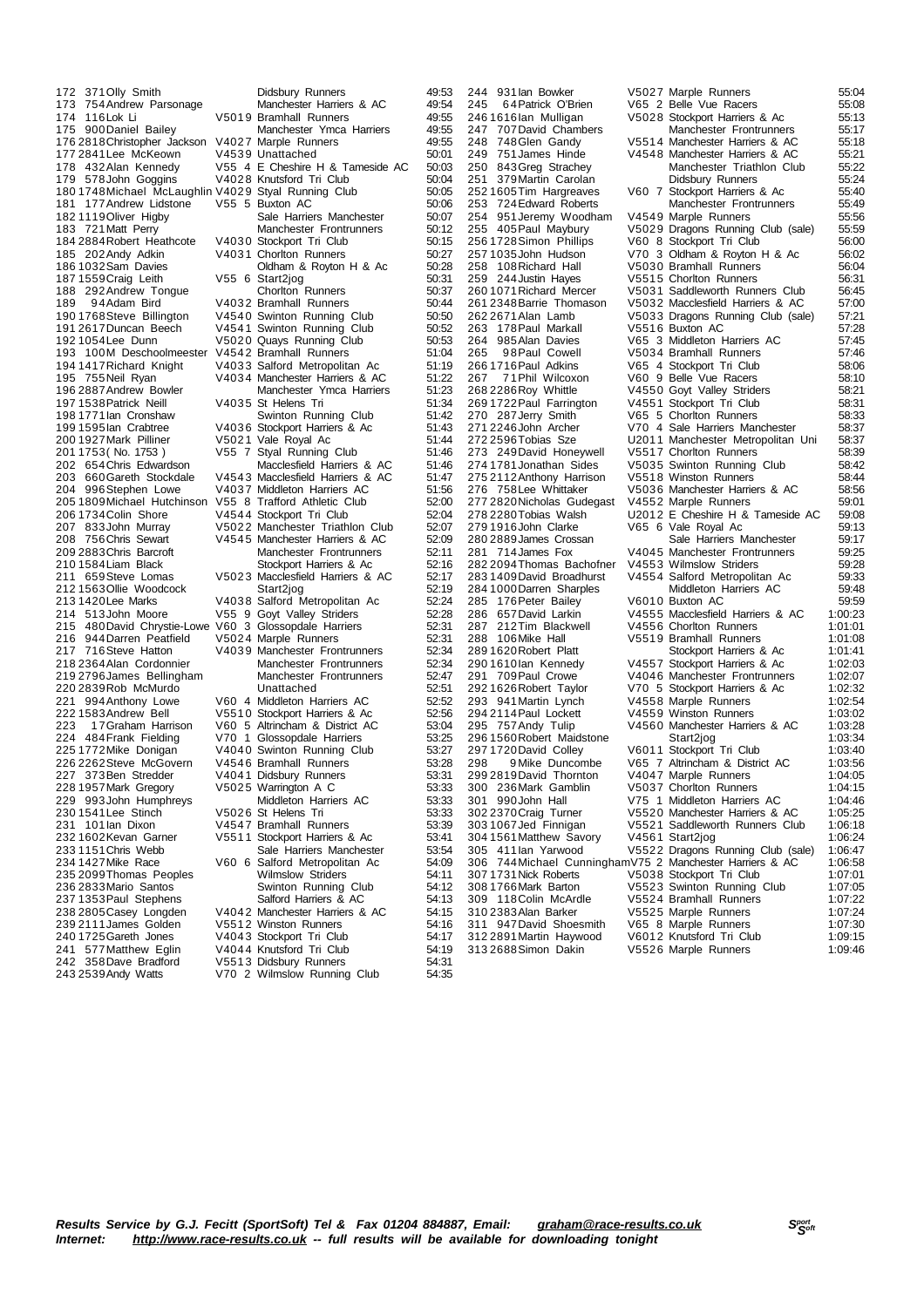176 2818 Christopher Jackson V4027 Marple Runners 49:5551 177 2841 Lee McKeown 182 1119 Oliver Higby<br>183 721 Matt Perry 187 1559 Craig Leith V55 6 Start2jog<br>188 292 Andrew Tongue Choriton Runners 229 993John Humphreys<br>230 1541 Lee Stinch<br>231 101 lan Dixon

172 371 Olly Smith **Didsbury Runners** 49:53<br>173 754 Andrew Parsonage Manchester Harriers & AC 49:54 173 754Andrew Parsonage Manchester Harriers & AC 49:54 174 116 Lok Li V501 9 Bramhall Runners 49:55<br>175 900 Daniel Bailey Manchester Ymca Harriers 49:55 1755 Manchester Ymca Harriers 49:55<br>1755 9000 V4027 Marple Runners 177 2841 Lee McKeown V4539 Unattached 50:01<br>178 432 Alan Kennedy V55 4 E Cheshire H & Tameside AC 50:03 178 432Alan Kennedy V55 4 E Cheshire H & Tameside AC 50:03 179 578John Goggins V402 8 Knutsford Tri Club 50:04 180 1748Michael McLaughlin V402 9 Styal Running Club 50:05 181 177Andrew Lidstone V55 5 Buxton AC 50:06 Sale Harriers Manchester 50:07<br>Manchester Frontrunners 50:12 184 2884 Robert Heathcote V4030 Stockport Tri Club 50:15<br>185 202 Andy Adkin V4031 Chortton Runners 50:27<br>186 1032 Sam Davies Oldham & Royton H & Ac 50:28 V4031 Chorlton Runners 50:27<br>Cldham & Rovton H & Ac 50:28 186 1966 1032<br>Oldham & Royton H & Ac 50:28<br>V55 6 Start2jog 50:31 188 292 Andrew Tongue Chorlton Runners 50:37<br>189 94 Adam Bird V4032 Bramhall Runners 50:44 189 94Adam Bird v4032 Bramhall Runners 50:44<br>1901768 Steve Billington V4540 Swinton Running Club 50:50 190 1768 Steve Billington V4540 Swinton Running Club<br>191 2617 Duncan Beech V4541 Swinton Running Club 191 2617Duncan Beech V454 1 Swinton Running Club 50:52 192 1054Lee Dunn V502 0 Quays Running Club 50:53 193 100M Deschoolmeester V4542 Bramhall Runners 51:04<br>193 100M Deschoolmeester V4542 Bramhall Runners 51:04<br>1941417Richard Knight V4033 Salford Metropolitan Ac 51:19 194 1417Richard Knight V403 3 Salford Metropolitan Ac 51:19 195 755Neil Ryan V403 4 Manchester Harriers & AC 51:22 Manchester Ymca Harriers 197 1538Patrick Neill V403 5 St Helens Tri 51:34 198 1771Ian Cronshaw Swinton Running Club 51:42 199 1595 Ian Crabtree V4036 Stockport Harriers & Ac 51:43<br>199 1927 Mark Pilliner V5021 Vale Royal Ac 51:44 200 1927 Mark Pilliner V5021 Vale Royal Ac 51:44<br>201 1753 (No. 1753 ) V55 7 Styal Running Club 51:46 201 1753( No. 1753 ) V55 7 Styal Running Club 51:46 Macclesfield Harriers & AC 203 660Gareth Stockdale V4543 Macclesfield Harriers & AC 51:47<br>204 996Stephen Lowe V4037 Middleton Harriers AC 51:56 204 996 Stephen Lowe V4037 Middleton Harriers AC 51:56<br>205 1809 Michael Hutchinson V55 8 Trafford Athletic Club 52:00 205 1809 Michael Hutchinson V55 8 Trafford Athletic Club 52:00<br>206 1734 Colin Shore V4544 Stockport Tri Club 52:00 206 1734Colin Shore V454 4 Stockport Tri Club 52:04 207 833John Murray V502 2 Manchester Triathlon Club 52:07 208 756 Chris Sewart V4545 Manchester Harriers & AC 52:09<br>209 2883 Chris Barcroft Manchester Frontrunners 52:11 Manchester Frontrunners 210 1584 Liam Black Stockport Harriers & Ac 52:16<br>211 659 Steve Lomas V5023 Macclesfield Harriers & AC 52:17 211 659 Steve Lomas V5023 Macclesfield Harriers & AC 52:17<br>212 1563 Ollie Woodcock Start2iog 52:19 212 1563Ollie Woodcock Start2jog 52:19 213 1420Lee Marks V403 8 Salford Metropolitan Ac 52:24 214 513John Moore V55 9 Goyt Valley Striders 52:28 215 480David Chrystie-Lowe V60 3 Glossopdale Harriers 52:31 216 944Darren Peatfield V5024 Marple Runners 52:31<br>217 716Steve Hatton V4039 Manchester Frontrunners 52:34 V4039 Manchester Frontrunners<br>Manchester Frontrunners 218 2364Alan Cordonnier Manchester Frontrunners 52:34 219 2796James Bellingham Manchester Frontrunners 52:47 220 2839Rob McMurido Unattached S2:51<br>221 994 Anthony Lowe V60 4 Middleton Harriers AC 52:52 221 994Anthony Lowe V60 4 Middleton Harriers AC 52:52 222 1583 Andrew Bell V5510 Stockport Harriers & Ac 52:56<br>223 17 Graham Harrison V60 5 Altrincham & District AC 53:04 223 17 Graham Harrison V60 5 Altrincham & District AC 53:04 484 Frank Fielding V70 1 Glossopdale Harriers 224 484Frank Fielding V70 1 Glossopdale Harriers 53:25 225 1772 Mike Donigan V4040 Swinton Running Club 53:27<br>226 2262 Steve McGovern V4546 Bramhall Runners 53:28 226 2262 Steve McGovern 1971 6 Bramhall Runners 1972<br>226 2262 Steve McGovern 1975 46 Bramhall Runners 53:28<br>227 373 Ben Stredder 1976 1979 V4041 Didsbury Runners 53:31 227 373Ben Stredder 194041 Didsbury Runners 53:31<br>228 1957 Mark Gregory 195025 Warrington A C 53:33 V5025 Warrington A C 53:33<br>Middleton Harriers AC 53:33 230 1541Lee Stinch V502 6 St Helens Tri 53:33 231 101Ian Dixon V454 7 Bramhall Runners 53:39 232 1602Kevan Garner V551 1 Stockport Harriers & Ac 53:41 233 1151Chris Webb Sale Harriers Manchester 53:54 24.09 V60 6 Salford Metropolitan Ac 54:09<br>Wilmslow Striders 54:11 235 2099 Thomas Peoples Wilmslow Striders<br>
236 2833 Mario Santos Swinton Running Club<br>
237 1353 Paul Stephens Salford Harriers & AC 236 2833Mario Santos Swinton Running Club 54:12 237 1353 Paul Stephens Salford Harriers & AC 54:13<br>238 2805 Casev Longden V4042 Manchester Harriers & AC 54:15 238 2805 Casey Longden V404 2 Manchester Harriers & AC 54:15<br>239 2111 James Golden V551 2 Winston Runners 54:16 239 2111 James Golden V551 2 Winston Runners 1992<br>239 2111 James Golden V551 2 Winston Runners 54:16<br>240 1725 Gareth Jones V4043 Stockport Tri Club 54:17 240 1725Gareth Jones V404 3 Stockport Tri Club 54:17 241 577 Matthew Eglin V4044 Knutsford Tri Club 54:19<br>242 358 Dave Bradford V5513 Didsbury Runners 54:31<br>243 2539 Andy Watts V70 2 Wilmslow Running Club 54:35 V5513 Didsbury Runners 54:31<br>V70 2 Wilmslow Running Club 54:35 V70 2 Wilmslow Running Club

244 931Ian Bowker V502 7 Marple Runners 55:04 245 6 4Patrick O'Brien V65 2 Belle Vue Racers 55:08 246 1616Ian Mulligan V502 8 Stockport Harriers & Ac 55:13 247 707David Chambers Manchester Frontrunners 55:17 2000 748 748 748 748 748 748 75514 Manchester Harriers & AC 751 James Hinde 249 751 James Hinde V4548 Manchester Harriers & AC 55:21<br>250 843 Greq Strachey Manchester Triathlon Club 55:22 250 843Greg Strachey Manchester Triathlon Club 55:22<br>251 379Martin Carolan Didsbury Runners 55:24 255:24 251 379Martin Carolan 2014<br>255:24 1605Tim Hargreaves 2060 7 Stockport Harriers & Ac 252 1605Tim Hargreaves V60 7 Stockport Harriers & Ac 55:40 253 724Edward Roberts Manchester Frontrunners 55:49 254 951 Jeremy Woodham V4549 Marple Runners 55:56<br>255 405 Paul Maybury V5029 Dragons Running Club (sale) 55:59 255 405 Paul Maybury V5029 Dragons Running Club (sale)<br>256 1728 Simon Phillips V60 8 Stockport Tri Club 256 1728 Simon Phillips V60 8 Stockport Tri Club (2007) 56:00<br>257 1035 John Hudson V70 3 Oldham & Rovton H & Ac 56:02 257 1035John Hudson V70 3 Oldham & Royton H & Ac 56:02 258 108 Richard Hall V5030 Bramhall Runners 56:04<br>259 244 Justin Hayes V5515 Chorlton Runners 56:31 259 244Justin Hayes V5515 Chorlton Runners 56:31<br>260 1071 Richard Mercer V5031 Saddleworth Runners Club 56:45 260 1071 Richard Mercer V5031 Saddleworth Runners Club 56:45<br>261 2348 Barrie Thomason V5032 Macclesfield Harriers & AC 57:00 261 2348 Barrie Thomason V5032 Macclesfield Harriers & AC 57:00<br>262 2671 Alan Lamb V5033 Dragons Running Club (sale) 57:21 V5033 Dragons Running Club (sale)<br>V5516 Buxton AC 263 178Paul Markall V551 6 Buxton AC 37:28<br>264 985Alan Davies V65 3 Middleton Harriers AC 57:45 264 985Alan Davies V65 3 Middleton Harriers AC 57:45 265 98 Paul Cowell V5034 Bramhall Runners 57:46<br>266 1716 Paul Adkins V65 4 Stockport Tri Club 58:06 266 1716Paul Adkins V65 4 Stockport Tri Club 58:06 267 7 1Phil Wilcoxon V60 9 Belle Vue Racers 58:10 268 2286 Roy Whittle V4550 Goyt Valley Striders 269 1722 Paul Farrington V4551 Stockport Tri Club 269 1722Paul Farrington V455 1 Stockport Tri Club 58:31 270 287Jerry Smith V65 5 Chorlton Runners 58:33 271 2246John Archer V70 4 Sale Harriers Manchester 58:37<br>272 2596 Tobias Sze U2011 Manchester Metropolitan Uni 58:37 U2011 Manchester Metropolitan Uni 58:37<br>V5517 Chorlton Runners 58:39 273 249David Honeywell V5517 Chorlton Runners 58:39<br>274 1781 Jonathan Sides V5035 Swinton Running Club 58:42 274 1781 Jonathan Sides V5035 Swinton Running Club<br>275 2112 Anthony Harrison V5518 Winston Runners<br>276 758 Lee Whittaker V5036 Manchester Harriers & 275 2112Anthony Harrison V551 8 Winston Runners 58:44 276 758Lee Whittaker V503 6 Manchester Harriers & AC 58:56 277 2820 Nicholas Gudegast V455 2 Marple Runners 4 1.0<br>277 2820 Nicholas Gudegast V455 2 Marple Runners 59:01<br>278 2280 Tobias Walsh U2012 E Cheshire H & Tameside AC 59:08 278 2280Tobias Walsh U201 2 E Cheshire H & Tameside AC 59:08 279 1916 John Clarke V65 6 Vale Royal Ac 59:13<br>280 2889 James Crossan Sale Harriers Manchester 59:17 280 2889 James Crossan Sale Harriers Manchester 59:17<br>281 714 James Fox V4045 Manchester Frontrunners 59:25 V4045 Manchester Frontrunners<br>V4553 Wilmslow Striders 282 2094 Thomas Bachofner V4553 Wilmslow Striders 59:28<br>283 1409 David Broadhurst V4554 Salford Metropolitan Ac 59:33 V4554 Salford Metropolitan Ac 59:33<br>Middleton Harriers AC 59:48 284 1000 Darren Sharples Middleton Harriers AC 59:48<br>285 176 Peter Bailey V6010 Buxton AC 59:59 285 176 Peter Bailey V6010 Buxton AC 59:59<br>286 657 David Larkin V4555 Macclesfield Harriers & AC 1:00:23 286 657David Larkin V455 5 Macclesfield Harriers & AC 1:00:23 287 212Tim Blackwell V4556 Chorlton Runners 1:01:01<br>288 106Mike Hall V5519 Bramball Runners 1:01:08 288 106 Mike Hall V5519 Bramhall Runners 1:01:08<br>289 1620 Robert Platt Stockport Harriers & Ac 1:01:41 289 1620 Robert Platt Stockport Harriers & Ac 1610 Ian Kennedy<br>
290 1610 Ian Kennedy V4557 Stockport Harriers & Ac 290 1610Ian Kennedy V455 7 Stockport Harriers & Ac 1:02:03 291 709Paul Crowe V404 6 Manchester Frontrunners 1:02:07 292 1626Robert Taylor V70 5 Stockport Harriers & Ac 1:02:32 293 941 Martin Lynch V4558 Marple Runners 1:02:54<br>294 2114 Paul Lockett V4559 Winston Runners 1:03:02 294 2114Paul Lockett V455 9 Winston Runners 1:03:02 V4560 Manchester Harriers & AC 1:03:28<br>Start2ion 1:03:34 296 1560 Robert Maidstone Start2jog 1:03:34<br>297 1720 David Colley V6011 Stockport Tri Club 1:03:40 297 1720 David Colley V6011 Stockport Tri Club 1:03:40<br>298 9 Mike Duncombe V65 7 Altrincham & District AC 1:03:56 298 9 Mike Duncombe V65 7 Altrincham & District AC 1:03:56 299 2819 David Thornton V4047 Marple Runners 1:04:05<br>200 236 Mark Gamblin V5037 Chorlton Runners 1:04:15 300 236Mark Gamblin V503 7 Chorlton Runners 1:04:15 301 990John Hall V75 1 Middleton Harriers AC<br>302 2370 Craig Turner V5520 Manchester Harriers &<br>303 1067 Jed Finnigan V5521 Saddleworth Runners 302 2370Craig Turner V552 0 Manchester Harriers & AC 1:05:25 303 1067Jed Finnigan V552 1 Saddleworth Runners Club 1:06:18 304 1561Matthew Savory V456 1 Start2jog 1:06:24 305 411Ian Yarwood V552 2 Dragons Running Club (sale) 1:06:47 306 744Michael CunninghamV75 2 Manchester Harriers & AC 1:06:58 307 1731Nick Roberts V503 8 Stockport Tri Club 1:07:01 308 1766Mark Barton V552 3 Swinton Running Club 1:07:05 309 118Colin McArdle V552 4 Bramhall Runners 1:07:22 310 2383Alan Barker V552 5 Marple Runners 1:07:24 311 947David Shoesmith V65 8 Marple Runners 1:07:30 312 2891Martin Haywood V601 2 Knutsford Tri Club 1:09:15 V5526 Marple Runners